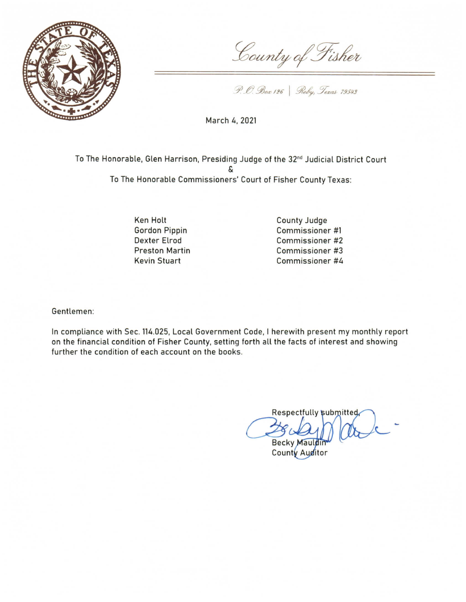

County of Fisher

P. O. Box 126 | Roby, Texas 79543

March 4, 2021

To The Honorable, Glen Harrison, Presiding Judge of the 32<sup>nd</sup> Judicial District Court To The Honorable Commissioners' Court of Fisher County Texas:

> Ken Holt **Gordon Pippin Dexter Elrod Preston Martin Kevin Stuart**

**County Judge** Commissioner #1 Commissioner #2 Commissioner #3 Commissioner #4

Gentlemen:

In compliance with Sec. 114.025, Local Government Code, I herewith present my monthly report on the financial condition of Fisher County, setting forth all the facts of interest and showing further the condition of each account on the books.

Respectfully submitted Becky Mauldin

County Auditor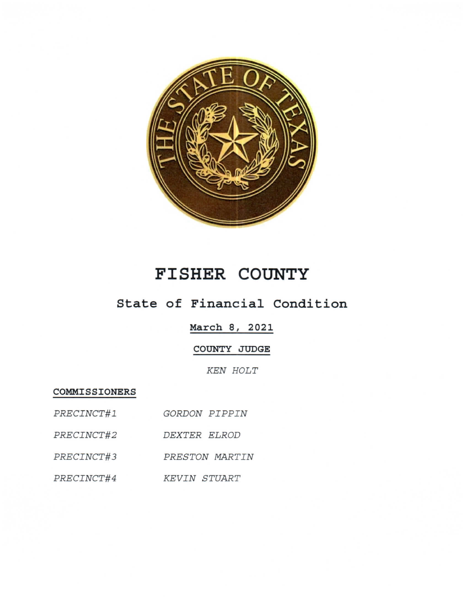

## FISHER COUNTY

## State of Financial Condition

March 8, 2021

COUNTY JUDGE

KEN HOLT

COMMISSIONERS

| PRECINCT#1 | GORDON PIPPIN       |
|------------|---------------------|
| PRECINCT#2 | DEXTER ELROD        |
| PRECINCT#3 | PRESTON MARTIN      |
| PRECINCT#4 | <b>KEVIN STUART</b> |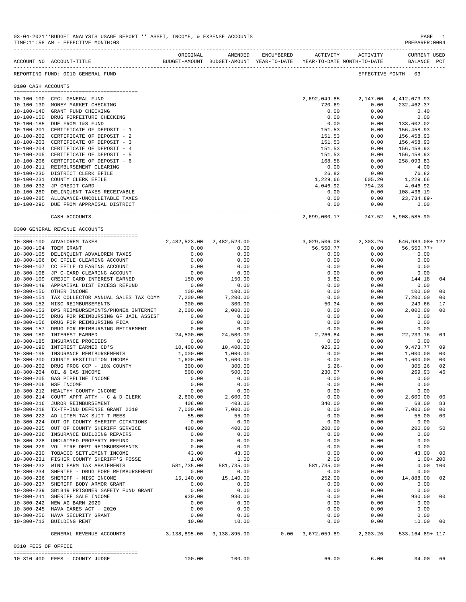|                     | ACCOUNT NO ACCOUNT-TITLE                                                               | ORIGINAL      | AMENDED                   | ENCUMBERED | ACTIVITY ACTIVITY<br>BUDGET-AMOUNT BUDGET-AMOUNT YEAR-TO-DATE YEAR-TO-DATE MONTH-TO-DATE |              | <b>CURRENT USED</b><br>BALANCE PCT |                |
|---------------------|----------------------------------------------------------------------------------------|---------------|---------------------------|------------|------------------------------------------------------------------------------------------|--------------|------------------------------------|----------------|
|                     | REPORTING FUND: 0010 GENERAL FUND                                                      |               |                           |            |                                                                                          |              | EFFECTIVE MONTH - 03               |                |
| 0100 CASH ACCOUNTS  |                                                                                        |               |                           |            |                                                                                          |              |                                    |                |
|                     |                                                                                        |               |                           |            |                                                                                          |              |                                    |                |
|                     | 10-100-100 CFC: GENERAL FUND                                                           |               |                           |            | 2,692,049.85 2,147.00- 4,412,073.93                                                      |              |                                    |                |
|                     | 10-100-130 MONEY MARKET CHECKING                                                       |               |                           |            | 720.69                                                                                   | 0.00         | 232,462.37                         |                |
|                     | 10-100-140 GRANT FUND CHECKING                                                         |               |                           |            | 0.00                                                                                     | 0.00         | 0.40                               |                |
|                     | 10-100-150 DRUG FORFEITURE CHECKING<br>10-100-185 DUE FROM I&S FUND                    |               |                           |            | 0.00<br>0.00                                                                             | 0.00<br>0.00 | 0.00<br>133,602.02                 |                |
|                     | 10-100-201 CERTIFICATE OF DEPOSIT - 1                                                  |               |                           |            | 151.53                                                                                   | 0.00         | 156,458.93                         |                |
|                     | 10-100-202 CERTIFICATE OF DEPOSIT - 2                                                  |               |                           |            | 151.53                                                                                   | 0.00         | 156,458.93                         |                |
|                     | 10-100-203 CERTIFICATE OF DEPOSIT - 3                                                  |               |                           |            | 151.53                                                                                   | 0.00         | 156,458.93                         |                |
|                     | 10-100-204 CERTIFICATE OF DEPOSIT - 4                                                  |               |                           |            | 151.53                                                                                   | 0.00         | 156,458.93                         |                |
|                     | 10-100-205 CERTIFICATE OF DEPOSIT - 5                                                  |               |                           |            | 151.53                                                                                   | 0.00         | 156,458.93                         |                |
|                     | 10-100-206 CERTIFICATE OF DEPOSIT - 6                                                  |               |                           |            | 168.58                                                                                   | 0.00         | 258,093.83                         |                |
|                     | 10-100-211 REIMBURSEMENT CLEARING<br>10-100-230 DISTRICT CLERK EFILE                   |               |                           |            | 0.00<br>26.82                                                                            | 0.00<br>0.00 | 4.00<br>76.82                      |                |
|                     | 10-100-231 COUNTY CLERK EFILE                                                          |               |                           |            | 1,229.66                                                                                 | 605.20       | 1,229.66                           |                |
|                     | 10-100-232 JP CREDIT CARD                                                              |               |                           |            | 4,046.92                                                                                 | 794.28       | 4,046.92                           |                |
|                     | 10-100-280 DELINQUENT TAXES RECEIVABLE                                                 |               |                           |            | 0.00                                                                                     | 0.00         | 108,436.19                         |                |
|                     | 10-100-285 ALLOWANCE-UNCOLLETABLE TAXES                                                |               |                           |            | 0.00                                                                                     | 0.00         | 23,734.89-                         |                |
|                     | 10-100-290 DUE FROM APPRAISAL DISTRICT                                                 |               |                           |            | 0.00<br>.                                                                                | 0.00         | 0.00<br>                           |                |
|                     | CASH ACCOUNTS                                                                          |               |                           |            | 2,699,000.17                                                                             |              | 747.52- 5,908,585.90               |                |
|                     | 0300 GENERAL REVENUE ACCOUNTS                                                          |               |                           |            |                                                                                          |              |                                    |                |
|                     |                                                                                        |               |                           |            |                                                                                          |              |                                    |                |
|                     | 10-300-100 ADVALOREM TAXES                                                             |               | 2,482,523.00 2,482,523.00 |            | 3,029,506.08                                                                             | 2,303.26     | 546,983.08+ 122                    |                |
|                     | 10-300-104 TDEM GRANT                                                                  | 0.00<br>0.00  | 0.00<br>0.00              |            | 56,550.77<br>0.00                                                                        | 0.00<br>0.00 | 56,550.77+<br>0.00                 |                |
|                     | 10-300-105 DELINQUENT ADVALOREM TAXES<br>10-300-106 DC EFILE CLEARING ACCOUNT          | 0.00          | 0.00                      |            | 0.00                                                                                     | 0.00         | 0.00                               |                |
|                     | 10-300-107 CC EFILE CLEARING ACCOUNT                                                   | 0.00          | 0.00                      |            | 0.00                                                                                     | 0.00         | 0.00                               |                |
|                     | 10-300-108 JP C-CARD CLEARING ACCOUNT                                                  | 0.00          | 0.00                      |            | 0.00                                                                                     | 0.00         | 0.00                               |                |
|                     | 10-300-109 CREDIT CARD INTEREST EARNED                                                 | 150.00        | 150.00                    |            | 5.82                                                                                     | 0.00         | 144.18                             | 04             |
|                     | 10-300-149 APPRAISAL DIST EXCESS REFUND                                                | 0.00          | 0.00                      |            | 0.00                                                                                     | 0.00         | 0.00                               |                |
|                     | 10-300-150 OTHER INCOME                                                                | 100.00        | 100.00                    |            | 0.00                                                                                     | 0.00         | 100.00                             | 00             |
|                     | 10-300-151 TAX COLLECTOR ANNUAL SALES TAX COMM                                         | 7,200.00      | 7,200.00                  |            | 0.00                                                                                     | 0.00         | 7,200.00                           | 00             |
|                     | 10-300-152 MISC REIMBURSEMENTS                                                         | 300.00        | 300.00                    |            | 50.34                                                                                    | 0.00         | 249.66                             | 17             |
|                     | 10-300-153 DPS REIMBURSEMENTS/PHONE& INTERNET                                          | 2,000.00      | 2,000.00                  |            | 0.00                                                                                     | 0.00         | 2,000.00                           | 0 <sup>0</sup> |
|                     | 10-300-155 DRUG FOR REIMBURSING GF JAIL ASSIST<br>10-300-156 DRUG FOR REIMBURSING FICA | 0.00          | 0.00                      |            | 0.00<br>0.00                                                                             | 0.00<br>0.00 | 0.00<br>0.00                       |                |
|                     | 10-300-157 DRUG FOR REIMBURSING RETIREMENT                                             | 0.00<br>0.00  | 0.00<br>0.00              |            | 0.00                                                                                     | 0.00         | 0.00                               |                |
|                     | 10-300-180 INTEREST EARNED                                                             | 24,500.00     | 24,500.00                 |            | 2,266.84                                                                                 | 0.00         | 22, 233.16                         | 09             |
|                     | 10-300-185 INSURANCE PROCEEDS                                                          | 0.00          | 0.00                      |            | 0.00                                                                                     | 0.00         | 0.00                               |                |
|                     | 10-300-190 INTEREST EARNED CD'S                                                        | 10,400.00     | 10,400.00                 |            | 926.23                                                                                   | 0.00         | 9,473.77                           | 09             |
|                     | 10-300-195 INSURANCE REMIBURSEMENTS                                                    | 1,000.00      | 1,000.00                  |            | 0.00                                                                                     | 0.00         | 1,000.00                           | 00             |
|                     | 10-300-200 COUNTY RESTITUTION INCOME                                                   | 1,600.00      | 1,600.00                  |            | 0.00                                                                                     | 0.00         | 1,600.00                           | 00             |
|                     | 10-300-202 DRUG PROG CCP - 10% COUNTY                                                  | 300.00        | 300.00                    |            | $5.26 -$                                                                                 | 0.00         | 305.26                             | 02             |
|                     | 10-300-204 OIL & GAS INCOME                                                            | 500.00        | 500.00                    |            | 230.07                                                                                   | 0.00         | 269.93                             | 46             |
|                     | 10-300-205 GAS PIPELINE INCOME<br>10-300-206 NSF INCOME                                | 0.00<br>0.00  | 0.00<br>0.00              |            | 0.00<br>0.00                                                                             | 0.00<br>0.00 | 0.00<br>0.00                       |                |
|                     | 10-300-212 HEALTHY COUNTY INCOME                                                       | 0.00          | 0.00                      |            | 0.00                                                                                     | 0.00         | 0.00                               |                |
|                     | $10-300-214$ COURT APPT ATTY - C & D CLERK                                             | 2,600.00      | 2,600.00                  |            | 0.00                                                                                     | 0.00         | 2,600.00 00                        |                |
|                     | 10-300-216 JUROR REIMBURSEMENT                                                         | 408.00        | 408.00                    |            | 340.00                                                                                   | 0.00         | 68.00 83                           |                |
|                     | 10-300-218 TX-TF-IND DEFENSE GRANT 2019                                                | 7,000.00      | 7,000.00                  |            | 0.00                                                                                     | 0.00         | 7,000.00 00                        |                |
|                     | 10-300-222 AD LITEM TAX SUIT T REES                                                    | 55.00         | 55.00                     |            | 0.00                                                                                     | 0.00         | 55.00 00                           |                |
|                     | 10-300-224 OUT OF COUNTY SHERIFF CITATIONS                                             | 0.00          | 0.00                      |            | 0.00                                                                                     | 0.00         | 0.00                               |                |
|                     | 10-300-225 OUT OF COUNTY SHERIFF SERVICE                                               | 400.00        | 400.00                    |            | 200.00                                                                                   | 0.00         | 200.00 50                          |                |
|                     | 10-300-226 INSURANCE BUILDING REPAIRS                                                  | 0.00          | 0.00                      |            | 0.00                                                                                     | 0.00         | 0.00                               |                |
|                     | 10-300-228 UNCLAIMED PROPERTY REFUND                                                   | 0.00          | 0.00                      |            | 0.00                                                                                     | 0.00         | 0.00                               |                |
|                     | 10-300-229 VOL FIRE DEPT REIMBURSEMENTS<br>10-300-230 TOBACCO SETTLEMENT INCOME        | 0.00<br>43.00 | 0.00<br>43.00             |            | 0.00<br>0.00                                                                             | 0.00<br>0.00 | 0.00<br>43.00 00                   |                |
|                     | 10-300-231 FISHER COUNTY SHERIFF'S POSSE                                               | 1.00          | 1.00                      |            | 2.00                                                                                     | 0.00         | $1.00 + 200$                       |                |
|                     | 10-300-232 WIND FARM TAX ABATEMENTS                                                    | 581,735.00    | 581,735.00                |            | 581,735.00                                                                               | 0.00         | 0.00 100                           |                |
|                     | 10-300-234 SHERIFF - DRUG FORF REIMBURSEMENT                                           | 0.00          | 0.00                      |            | 0.00                                                                                     | 0.00         | 0.00                               |                |
|                     | 10-300-236 SHERIFF - MISC INCOME                                                       | 15,140.00     | 15,140.00                 |            | 252.00                                                                                   | 0.00         | 14,888.00 02                       |                |
|                     | 10-300-237 SHERIFF BODY ARMOR GRANT                                                    | 0.00          | 0.00                      |            | 0.00                                                                                     | 0.00         | 0.00                               |                |
|                     | 10-300-239 SB1849 PRISONER SAFETY FUND GRANT                                           | 0.00          | 0.00                      |            | 0.00                                                                                     | 0.00         | 0.00                               |                |
|                     | 10-300-241 SHERIFF SALE INCOME                                                         | 930.00        | 930.00                    |            | 0.00                                                                                     | 0.00         | 930.00 00                          |                |
|                     | 10-300-242 NEW AG BARN 2020                                                            | 0.00          | 0.00                      |            | 0.00                                                                                     | 0.00         | 0.00                               |                |
|                     | 10-300-245 HAVA CARES ACT - 2020                                                       | 0.00          | 0.00                      |            | 0.00                                                                                     | 0.00         | 0.00                               |                |
|                     | 10-300-250 HAVA SECURITY GRANT<br>10-300-713 BUILDING RENT                             | 0.00<br>10.00 | 0.00<br>10.00             |            | 0.00<br>0.00                                                                             | 0.00<br>0.00 | 0.00<br>10.00 00                   |                |
|                     |                                                                                        |               |                           |            |                                                                                          |              |                                    |                |
|                     | GENERAL REVENUE ACCOUNTS 3,138,895.00 3,138,895.00                                     |               |                           |            | $0.00$ $3,672,059.89$ $2,303.26$ $533,164.89+117$                                        |              |                                    |                |
| 0310 FEES OF OFFICE |                                                                                        |               |                           |            |                                                                                          |              |                                    |                |
|                     | 10-310-400 FEES - COUNTY JUDGE                                                         | 100.00        | 100.00                    |            | 66.00                                                                                    |              | 6.00<br>34.00 66                   |                |

03-04-2021\*\*BUDGET ANALYSIS USAGE REPORT \*\* ASSET, INCOME, & EXPENSE ACCOUNTS PAGE 1<br>TIME:11:58 AM - EFFECTIVE MONTH:03

-------------------------------------------------------------------------------------------------------------------------------------------

TIME:11:58 AM - EFFECTIVE MONTH:03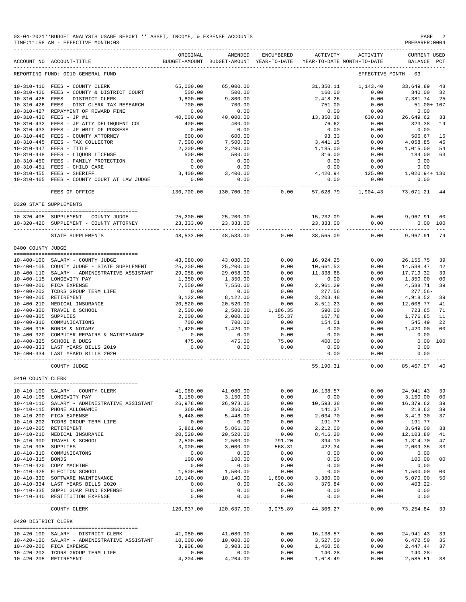| 03-04-2021**BUDGET ANALYSIS USAGE REPORT ** ASSET, INCOME, & EXPENSE ACCOUNTS | PAGE           |
|-------------------------------------------------------------------------------|----------------|
| TIME:11:58 AM - EFFECTIVE MONTH:03                                            | PREPARER: 0004 |

|                     | ACCOUNT NO ACCOUNT-TITLE                                                                                                                                  | ORIGINAL<br>BUDGET-AMOUNT BUDGET-AMOUNT YEAR-TO-DATE YEAR-TO-DATE MONTH-TO-DATE | AMENDED                                                   | ENCUMBERED                                      | ACTIVITY         | ACTIVITY                           | <b>CURRENT USED</b><br>BALANCE PCT |                |
|---------------------|-----------------------------------------------------------------------------------------------------------------------------------------------------------|---------------------------------------------------------------------------------|-----------------------------------------------------------|-------------------------------------------------|------------------|------------------------------------|------------------------------------|----------------|
|                     | REPORTING FUND: 0010 GENERAL FUND                                                                                                                         |                                                                                 |                                                           |                                                 |                  |                                    | EFFECTIVE MONTH - 03               |                |
|                     | 10-310-410 FEES - COUNTY CLERK                                                                                                                            | 65,000.00                                                                       | 65,000.00                                                 |                                                 | 31,350.11        | 1,143.40                           | 33,649.89                          | 48             |
|                     | 10-310-420 FEES - COUNTY & DISTRICT COURT                                                                                                                 | 500.00                                                                          | 500.00                                                    |                                                 | 160.00           | 0.00                               | 340.00                             | 32             |
|                     | 10-310-425 FEES - DISTRICT CLERK                                                                                                                          | 9,800.00                                                                        | 9,800.00                                                  |                                                 | 2,418.26         | 0.00                               | 7,381.74                           | 25             |
|                     | 10-310-426 FEES - DIST CLERK TAX RESEARCH                                                                                                                 | 700.00                                                                          | 700.00                                                    |                                                 | 751.00           | 0.00                               | 51.00+ 107                         |                |
|                     | 10-310-427 REPAYMENT OF REWARD FINE                                                                                                                       | 0.00                                                                            | 0.00                                                      |                                                 | 0.00             | 0.00                               |                                    |                |
|                     | 10-310-430 FEES - JP #1                                                                                                                                   | $0.00$<br>40,000.00                                                             | 40,000.00                                                 |                                                 | 13,350.38        | 630.03                             | 26,649.62<br>323.38                | 33             |
|                     |                                                                                                                                                           | 400.00                                                                          | 400.00                                                    |                                                 | 76.62            | 0.00                               |                                    | 19             |
|                     | 10-310-432 FEES - JP ATTY DELINQUENT COL<br>10-310-433 FEES - JP WRIT OF POSSESS<br>10-310-440 FEES - COUNTY ATTORNEY                                     | 0.00                                                                            | 0.00                                                      |                                                 | 0.00             | 0.00                               | 0.00                               |                |
|                     |                                                                                                                                                           | 600.00                                                                          | 600.00                                                    |                                                 | 93.33            | 0.00                               | 506.67                             | 16             |
|                     | 10-310-445 FEES - TAX COLLECTOR                                                                                                                           | 7,500.00                                                                        | 7,500.00                                                  |                                                 | 3, 441.15        | 0.00                               | 4,058.85                           | 46             |
|                     | $10-310-445$ FEES - TAX COLLECTOR<br>$10-310-447$ FEES - TITLE<br>$10-310-448$ FEES - LIQUOR LICENSE                                                      | 2,200.00                                                                        | 2,200.00                                                  |                                                 | 1,185.00         | 0.00                               | $1,015.00$<br>$1,015.00$           | 54             |
|                     |                                                                                                                                                           | 500.00                                                                          | 500.00                                                    |                                                 | 316.00           | 0.00                               |                                    | 63             |
|                     | 10-310-450 FEES - FAMILY PROTECTION                                                                                                                       | 0.00                                                                            | 0.00                                                      |                                                 | 0.00             | 0.00                               | 0.00                               |                |
|                     | 10-310-451 FEES - CHILD CARE                                                                                                                              | 0.00                                                                            | 0.00                                                      |                                                 | 0.00             | 0.00                               | 0.00                               |                |
|                     | 10-310-455 FEES - SHERIFF                                                                                                                                 | 3,400.00                                                                        | 3,400.00                                                  |                                                 |                  | $4,420.94$ $125.00$ $1,020.94+130$ |                                    |                |
|                     | 10-310-465 FEES - COUNTY COURT AT LAW JUDGE                                                                                                               | 0.00                                                                            | 0.00                                                      |                                                 | 0.00             | 0.00                               | 0.00                               |                |
|                     |                                                                                                                                                           | ----------                                                                      | ------------                                              |                                                 | ----------       | ------------                       |                                    |                |
|                     | FEES OF OFFICE                                                                                                                                            |                                                                                 | 130,700.00 130,700.00                                     | 0.00                                            | 57,628.79        | 1,904.43                           | 73,071.21 44                       |                |
|                     | 0320 STATE SUPPLEMENTS                                                                                                                                    |                                                                                 |                                                           |                                                 |                  |                                    |                                    |                |
|                     | 10-320-405 SUPPLEMENT - COUNTY JUDGE                                                                                                                      |                                                                                 |                                                           |                                                 |                  |                                    | 9,967.91 60                        |                |
|                     | 10-320-420 SUPPLEMENT - COUNTY ATTORNEY                                                                                                                   |                                                                                 |                                                           |                                                 |                  | 15,232.09 0.00<br>23,333.00 0.00   | 0.00 100                           |                |
|                     |                                                                                                                                                           |                                                                                 |                                                           |                                                 |                  | ------------                       |                                    |                |
|                     | STATE SUPPLEMENTS                                                                                                                                         | 48,533.00                                                                       |                                                           | 48,533.00 0.00                                  | 38,565.09        | 0.00                               | 9,967.91                           | 79             |
| 0400 COUNTY JUDGE   |                                                                                                                                                           |                                                                                 |                                                           |                                                 |                  |                                    |                                    |                |
|                     |                                                                                                                                                           |                                                                                 |                                                           |                                                 |                  |                                    |                                    |                |
|                     | 10-400-100 SALARY - COUNTY JUDGE                                                                                                                          |                                                                                 | 43,080.00 43,080.00                                       |                                                 | $0.00$ 16,924.25 | 0.00                               | 26,155.75                          | 39             |
|                     | 10-400-105 COUNTY JUDGE - STATE SUPPLEMENT                                                                                                                | 25,200.00                                                                       | 25,200.00                                                 | 0.00                                            | 10,661.53        | 0.00                               | 14,538.47                          | 42             |
|                     | 10-400-110 SALARY - ADMINISTRATIVE ASSISTANT                                                                                                              | 29,058.00                                                                       | 29,058.00                                                 | $0.00$<br>0.00                                  | 11,338.68        | 0.00                               | 17,719.32                          | 39             |
|                     | 10-400-115 LONGEVITY PAY                                                                                                                                  | 1,350.00                                                                        | 1,350.00                                                  |                                                 | 0.00             | 0.00                               | 1,350.00                           | 0 <sub>0</sub> |
|                     | 10-400-200 FICA EXPENSE                                                                                                                                   | 7,550.00                                                                        | 7,550.00                                                  | 0.00                                            | 2,961.29         | 0.00                               | 4,588.71                           | 39             |
|                     |                                                                                                                                                           | $\begin{array}{c} 0.00 \\ 8,122.00 \end{array}$                                 | 0.00                                                      | 0.00                                            | 277.56           | 0.00                               | $277.56 -$                         |                |
|                     | 10-400-202 TCDRS GROUP TERM LIFE<br>10-400-202 TCDRS GROUP TERM LIFE<br>10-400-201 MEDICAL INSURANCE<br>10-400-305 TRAVEL & SCHOOL<br>10-400-305 SUPPLIES |                                                                                 | 8,122.00                                                  | 0.00                                            | 3,203.48         | 0.00                               | 4,918.52<br>12,008.77              | 39             |
|                     |                                                                                                                                                           | 20,520.00                                                                       | 20,520.00                                                 | $\begin{array}{c} 0.00 \\ 1.186.35 \end{array}$ | 8,511.23         | 0.00                               |                                    | 41             |
|                     |                                                                                                                                                           | 2,500.00                                                                        | 2,500.00                                                  |                                                 | 590.00           | 0.00                               | 723.65                             | 71             |
| 10-400-305 SUPPLIES |                                                                                                                                                           | 2,000.00                                                                        | 2,000.00                                                  | 55.37                                           | 167.78           | 0.00                               | 1,776.85                           | 11             |
|                     | 10-400-310 COMMUNICATIONS                                                                                                                                 | 700.00                                                                          | 700.00                                                    | 0.00                                            | 154.51           | 0.00                               | 545.49                             | 22             |
|                     | 10-400-315 BONDS & NOTARY                                                                                                                                 | 1,420.00                                                                        | 1,420.00                                                  | 0.00                                            | 0.00             |                                    | $0.00$ 1,420.00                    | 00             |
|                     | 10-400-320 COMPUTER REPAIRS & MAINTENANCE                                                                                                                 | 0.00                                                                            | 0.00                                                      | 0.00                                            | 0.00             | 0.00                               | 0.00                               |                |
|                     | 10-400-325 SCHOOL & DUES                                                                                                                                  |                                                                                 | 475.00                                                    | 75.00                                           | 400.00           | 0.00                               | 0.00 100                           |                |
|                     | 10-400-333 LAST YEARS BILLS 2019                                                                                                                          | $475.00$<br>0.00                                                                | 0.00                                                      | 0.00                                            | 0.00             | 0.00                               | 0.00                               |                |
|                     | 10-400-334 LAST YEARD BILLS 2020                                                                                                                          |                                                                                 |                                                           |                                                 | 0.00             | 0.00<br>------                     | 0.00                               |                |
|                     | COUNTY JUDGE                                                                                                                                              |                                                                                 |                                                           |                                                 |                  | 55,190.31 0.00                     | 85,467.97 40                       |                |
| 0410 COUNTY CLERK   |                                                                                                                                                           |                                                                                 |                                                           |                                                 |                  |                                    |                                    |                |
|                     |                                                                                                                                                           |                                                                                 |                                                           |                                                 |                  |                                    |                                    |                |
|                     | 10-410-100 SALARY - COUNTY CLERK                                                                                                                          | 41,080.00                                                                       | 41,080.00                                                 | 0.00                                            | 16, 138.57       | 0.00                               | 24,941.43                          | 39             |
|                     | 10-410-105 LONGEVITY PAY                                                                                                                                  | 3,150.00                                                                        | 3,150.00                                                  | 0.00                                            | 0.00             | 0.00                               | 3,150.00                           | 00             |
|                     | 10-410-110 SALARY - ADMINISTRATIVE ASSISTANT                                                                                                              | 26,978.00                                                                       | 26,978.00                                                 | 0.00                                            | 10,598.38        | 0.00                               | 16,379.62                          | 39             |
|                     | 10-410-115 PHONE ALLOWANCE                                                                                                                                | 360.00                                                                          | 360.00                                                    | 0.00                                            | 141.37           | 0.00                               | 218.63                             | 39             |
|                     | 10-410-200 FICA EXPENSE                                                                                                                                   | 5,448.00                                                                        | 5,448.00                                                  | 0.00                                            | 2,034.70         | 0.00                               | 3,413.30                           | 37             |
|                     | 10-410-202 TCDRS GROUP TERM LIFE                                                                                                                          | 0.00                                                                            | 0.00                                                      | 0.00                                            | 191.77           | 0.00                               | 191.77-                            |                |
|                     | 10-410-205 RETIREMENT                                                                                                                                     | 5,861.00                                                                        | 5,861.00                                                  | 0.00                                            | 2,212.00         | 0.00                               | 3,649.00                           | 38             |
| $10 - 410 - 210$    | MEDICAL INSURANCE                                                                                                                                         | 20,520.00                                                                       | 20,520.00                                                 | 0.00                                            | 8,416.20         | 0.00                               | 12,103.80                          | 41             |
| $10 - 410 - 300$    | TRAVEL & SCHOOL                                                                                                                                           | 2,500.00                                                                        | 2,500.00                                                  | 791.20                                          | 394.10           | 0.00                               | 1,314.70                           | 47             |
| 10-410-305 SUPPLIES |                                                                                                                                                           | 3,000.00                                                                        | 3,000.00                                                  | 568.31                                          | 422.34           | 0.00                               | 2,009.35                           | 33             |
|                     | 10-410-310 COMMUNICATONS                                                                                                                                  | 0.00                                                                            | 0.00                                                      | 0.00                                            | 0.00             | 0.00                               | 0.00                               |                |
| 10-410-315 BONDS    |                                                                                                                                                           | 100.00                                                                          | 100.00                                                    | 0.00                                            | 0.00             | 0.00                               | 100.00                             | 0 <sub>0</sub> |
|                     | 10-410-320 COPY MACHINE                                                                                                                                   | 0.00                                                                            | 0.00                                                      | 0.00                                            | 0.00             | 0.00                               | 0.00                               |                |
|                     | 10-410-325 ELECTION SCHOOL                                                                                                                                | 1,500.00                                                                        | 1,500.00                                                  | 0.00                                            | 0.00             | 0.00                               | 1,500.00                           | 0 <sub>0</sub> |
|                     | 10-410-330 SOFTWARE MAINTENANCE                                                                                                                           | 10,140.00                                                                       | 10,140.00                                                 | 1,690.00                                        | 3,380.00         | 0.00                               | 5,070.00                           | 50             |
|                     | 10-410-334 LAST YEARS BILLS 2020                                                                                                                          | 0.00                                                                            | 0.00                                                      | 26.38                                           | 376.84           | 0.00                               | $403.22 -$                         |                |
|                     | 10-410-335 SUPPL GUAR FUND EXPENSE                                                                                                                        | 0.00                                                                            | 0.00                                                      | 0.00                                            | 0.00             | 0.00                               | 0.00                               |                |
|                     | 10-410-340 RESTITUTION EXPENSE                                                                                                                            | 0.00                                                                            | 0.00                                                      | 0.00                                            | 0.00             | 0.00                               | 0.00                               |                |
|                     | COUNTY CLERK                                                                                                                                              |                                                                                 | -------------<br>120,637.00 120,637.00 3,075.89 44,306.27 | -------------                                   | ------------     | -----------<br>0.00                | ----------<br>73, 254.84 39        |                |
| 0420 DISTRICT CLERK |                                                                                                                                                           |                                                                                 |                                                           |                                                 |                  |                                    |                                    |                |
|                     | 10-420-100 SALARY - DISTRICT CLERK                                                                                                                        | 41,080.00                                                                       | 41,080.00                                                 | 0.00                                            | 16,138.57        | 0.00                               | 24,941.43                          | 39             |
|                     | 10-420-120 SALARY - ADMINISTRATIVE ASSISTANT                                                                                                              | 10,000.00                                                                       | 10,000.00                                                 | 0.00                                            | 3,527.50         | 0.00                               | 6,472.50                           | 35             |
|                     | 10-420-200 FICA EXPENSE                                                                                                                                   | 3,908.00                                                                        | 3,908.00                                                  | 0.00                                            | 1,460.56         | 0.00                               | 2,447.44                           | 37             |
|                     | 10-420-202 TCDRS GROUP TERM LIFE                                                                                                                          | 0.00                                                                            | 0.00                                                      | 0.00                                            | 140.28           | 0.00                               | $140.28 -$                         |                |
|                     | 10-420-205 RETIREMENT                                                                                                                                     | 4,204.00                                                                        | 4,204.00                                                  | 0.00                                            | 1,618.49         | 0.00                               | 2,585.51                           | 38             |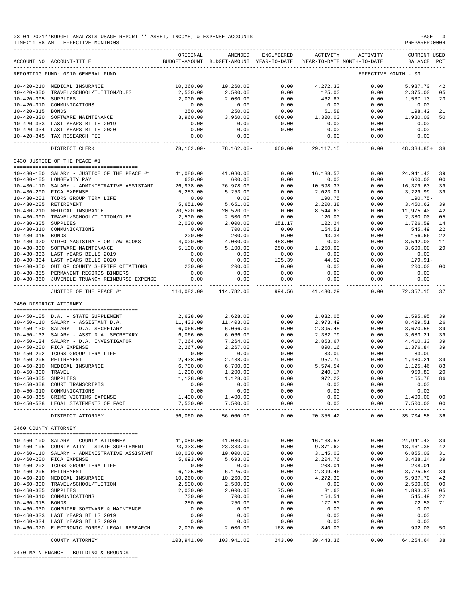|                      | 03-04-2021**BUDGET ANALYSIS USAGE REPORT ** ASSET, INCOME, & EXPENSE ACCOUNTS<br>TIME:11:58 AM - EFFECTIVE MONTH:03 |                                                                                 |                              |                                   |                    |                      | PAGE<br>PREPARER: 0004               | $\overline{\phantom{a}}$                                                                                                                                                                                                                                                                                                                                                                           |
|----------------------|---------------------------------------------------------------------------------------------------------------------|---------------------------------------------------------------------------------|------------------------------|-----------------------------------|--------------------|----------------------|--------------------------------------|----------------------------------------------------------------------------------------------------------------------------------------------------------------------------------------------------------------------------------------------------------------------------------------------------------------------------------------------------------------------------------------------------|
|                      | ACCOUNT NO ACCOUNT-TITLE                                                                                            | ORIGINAL<br>BUDGET-AMOUNT BUDGET-AMOUNT YEAR-TO-DATE YEAR-TO-DATE MONTH-TO-DATE | AMENDED                      | ENCUMBERED                        | ACTIVITY           | ACTIVITY             | <b>CURRENT USED</b><br>BALANCE PCT   |                                                                                                                                                                                                                                                                                                                                                                                                    |
|                      | REPORTING FUND: 0010 GENERAL FUND                                                                                   |                                                                                 |                              |                                   |                    |                      | EFFECTIVE MONTH - 03                 |                                                                                                                                                                                                                                                                                                                                                                                                    |
|                      | 10-420-210 MEDICAL INSURANCE                                                                                        | 10,260.00                                                                       | 10,260.00                    | 0.00                              | 4,272.30           | 0.00                 | 5,987.70                             | 42                                                                                                                                                                                                                                                                                                                                                                                                 |
| $10 - 420 - 300$     | TRAVEL/SCHOOL/TUITION/DUES                                                                                          | 2,500.00                                                                        | 2,500.00                     | 0.00                              | 125.00             | 0.00                 | 2,375.00                             | 05                                                                                                                                                                                                                                                                                                                                                                                                 |
| 10-420-305 SUPPLIES  |                                                                                                                     | 2,000.00                                                                        | 2,000.00                     | 0.00                              | 462.87             | 0.00                 | 1,537.13                             | 23                                                                                                                                                                                                                                                                                                                                                                                                 |
|                      | 10-420-310 COMMUNICATIONS                                                                                           | 0.00<br>250.00                                                                  | 0.00                         | 0.00                              | 0.00               | 0.00                 | 0.00                                 |                                                                                                                                                                                                                                                                                                                                                                                                    |
| 10-420-315 BONDS     | 10-420-320 SOFTWARE MAINTENANCE                                                                                     | 3,960.00                                                                        | 250.00<br>3,960.00           | 0.00<br>660.00                    | 51.58<br>1,320.00  | 0.00<br>0.00         | 198.42<br>1,980.00                   | 21<br>50                                                                                                                                                                                                                                                                                                                                                                                           |
|                      | 10-420-333 LAST YEARS BILLS 2019                                                                                    | 0.00                                                                            | 0.00                         | 0.00                              | 0.00               | 0.00                 | 0.00                                 |                                                                                                                                                                                                                                                                                                                                                                                                    |
|                      | 10-420-334 LAST YEARS BILLS 2020                                                                                    | 0.00                                                                            | 0.00                         | 0.00                              | 0.00               | 0.00                 | 0.00                                 |                                                                                                                                                                                                                                                                                                                                                                                                    |
|                      | 10-420-345 TAX RESEARCH FEE                                                                                         | 0.00                                                                            | 0.00                         |                                   | 0.00               | 0.00                 | 0.00                                 |                                                                                                                                                                                                                                                                                                                                                                                                    |
|                      | DISTRICT CLERK                                                                                                      | -----------<br>78,162.00-                                                       | 78,162.00-                   | 660.00                            | 29,117.15          | ----------           | ------------<br>$0.00$ 48,384.85+ 38 |                                                                                                                                                                                                                                                                                                                                                                                                    |
|                      | 0430 JUSTICE OF THE PEACE #1                                                                                        |                                                                                 |                              |                                   |                    |                      |                                      |                                                                                                                                                                                                                                                                                                                                                                                                    |
|                      | $10-430-100$ SALARY - JUSTICE OF THE PEACE #1 $41,080.00$                                                           |                                                                                 | 41,080.00                    | 0.00                              | 16,138.57          | 0.00                 | 24,941.43                            | 39                                                                                                                                                                                                                                                                                                                                                                                                 |
|                      | 10-430-105 LONGEVITY PAY                                                                                            | 600.00                                                                          | 600.00                       | 0.00                              | 0.00               | 0.00                 | 600.00                               | 00                                                                                                                                                                                                                                                                                                                                                                                                 |
|                      | 10-430-110 SALARY - ADMINISTRATIVE ASSISTANT                                                                        | 26,978.00                                                                       | 26,978.00                    | 0.00                              | 10,598.37          | 0.00                 | 16,379.63                            | 39                                                                                                                                                                                                                                                                                                                                                                                                 |
|                      | 10-430-200 FICA EXPENSE                                                                                             | 5,253.00                                                                        | 5,253.00                     | 0.00                              | 2,023.01           | 0.00                 | 3,229.99                             | 39                                                                                                                                                                                                                                                                                                                                                                                                 |
|                      | 10-430-202 TCDRS GROUP TERM LIFE                                                                                    | 0.00                                                                            | 0.00                         | 0.00                              | 190.75             | 0.00                 | 190.75-                              |                                                                                                                                                                                                                                                                                                                                                                                                    |
|                      | 10-430-205 RETIREMENT                                                                                               | 5,651.00                                                                        | 5,651.00                     | 0.00                              | 2,200.38           | 0.00                 | 3,450.62                             | 39                                                                                                                                                                                                                                                                                                                                                                                                 |
|                      | 10-430-210 MEDICAL INSURANCE                                                                                        | 20,520.00                                                                       | 20,520.00                    | 0.00                              | 8,544.60           | 0.00                 | 11,975.40                            | 42                                                                                                                                                                                                                                                                                                                                                                                                 |
| 10-430-305 SUPPLIES  | 10-430-300 TRAVEL/SCHOOL/TUITION/DUES                                                                               | 2,500.00                                                                        | 2,500.00                     | 0.00                              | 120.00             | 0.00                 | 2,380.00                             | 05                                                                                                                                                                                                                                                                                                                                                                                                 |
|                      | 10-430-310 COMMUNICATIONS                                                                                           | 2,000.00<br>0.00                                                                | 2,000.00<br>700.00           | 151.17<br>0.00                    | 122.24<br>154.51   | 0.00<br>0.00         | 1,726.59<br>545.49                   | 14<br>22                                                                                                                                                                                                                                                                                                                                                                                           |
| 10-430-315 BONDS     |                                                                                                                     | 200.00                                                                          | 200.00                       | 0.00                              | 43.34              | 0.00                 | 156.66                               | 22                                                                                                                                                                                                                                                                                                                                                                                                 |
|                      | 10-430-320 VIDEO MAGISTRATE OR LAW BOOKS                                                                            | 4,000.00                                                                        | 4,000.00                     | 458.00                            | 0.00               | 0.00                 | $\bf 3$ , $\bf 542$ . $\bf 00$       | 11                                                                                                                                                                                                                                                                                                                                                                                                 |
|                      | 10-430-330 SOFTWARE MAINTENANCE                                                                                     | 5,100.00                                                                        | 5,100.00                     | 250.00                            | 1,250.00           | 0.00                 | 3,600.00                             | 29                                                                                                                                                                                                                                                                                                                                                                                                 |
|                      | 10-430-333 LAST YEARS BILLS 2019                                                                                    | 0.00                                                                            | 0.00                         | 0.00                              | 0.00               | 0.00                 | 0.00                                 |                                                                                                                                                                                                                                                                                                                                                                                                    |
|                      | 10-430-334 LAST YEARS BILLS 2020                                                                                    | 0.00                                                                            | 0.00                         | 135.39                            | 44.52              | 0.00                 | 179.91-                              |                                                                                                                                                                                                                                                                                                                                                                                                    |
|                      | 10-430-350 OUT OF COUNTY SHERIFF CITATIONS                                                                          | 200.00                                                                          | 200.00                       | 0.00                              | 0.00               | 0.00                 | 200.00                               | 00                                                                                                                                                                                                                                                                                                                                                                                                 |
|                      | 10-430-355 PERMANENT RECORDS BINDERS<br>10-430-360 JUVENILE TRUANCY REINBURSE EXPENSE                               | 0.00<br>0.00                                                                    | 0.00<br>0.00                 | 0.00<br>0.00                      | 0.00<br>0.00       | 0.00<br>0.00         | 0.00<br>0.00                         |                                                                                                                                                                                                                                                                                                                                                                                                    |
|                      | JUSTICE OF THE PEACE #1                                                                                             | 114,082.00                                                                      | ______________<br>114,782.00 | -------------<br>994.56           | 41,430.29          | 0.00                 | -------------<br>72,357.15           | 37                                                                                                                                                                                                                                                                                                                                                                                                 |
|                      |                                                                                                                     |                                                                                 |                              |                                   |                    |                      |                                      |                                                                                                                                                                                                                                                                                                                                                                                                    |
|                      | 0450 DISTRICT ATTORNEY                                                                                              |                                                                                 |                              |                                   |                    |                      |                                      |                                                                                                                                                                                                                                                                                                                                                                                                    |
|                      | 10-450-105 D.A. - STATE SUPPLEMENT                                                                                  | 2,628.00                                                                        | 2,628.00                     | 0.00                              | 1,032.05           | 0.00                 | 1,595.95 39                          |                                                                                                                                                                                                                                                                                                                                                                                                    |
|                      | 10-450-110 SALARY - ASSISTANT D.A.                                                                                  | 11,403.00                                                                       | 11,403.00                    | 0.00                              | 2,973.49           | 0.00                 | 8,429.51                             | 26                                                                                                                                                                                                                                                                                                                                                                                                 |
|                      | 10-450-130 SALARY - D.A. SECRETARY                                                                                  | 6,066.00                                                                        | 6,066.00                     | 0.00                              | 2,395.45           | 0.00                 | 3,670.55                             | 39                                                                                                                                                                                                                                                                                                                                                                                                 |
|                      | 10-450-132 SALARY - ASST D.A. SECRETARY                                                                             | 6,066.00                                                                        | 6,066.00                     | 0.00                              | 2,382.79           | 0.00                 | 3,683.21                             | 39                                                                                                                                                                                                                                                                                                                                                                                                 |
|                      | 10-450-134 SALARY - D.A. INVESTIGATOR                                                                               | 7,264.00                                                                        | 7,264.00                     | 0.00                              | 2,853.67           | 0.00                 | 4,410.33                             | 39                                                                                                                                                                                                                                                                                                                                                                                                 |
|                      | 10-450-200 FICA EXPENSE                                                                                             | 2,267.00                                                                        | 2, 267.00                    | 0.00                              | 890.16             | 0.00                 | 1,376.84                             | 39                                                                                                                                                                                                                                                                                                                                                                                                 |
|                      | 10-450-202 TCDRS GROUP TERM LIFE<br>10-450-205 RETIREMENT                                                           | 0.00<br>2,438.00                                                                | 0.00<br>2,438.00             | 0.00<br>0.00                      | 83.09<br>957.79    | 0.00<br>0.00         | $83.09 -$                            | 39                                                                                                                                                                                                                                                                                                                                                                                                 |
|                      | 10-450-210 MEDICAL INSURANCE                                                                                        | 6,700.00                                                                        | 6,700.00                     | 0.00                              | 5,574.54           | 0.00                 | 1,480.21<br>1,125.46<br>1,125.46     | 83                                                                                                                                                                                                                                                                                                                                                                                                 |
| 10-450-300 TRAVEL    |                                                                                                                     | 1,200.00                                                                        | 1,200.00                     | 0.00                              | 240.17             | 0.00                 | 959.83 20                            |                                                                                                                                                                                                                                                                                                                                                                                                    |
| 10-450-305 SUPPLIES  |                                                                                                                     | 1,128.00                                                                        | 1,128.00                     | 0.00                              | 972.22             | 0.00                 | 155.78                               | 86                                                                                                                                                                                                                                                                                                                                                                                                 |
|                      | 10-450-308 COURT TRANSCRIPTS                                                                                        | 0.00                                                                            | 0.00                         | 0.00                              | 0.00               | 0.00                 | 0.00                                 |                                                                                                                                                                                                                                                                                                                                                                                                    |
|                      | 10-450-310 COMMUNICATIONS                                                                                           | 0.00                                                                            | 0.00                         | 0.00                              | 0.00               | 0.00                 | 0.00                                 |                                                                                                                                                                                                                                                                                                                                                                                                    |
|                      | 10-450-365 CRIME VICTIMS EXPENSE                                                                                    | 1,400.00                                                                        | 1,400.00                     | 0.00                              | 0.00               | 0.00                 | 1,400.00                             | 00                                                                                                                                                                                                                                                                                                                                                                                                 |
|                      | 10-450-538 LEGAL STATEMENTS OF FACT                                                                                 | 7,500.00                                                                        | 7,500.00<br>--------------   | 0.00<br>$\qquad \qquad - - - - -$ | 0.00<br>---------- | 0.00<br>------------ | 7,500.00<br>-------------            | 00<br>$\frac{1}{2} \frac{1}{2} \frac{1}{2} \frac{1}{2} \frac{1}{2} \frac{1}{2} \frac{1}{2} \frac{1}{2} \frac{1}{2} \frac{1}{2} \frac{1}{2} \frac{1}{2} \frac{1}{2} \frac{1}{2} \frac{1}{2} \frac{1}{2} \frac{1}{2} \frac{1}{2} \frac{1}{2} \frac{1}{2} \frac{1}{2} \frac{1}{2} \frac{1}{2} \frac{1}{2} \frac{1}{2} \frac{1}{2} \frac{1}{2} \frac{1}{2} \frac{1}{2} \frac{1}{2} \frac{1}{2} \frac{$ |
|                      | DISTRICT ATTORNEY                                                                                                   | 56,060.00                                                                       | 56,060.00                    | 0.00                              | 20, 355.42         | 0.00                 | 35,704.58                            | 36                                                                                                                                                                                                                                                                                                                                                                                                 |
| 0460 COUNTY ATTORNEY |                                                                                                                     |                                                                                 |                              |                                   |                    |                      |                                      |                                                                                                                                                                                                                                                                                                                                                                                                    |
|                      | 10-460-100 SALARY - COUNTY ATTORNEY                                                                                 | 41,080.00                                                                       | 41,080.00                    | 0.00                              | 16,138.57          | 0.00                 | 24,941.43 39                         |                                                                                                                                                                                                                                                                                                                                                                                                    |
|                      | 10-460-105 COUNTY ATTY - STATE SUPPLEMENT                                                                           | 23, 333.00                                                                      | 23, 333.00                   | 0.00                              | 9,871.62           | 0.00                 | 13,461.38 42                         |                                                                                                                                                                                                                                                                                                                                                                                                    |
|                      | 10-460-110 SALARY - ADMINISTRATIVE ASSISTANT                                                                        | 10,000.00                                                                       | 10,000.00                    | 0.00                              | 3,145.00           | 0.00                 | 6,855.00                             | 31                                                                                                                                                                                                                                                                                                                                                                                                 |
|                      | 10-460-200 FICA EXPENSE                                                                                             | 5,693.00                                                                        | 5,693.00                     | 0.00                              | 2,204.76           | 0.00                 | 3,488.24                             | 39                                                                                                                                                                                                                                                                                                                                                                                                 |
|                      | 10-460-202 TCDRS GROUP TERM LIFE                                                                                    | 0.00                                                                            | 0.00                         | 0.00                              | 208.01             | 0.00                 | $208.01-$                            |                                                                                                                                                                                                                                                                                                                                                                                                    |
|                      | 10-460-205 RETIREMENT                                                                                               | 6, 125.00                                                                       | 6,125.00                     | 0.00                              | 2,399.46           | 0.00                 | 3,725.54                             | 39                                                                                                                                                                                                                                                                                                                                                                                                 |
|                      | 10-460-210 MEDICAL INSURANCE                                                                                        | 10,260.00                                                                       | 10,260.00                    | 0.00                              | 4,272.30           | 0.00                 | 5,987.70                             | 42                                                                                                                                                                                                                                                                                                                                                                                                 |
| 10-460-305 SUPPLIES  | 10-460-300 TRAVEL/SCHOOL/TUITION                                                                                    | 2,500.00<br>2,000.00                                                            | 2,500.00<br>2,000.00         | 0.00<br>75.00                     | 0.00<br>31.63      | 0.00<br>0.00         | 2,500.00<br>1,893.37                 | 00<br>05                                                                                                                                                                                                                                                                                                                                                                                           |
|                      | 10-460-310 COMMUNICATIONS                                                                                           | 700.00                                                                          | 700.00                       | 0.00                              | 154.51             | 0.00                 | 545.49                               | 22                                                                                                                                                                                                                                                                                                                                                                                                 |
| 10-460-315 BONDS     |                                                                                                                     | 250.00                                                                          | 250.00                       | 0.00                              | 177.50             | 0.00                 | 72.50                                | 71                                                                                                                                                                                                                                                                                                                                                                                                 |
|                      | 10-460-330 COMPUTER SOFTWARE & MAINTENCE                                                                            | 0.00                                                                            | 0.00                         | 0.00                              | 0.00               | 0.00                 | 0.00                                 |                                                                                                                                                                                                                                                                                                                                                                                                    |
|                      | 10-460-333 LAST YEARS BILLS 2019                                                                                    | 0.00                                                                            | 0.00                         | 0.00                              | 0.00               | 0.00                 | 0.00                                 |                                                                                                                                                                                                                                                                                                                                                                                                    |
|                      | 10-460-334 LAST YEARS BILLS 2020                                                                                    | 0.00                                                                            | 0.00                         | 0.00                              | 0.00               | 0.00                 | 0.00                                 |                                                                                                                                                                                                                                                                                                                                                                                                    |
|                      | 10-460-370 ELECTRONIC FORMS/ LEGAL RESEARCH                                                                         | 2,000.00                                                                        | 2,000.00<br>------------     | 168.00                            | 840.00             | 0.00<br>----------   | 992.00                               | 50                                                                                                                                                                                                                                                                                                                                                                                                 |
|                      | COUNTY ATTORNEY                                                                                                     | 103,941.00                                                                      | 103,941.00                   | 243.00                            | 39,443.36          | 0.00                 | 64, 254. 64 38                       |                                                                                                                                                                                                                                                                                                                                                                                                    |

0470 MAINTENANCE - BUILDING & GROUNDS

========================================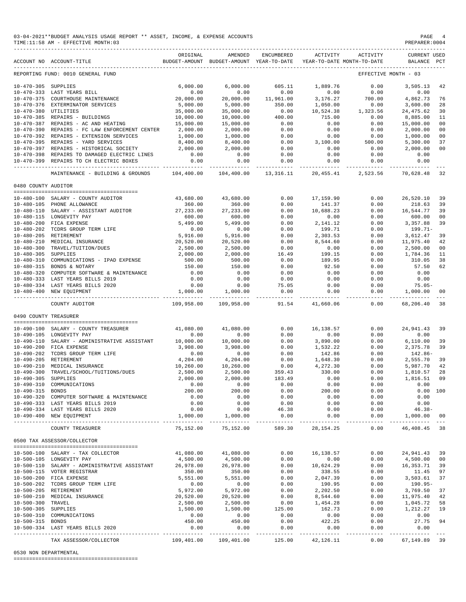|                       | 03-04-2021**BUDGET ANALYSIS USAGE REPORT ** ASSET, INCOME, & EXPENSE ACCOUNTS<br>TIME: 11:58 AM - EFFECTIVE MONTH: 03                                                   |                      |                                                                    |                         |                                                                     |                                          | PAGE<br>PREPARER: 0004             |     |
|-----------------------|-------------------------------------------------------------------------------------------------------------------------------------------------------------------------|----------------------|--------------------------------------------------------------------|-------------------------|---------------------------------------------------------------------|------------------------------------------|------------------------------------|-----|
|                       | ACCOUNT NO ACCOUNT-TITLE                                                                                                                                                | ORIGINAL             | AMENDED                                                            | ENCUMBERED              | BUDGET-AMOUNT BUDGET-AMOUNT YEAR-TO-DATE YEAR-TO-DATE MONTH-TO-DATE | ACTIVITY ACTIVITY                        | <b>CURRENT USED</b><br>BALANCE PCT |     |
|                       | REPORTING FUND: 0010 GENERAL FUND                                                                                                                                       |                      |                                                                    |                         |                                                                     | EFFECTIVE MONTH - 03                     |                                    |     |
| 10-470-305 SUPPLIES   |                                                                                                                                                                         |                      | 6,000.00                                                           | 605.11                  | 1,889.76                                                            | 0.00                                     | 3,505.13                           | 42  |
|                       | $\begin{array}{c} 6 \, , \, 0 \, 0 \, 0 \, . \, 0 \, 0 \\ 0 \, . \, 0 \, 0 \\ 2 \, 0 \, , \, 0 \, 0 \, 0 \, . \, 0 \\ \end{array}$ ENANCE<br>10-470-333 LAST YEARS BILL |                      | 0.00                                                               | 0.00                    | 0.00                                                                | 0.00                                     | 0.00                               |     |
|                       | 10-470-375 COURTHOUSE MAINTENANCE                                                                                                                                       |                      | 20,000.00                                                          | 11,961.00               | 3,176.27                                                            | 700.00                                   | 4,862.73                           | 76  |
|                       | 10-470-376 EXTERMINATOR SERVICES                                                                                                                                        | 5,000.00             | 5,000.00                                                           | 350.00                  | 1,050.00                                                            |                                          | 3,600.00                           | 28  |
| 10-470-380 UTILITIES  |                                                                                                                                                                         | 35,000.00            | 35,000.00                                                          | $0.00$<br>400.00        | 10,524.38                                                           | $1,323.56$<br>0.00                       | 24, 475.62                         | 30  |
|                       | 10-470-385 REPAIRS - BUILDINGS                                                                                                                                          | 10,000.00            | 10,000.00                                                          |                         | 715.00                                                              |                                          | 8,885.00                           | 11  |
|                       | 10-470-387 REPAIRS - AC AND HEATING                                                                                                                                     | 15,000.00            | 15,000.00                                                          | 0.00                    | 0.00                                                                | 0.00                                     | 15,000.00                          | 00  |
|                       | 10-470-390 REPAIRS - FC LAW ENFORCEMENT CENTER 2,000.00                                                                                                                 |                      | 2,000.00                                                           | 0.00                    | 0.00                                                                | 0.00                                     | 2,000.00                           | 00  |
|                       | 10-470-392 REPAIRS - EXTENSION SERVICES                                                                                                                                 | 1,000.00             | 1,000.00                                                           | 0.00                    | 0.00                                                                | 0.00                                     | 1,000.00                           | 00  |
|                       | 10-470-395 REPAIRS - YARD SERVICES<br>$10-470-395$ REPAIRS - IARD SERVICES<br>$10-470-397$ REPAIRS - HISTORICAL SOCIETY 2,000.00                                        | 8,400.00             | $\begin{array}{c} 8,400. \ 8,900.00 \ 2,000.00 \ 0.00 \end{array}$ | $0.00$<br>$0.00$        | 3,100.00                                                            | 500.00                                   | 5,300.00                           | 37  |
|                       |                                                                                                                                                                         |                      |                                                                    |                         | 0.00                                                                | 0.00                                     | 2,000.00                           | 00  |
|                       | 10-470-398 REPAIRS TO DAMAGED ELECTRIC LINES                                                                                                                            | 0.00<br>0.00         |                                                                    | 0.00                    | 0.00                                                                | 0.00                                     | 0.00                               |     |
|                       | 10-470-399 REPAIRS TO CH ELECTRIC BOXES                                                                                                                                 |                      | 0.00                                                               | 0.00                    | 0.00                                                                | 0.00                                     | 0.00                               |     |
|                       | MAINTENANCE - BUILDING & GROUNDS 104,400.00 104,400.00 13,316.11 20,455.41 2,523.56                                                                                     |                      |                                                                    |                         |                                                                     |                                          | 70,628.48 32                       |     |
| 0480 COUNTY AUDITOR   |                                                                                                                                                                         |                      |                                                                    |                         |                                                                     |                                          |                                    |     |
|                       | $10-480-100$ SALARY - COUNTY AUDITOR 43,680.00                                                                                                                          |                      | 43,680.00                                                          | 0.00                    | 17,159.90                                                           | 0.00                                     | 26,520.10                          | -39 |
|                       | 10-480-105 PHONE ALLOWANCE                                                                                                                                              | 360.00               | 360.00                                                             | 0.00                    | 141.37                                                              | 0.00                                     | 218.63                             | 39  |
|                       | $10-480-110 \quad \mathtt{SALARY} \texttt{ - ASSISTANT ADD} \texttt{.} \tag{27,233.00}$                                                                                 |                      | 27, 233.00                                                         | 0.00                    | 10,688.23                                                           | 0.00                                     | 16,544.77                          | 39  |
|                       | 10-480-115 LONGEVITY PAY                                                                                                                                                | 600.00               | 600.00                                                             | 0.00                    | 0.00                                                                | 0.00                                     | 600.00                             | 00  |
|                       |                                                                                                                                                                         | 5,499.00             | 5,499.00                                                           | 0.00                    | 2,141.12                                                            | 0.00                                     | 3,357.88                           | 39  |
|                       | 10-480-200 FICA EXPENSE<br>10-480-202 TCDRS GROUP TERM LIFE                                                                                                             | 0.00                 | 0.00                                                               | 0.00                    | 199.71                                                              | 0.00                                     | 199.71-                            |     |
|                       |                                                                                                                                                                         | 5,916.00             | 5,916.00                                                           | 0.00                    | 2,303.53                                                            | 0.00                                     | 3,612.47                           | 39  |
|                       | 10-480-210 MEDICAL INSURANCE                                                                                                                                            | 20,520.00            | 20,520.00                                                          | 0.00                    | 8,544.60                                                            | 0.00                                     | 11,975.40                          | 42  |
|                       | 10-480-300 TRAVEL/TUITION/DUES                                                                                                                                          | 2,500.00             | 2,500.00                                                           | 0.00                    | 0.00                                                                | 0.00                                     | 2,500.00                           | 00  |
| 10-480-305 SUPPLIES   |                                                                                                                                                                         | 2,000.00             | 2,000.00                                                           | 16.49                   | 199.15                                                              | 0.00                                     | 1,784.36                           | 11  |
|                       | 10-480-310 COMMUNICATIONS - IPAD EXPENSE                                                                                                                                | 500.00               | 500.00                                                             | 0.00                    | 189.95                                                              | 0.00                                     | 310.05                             | 38  |
|                       | 10-480-315 BONDS & NOTARY                                                                                                                                               | 150.00               | 150.00                                                             | 0.00                    | 92.50                                                               | 0.00                                     | 57.50                              | 62  |
|                       | 10-480-320 COMPUTER SOFTWARE & MAINTENANCE                                                                                                                              | 0.00                 | 0.00                                                               | 0.00                    | 0.00                                                                | 0.00                                     | 0.00                               |     |
|                       | 10-480-333 LAST YEARS BILLS 2019                                                                                                                                        | 0.00                 | 0.00                                                               | 0.00                    | 0.00                                                                | 0.00                                     | 0.00                               |     |
|                       | 10-480-333 LAST YEARS BILLS 2020<br>10-480-334 LAST YEARS BILLS 2020                                                                                                    | 0.00                 | 0.00                                                               | 75.05                   | 0.00                                                                | 0.00                                     | $75.05 -$                          |     |
|                       | 10-480-400 NEW EQUIPMENT                                                                                                                                                |                      | 1,000.00 1,000.00                                                  | 0.00<br>------ -        | 0.00<br>----------- ----                                            |                                          | $0.00$ 1,000.00 00                 |     |
|                       | COUNTY AUDITOR                                                                                                                                                          | 109,958.00           | 109,958.00                                                         |                         | 91.54 41,660.06                                                     | 0.00                                     | 68,206.40                          | 38  |
| 0490 COUNTY TREASURER |                                                                                                                                                                         |                      |                                                                    |                         |                                                                     |                                          |                                    |     |
|                       | $10-490-100$ SALARY - COUNTY TREASURER                                                                                                                                  | 41,080.00            | 41,080.00                                                          | 0.00                    | 16,138.57                                                           | 0.00                                     | 24, 941. 43 39                     |     |
|                       | 10-490-105 LONGEVITY PAY                                                                                                                                                | 0.00                 | 0.00                                                               | 0.00                    | 0.00                                                                | 0.00                                     | 0.00                               |     |
|                       | 10-490-110 SALARY - ADMINISTRATIVE ASSISTANT                                                                                                                            | 10,000.00            | 10,000.00                                                          | 0.00                    | 3,890.00                                                            | 0.00                                     | 6,110.00 39                        |     |
|                       | 10-490-200 FICA EXPENSE                                                                                                                                                 | 3,908.00             | 3,908.00                                                           | 0.00                    | 1,532.22                                                            | 0.00                                     | 2,375.78                           | 39  |
|                       | 10-490-202 TCDRS GROUP TERM LIFE                                                                                                                                        | 0.00                 | 0.00                                                               | 0.00                    | 142.86                                                              | 0.00                                     | 142.86-                            |     |
|                       | 10-490-205 RETIREMENT                                                                                                                                                   | 4,204.00             | 4,204.00                                                           | 0.00                    | 1,648.30                                                            | 0.00                                     | 2,555.70                           | 39  |
| $10 - 490 - 210$      | MEDICAL INSURANCE                                                                                                                                                       | 10,260.00            | 10,260.00                                                          | 0.00                    | 4,272.30                                                            | 0.00                                     | 5,987.70                           | 42  |
| $10 - 490 - 300$      | TRAVEL/SCHOOL/TUITIONS/DUES                                                                                                                                             | 2,500.00             | 2,500.00                                                           | 359.43                  | 330.00                                                              | 0.00                                     | 1,810.57 28                        |     |
| 10-490-305 SUPPLIES   |                                                                                                                                                                         | 2,000.00             | 2,000.00                                                           | 183.49                  | 0.00                                                                | 0.00                                     | 1,816.51 09                        |     |
|                       | 10-490-310 COMMUNICATIONS                                                                                                                                               | 0.00                 | 0.00                                                               | 0.00                    | 0.00                                                                | 0.00                                     | 0.00                               |     |
| 10-490-315 BONDS      |                                                                                                                                                                         | 200.00               | 200.00                                                             | 0.00                    | 200.00                                                              | 0.00                                     | 0.00 100                           |     |
|                       | 10-490-320 COMPUTER SOFTWARE & MAINTENANCE                                                                                                                              | 0.00                 | 0.00                                                               | 0.00                    | 0.00                                                                | 0.00                                     | 0.00                               |     |
|                       | 10-490-333 LAST YEARS BILLS 2019                                                                                                                                        | 0.00                 | 0.00                                                               | 0.00                    | 0.00                                                                | 0.00                                     | 0.00                               |     |
|                       | 10-490-334 LAST YEARS BILLS 2020                                                                                                                                        | 0.00                 | 0.00                                                               | 46.38                   | 0.00                                                                | 0.00                                     | $46.38 -$                          |     |
|                       | 10-490-400 NEW EQUIPMENT                                                                                                                                                | 1,000.00             | 1,000.00                                                           | 0.00                    | 0.00<br>------------                                                | 0.00<br>------------- -------------- --- | 1,000.00 00                        |     |
|                       | COUNTY TREASURER                                                                                                                                                        | 75,152.00            | 75,152.00                                                          | 589.30                  | 28, 154. 25                                                         | 0.00                                     | 46, 408. 45 38                     |     |
|                       | 0500 TAX ASSESSOR/COLLECTOR                                                                                                                                             |                      |                                                                    |                         |                                                                     |                                          |                                    |     |
|                       |                                                                                                                                                                         |                      |                                                                    |                         |                                                                     |                                          |                                    |     |
|                       | 10-500-100 SALARY - TAX COLLECTOR                                                                                                                                       | 41,080.00            | 41,080.00                                                          | 0.00                    | 16,138.57                                                           | 0.00                                     | 24,941.43 39                       |     |
|                       | 10-500-105 LONGEVITY PAY                                                                                                                                                | 4,500.00             | 4,500.00                                                           | 0.00                    | 0.00                                                                | 0.00                                     | 4,500.00 00                        |     |
|                       | 10-500-110 SALARY - ADMINISTRATIVE ASSISTANT                                                                                                                            | 26,978.00<br>350.00  | 26,978.00                                                          | 0.00                    | 10,624.29<br>338.55                                                 | 0.00                                     | 16, 353. 71 39                     |     |
|                       | 10-500-115 VOTER REGISTRAR<br>10-500-200 FICA EXPENSE                                                                                                                   | 5,551.00             | 350.00<br>5,551.00                                                 | 0.00<br>0.00            | 2,047.39                                                            | 0.00<br>0.00                             | 11.45 97<br>3,503.61 37            |     |
|                       | 10-500-202 TCDRS GROUP TERM LIFE                                                                                                                                        | 0.00                 | 0.00                                                               | 0.00                    | 190.95                                                              | 0.00                                     | 190.95-                            |     |
|                       | 10-500-205 RETIREMENT                                                                                                                                                   | 5,972.00             | 5,972.00                                                           | 0.00                    | 2,202.50                                                            | 0.00                                     | 3,769.50                           | 37  |
|                       | 10-500-210 MEDICAL INSURANCE                                                                                                                                            | 20,520.00            | 20,520.00                                                          | 0.00                    | 8,544.60                                                            | 0.00                                     | 11,975.40                          | 42  |
| 10-500-300 TRAVEL     |                                                                                                                                                                         |                      | 2,500.00                                                           | 0.00                    | 1,454.28                                                            | 0.00                                     |                                    |     |
| 10-500-305 SUPPLIES   |                                                                                                                                                                         | 2,500.00<br>1,500.00 | 1,500.00                                                           | 125.00                  | 162.73                                                              | 0.00                                     | 1,045.72 58<br>1,212.27            | 19  |
|                       | 10-500-310 COMMUNICATIONS                                                                                                                                               | 0.00                 | 0.00                                                               | 0.00                    | 0.00                                                                | 0.00                                     | 0.00                               |     |
| 10-500-315 BONDS      |                                                                                                                                                                         | 450.00               | 450.00                                                             | 0.00                    | 422.25                                                              | 0.00                                     | 27.75 94                           |     |
|                       | 10-500-334 LAST YEARS BILLS 2020                                                                                                                                        | 0.00                 | 0.00                                                               | 0.00                    | 0.00                                                                | 0.00                                     | 0.00                               |     |
|                       | TAX ASSESSOR/COLLECTOR                                                                                                                                                  | 109,401.00           | 109,401.00                                                         | -------------<br>125.00 | 42,126.11                                                           | 0.00                                     | 67, 149.89 39                      |     |
|                       |                                                                                                                                                                         |                      |                                                                    |                         |                                                                     |                                          |                                    |     |

## 0530 NON DEPARTMENTAL

========================================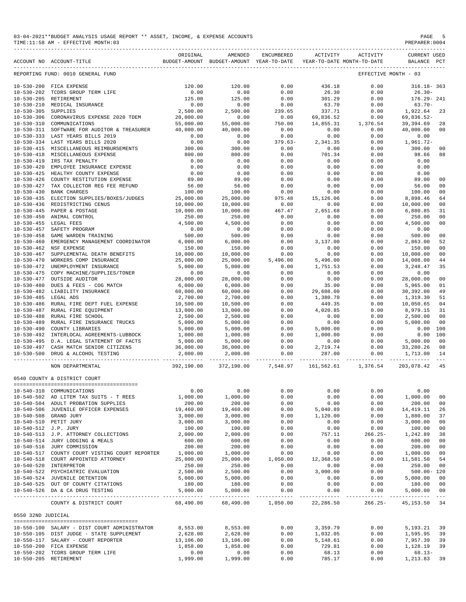| 03-04-2021**BUDGET ANALYSIS USAGE REPORT ** ASSET, INCOME, & EXPENSE ACCOUNTS | PAGE           |
|-------------------------------------------------------------------------------|----------------|
| TIME:11:58 AM - EFFECTIVE MONTH:03                                            | PREPARER: 0004 |

|                      |                                                                                                                                                                                                                                                                                                          | ORIGINAL                           | AMENDED                                                                                                                                                                                                                          | ENCUMBERED                                           | ACTIVITY             | ACTIVITY               | <b>CURRENT USED</b><br>BALANCE PCT                                                                                                                                                  |                                  |
|----------------------|----------------------------------------------------------------------------------------------------------------------------------------------------------------------------------------------------------------------------------------------------------------------------------------------------------|------------------------------------|----------------------------------------------------------------------------------------------------------------------------------------------------------------------------------------------------------------------------------|------------------------------------------------------|----------------------|------------------------|-------------------------------------------------------------------------------------------------------------------------------------------------------------------------------------|----------------------------------|
|                      | REPORTING FUND: 0010 GENERAL FUND                                                                                                                                                                                                                                                                        |                                    |                                                                                                                                                                                                                                  |                                                      |                      |                        | EFFECTIVE MONTH - 03                                                                                                                                                                |                                  |
|                      |                                                                                                                                                                                                                                                                                                          | 120.00                             | 120.00                                                                                                                                                                                                                           | 0.00                                                 | 436.18               | 0.00                   | $316.18 - 363$                                                                                                                                                                      |                                  |
|                      |                                                                                                                                                                                                                                                                                                          | 0.00                               | 0.00                                                                                                                                                                                                                             | 0.00                                                 | 26.30                | 0.00                   | $26.30-$                                                                                                                                                                            |                                  |
|                      | 10-530-200 FICA EXPENSE<br>10-530-202 TCDRS GROUP TERM LIFE<br>10-530-205 RETIREMENT<br>10-530-210 MEDICAL INSURANCE<br>10-530-305 SUPPLIES                                                                                                                                                              | $0.00$<br>125.00<br>0.00           |                                                                                                                                                                                                                                  | 0.00                                                 | 301.29               | 0.00                   | 176.29- 241                                                                                                                                                                         |                                  |
|                      |                                                                                                                                                                                                                                                                                                          |                                    | $125.00$<br>$0.00$                                                                                                                                                                                                               | 0.00                                                 | 63.70                | 0.00                   | $63.70 -$                                                                                                                                                                           |                                  |
| 10-530-305 SUPPLIES  |                                                                                                                                                                                                                                                                                                          | 2,500.00                           | $2,500.00$ $239.65$ $337.71$ $0.00$<br>$0.00$ $0.00$ $0.00$ $0.00$ $0.00$ $0.00$ $0.00$ $0.00$ $0.00$ $0.00$ $0.00$ $0.00$ $0.00$ $0.00$ $0.00$ $0.00$ $0.00$ $0.00$ $0.00$ $0.00$ $0.00$ $0.00$ $0.00$ $0.00$ $0.00$ $0.00$ $0$ |                                                      |                      |                        | $\begin{array}{cccc} 0.00 & 63.70- \ 0.00 & 1,922.64 \ 0.00 & 69.836.52- \ 0.65 & 69.836.52- \ 0.00 & 40,000.00 \ 0.00 & 0.00 & 0.00 \ 0.00 & 1,961.72- \ 0.00 & 98.66 \end{array}$ | 23                               |
|                      | 10-530-306 CORONAVIRUS EXPENSE 2020 TDEM 20,000.00                                                                                                                                                                                                                                                       |                                    |                                                                                                                                                                                                                                  |                                                      |                      |                        |                                                                                                                                                                                     |                                  |
|                      | 10-530-310 COMMUNICATIONS                                                                                                                                                                                                                                                                                | 55,000.00                          |                                                                                                                                                                                                                                  |                                                      |                      |                        |                                                                                                                                                                                     | 28                               |
|                      | 10-530-311 SOFTWARE FOR AUDITOR & TREASURER 40,000.00                                                                                                                                                                                                                                                    |                                    |                                                                                                                                                                                                                                  |                                                      |                      |                        |                                                                                                                                                                                     | 0 <sub>0</sub>                   |
|                      | 10-530-333 LAST YEARS BILLS 2019                                                                                                                                                                                                                                                                         | 0.00                               |                                                                                                                                                                                                                                  |                                                      |                      |                        |                                                                                                                                                                                     |                                  |
|                      | 10-530-334 LAST YEARS BILLS 2020                                                                                                                                                                                                                                                                         | $0.00$<br>0.00<br>300.00<br>900.00 |                                                                                                                                                                                                                                  |                                                      |                      |                        |                                                                                                                                                                                     |                                  |
|                      | 10-530-415 MISCELLANEOUS REIMBURSEMENTS<br>10-530-415 MISCELLANEOUS REIMBURSEMENTS<br>10-530-419 IRS TAX PENALTY<br>10-530-420 EMPLOYEE INSURANCE EXPENSE<br>10-530-425 HEALTHY COUNTY EXPENSE                                                                                                           |                                    |                                                                                                                                                                                                                                  |                                                      |                      |                        |                                                                                                                                                                                     | 0 <sup>0</sup>                   |
|                      |                                                                                                                                                                                                                                                                                                          | 800.00                             |                                                                                                                                                                                                                                  |                                                      |                      |                        |                                                                                                                                                                                     | 88                               |
|                      |                                                                                                                                                                                                                                                                                                          | 0.00                               | 0.00                                                                                                                                                                                                                             | 0.00                                                 | 0.00                 | $0.00$<br>0.00<br>0.00 | 0.00                                                                                                                                                                                |                                  |
|                      |                                                                                                                                                                                                                                                                                                          | 0.00                               | 0.00                                                                                                                                                                                                                             | $0.00$<br>$0.00$                                     | 0.00                 |                        | 0.00                                                                                                                                                                                |                                  |
|                      | $10-530-420$ $10-530-426$ $10-530-426$ $10-530-426$ COUNTY RESTITUTION EXPENSE<br>$10-530-427$ TAX COLLECTOR REG FEE REFUND<br>$10-530-427$ TAX COLLECTOR REG FEE REFUND<br>$100.00$ $100.00$                                                                                                            |                                    | 0.00                                                                                                                                                                                                                             |                                                      | 0.00                 | $0.00$<br>0.00<br>00   | 0.00                                                                                                                                                                                |                                  |
|                      |                                                                                                                                                                                                                                                                                                          |                                    | 89.00                                                                                                                                                                                                                            | 0.00                                                 |                      | 0.00                   | 89.00                                                                                                                                                                               | 0 <sub>0</sub>                   |
|                      |                                                                                                                                                                                                                                                                                                          |                                    | $56.00$<br>$100.00$                                                                                                                                                                                                              | $0.00$<br>$0.00$                                     |                      | 0.00                   | 56.00                                                                                                                                                                               | 0 <sub>0</sub>                   |
|                      |                                                                                                                                                                                                                                                                                                          |                                    |                                                                                                                                                                                                                                  |                                                      | 0.00                 |                        |                                                                                                                                                                                     | 0 <sub>0</sub>                   |
|                      | 10-530-435 ELECTION SUPPLIES/BOXES/JUDGES 25,000.00                                                                                                                                                                                                                                                      |                                    |                                                                                                                                                                                                                                  |                                                      |                      |                        |                                                                                                                                                                                     | 64                               |
|                      | 10-530-436 REDISTRICTING CENUS                                                                                                                                                                                                                                                                           | 10,000.00                          | $100000$<br>$10,000.00$<br>$10,000.00$<br>$250.00$                                                                                                                                                                               | $975.48$ $15,126.06$<br>0.00 0.00<br>467.47 2,651.68 |                      |                        | $\begin{array}{cccc} 0.00 & 100.00 \\ 0.00 & 8,898.46 \\ 0.00 & 8,898.46 \\ 0.00 & 10,000.00 \\ 0.00 & 6,880.85 \\ 0.00 & 250.00 \\ 0.00 & 4,500.00 \\ \end{array}$                 | 0 <sub>0</sub>                   |
|                      | 10-530-445 PAPER & POSTAGE                                                                                                                                                                                                                                                                               | 10,000.00                          |                                                                                                                                                                                                                                  |                                                      |                      |                        |                                                                                                                                                                                     | 31                               |
|                      | ning<br>.<br>10-530-450 ANIMAL CONTROL                                                                                                                                                                                                                                                                   | 250.00                             |                                                                                                                                                                                                                                  | $467.47$<br>0.00<br>0.00<br>0.00                     |                      |                        |                                                                                                                                                                                     | 0 <sub>0</sub>                   |
|                      | 10-530-455 LEGAL FEES                                                                                                                                                                                                                                                                                    | 4,500.00                           |                                                                                                                                                                                                                                  |                                                      |                      |                        |                                                                                                                                                                                     | 0 <sub>0</sub>                   |
| $10 - 530 - 457$     | SAFETY PROGRAM                                                                                                                                                                                                                                                                                           | 0.00<br>500.00                     |                                                                                                                                                                                                                                  |                                                      |                      |                        |                                                                                                                                                                                     |                                  |
|                      | 10-530-458 GAME WARDEN TRAINING                                                                                                                                                                                                                                                                          |                                    |                                                                                                                                                                                                                                  |                                                      |                      |                        | $\begin{array}{ccc} 0\, .\, 00 & 0\, .\, 00 \\ 0\, .\, 00 & 500\, .\, 00 \\ 0\, .\, 00 & 2\, ,\, 863\, .\, 00 \\ \end{array}$                                                       | 0 <sub>0</sub><br>52             |
| $10 - 530 - 460$     | EMERGENCY MANAGEMENT COORDINATOR<br>10-530-462 NSF EXPENSE                                                                                                                                                                                                                                               | 6,000.00                           |                                                                                                                                                                                                                                  |                                                      |                      |                        |                                                                                                                                                                                     | 0 <sub>0</sub>                   |
| $10 - 530 - 467$     |                                                                                                                                                                                                                                                                                                          | 150.00                             |                                                                                                                                                                                                                                  |                                                      |                      | 0.00<br>0.00           | $150.00$<br>$10,000.00$                                                                                                                                                             | 0 <sub>0</sub>                   |
|                      | ${\tt SUPPLEMENTAL} \quad {\tt DEATH} \quad {\tt BENEFITS} \qquad \qquad {\tt 10,000.00}$<br>10-530-470 WORKERS COMP INSURANCE                                                                                                                                                                           | 25,000.00                          |                                                                                                                                                                                                                                  |                                                      |                      | 0.00                   |                                                                                                                                                                                     | 44                               |
|                      |                                                                                                                                                                                                                                                                                                          |                                    |                                                                                                                                                                                                                                  |                                                      |                      |                        | 14,008.00                                                                                                                                                                           | 35                               |
|                      | 10-530-472 UNEMPLOYMENT INSURANCE<br>10-530-475 COPY MACHINE/SUPPLIES/TONER 5,000.00<br>10-530-477 OUTSIDE AUDITOR 28,000.00                                                                                                                                                                             |                                    |                                                                                                                                                                                                                                  |                                                      |                      |                        |                                                                                                                                                                                     |                                  |
|                      |                                                                                                                                                                                                                                                                                                          |                                    |                                                                                                                                                                                                                                  |                                                      |                      |                        |                                                                                                                                                                                     | 0 <sub>0</sub>                   |
|                      | 10-530-480 DUES & FEES - COG MATCH $6,000.00$<br>10-530-482 LIABILITY INSURANCE 60,000.00<br>10-530-485 LEGAL ADS 2,700.00                                                                                                                                                                               |                                    |                                                                                                                                                                                                                                  |                                                      |                      |                        |                                                                                                                                                                                     | 01                               |
|                      |                                                                                                                                                                                                                                                                                                          |                                    |                                                                                                                                                                                                                                  |                                                      |                      |                        |                                                                                                                                                                                     | 49                               |
|                      |                                                                                                                                                                                                                                                                                                          |                                    |                                                                                                                                                                                                                                  |                                                      |                      |                        |                                                                                                                                                                                     | 51                               |
|                      | 10-530-486 RURAL FIRE DEPT FUEL EXPENSE                                                                                                                                                                                                                                                                  |                                    |                                                                                                                                                                                                                                  |                                                      |                      |                        |                                                                                                                                                                                     | 04                               |
|                      | 10-530-487 RURAL FIRE EQUIPMENT<br>10-530-488 RURAL FIRE SCHOOL                                                                                                                                                                                                                                          |                                    |                                                                                                                                                                                                                                  |                                                      |                      |                        |                                                                                                                                                                                     | 31                               |
|                      |                                                                                                                                                                                                                                                                                                          |                                    |                                                                                                                                                                                                                                  |                                                      |                      |                        |                                                                                                                                                                                     | 0 <sub>0</sub>                   |
|                      | 10-530-489 RURAL FIRE INSURANCE TRUCKS $5,000.00$                                                                                                                                                                                                                                                        |                                    |                                                                                                                                                                                                                                  |                                                      |                      |                        |                                                                                                                                                                                     | 0 <sub>0</sub>                   |
|                      | 10-530-490 COUNTY LIBRARIES                                                                                                                                                                                                                                                                              |                                    |                                                                                                                                                                                                                                  |                                                      |                      |                        | 0.00 100                                                                                                                                                                            |                                  |
|                      | 10-530-492 INTERLOCAL AGREEMENTS-LUBBOCK                                                                                                                                                                                                                                                                 |                                    |                                                                                                                                                                                                                                  |                                                      |                      |                        | 0.00 100                                                                                                                                                                            |                                  |
|                      | 10-530-495 D.A. LEGAL STATEMENT OF FACTS                                                                                                                                                                                                                                                                 |                                    |                                                                                                                                                                                                                                  |                                                      |                      |                        |                                                                                                                                                                                     | 0 <sub>0</sub>                   |
|                      | 10-530-497 CASH MATCH SENIOR CITIZENS                                                                                                                                                                                                                                                                    |                                    |                                                                                                                                                                                                                                  |                                                      |                      |                        |                                                                                                                                                                                     | 08                               |
|                      | 10-530-500 DRUG & ALCOHOL TESTING                                                                                                                                                                                                                                                                        |                                    |                                                                                                                                                                                                                                  |                                                      |                      |                        |                                                                                                                                                                                     | 14                               |
|                      | $\begin{array}{cccccccc} 30-479 & \text{WORKERS COVE}\ \text{MSE} & 5000.00 & 50 & 5000.00 & 5000.00 & 5000.00 & 5000.00 & 5000.00 & 5000.00 & 5000.00 & 5000.00 & 5000.00 & 5000.00 & 5000.00 & 5000.00 & 5000.00 & 5000.00 & 5000.00 & 5000.00 & 5000.00 & 5000.00 & 5000.00 & 50$<br>NON DEPARTMENTAL |                                    | $392,190.00 \qquad 372,190.00 \qquad \quad 7,548.97 \qquad 161,562.61 \qquad \quad 1,376.54 \qquad \quad 203,078.42$                                                                                                             |                                                      |                      |                        |                                                                                                                                                                                     | 45                               |
|                      | 0540 COUNTY & DISTRICT COURT                                                                                                                                                                                                                                                                             |                                    |                                                                                                                                                                                                                                  |                                                      |                      |                        |                                                                                                                                                                                     |                                  |
|                      |                                                                                                                                                                                                                                                                                                          |                                    |                                                                                                                                                                                                                                  |                                                      |                      |                        |                                                                                                                                                                                     |                                  |
|                      | 10-540-310 COMMUNICATIONS                                                                                                                                                                                                                                                                                | 0.00                               | 0.00                                                                                                                                                                                                                             | 0.00                                                 | 0.00                 | 0.00                   | 0.00                                                                                                                                                                                |                                  |
|                      | 10-540-502 AD LITEM TAX SUITS - T REES                                                                                                                                                                                                                                                                   | 1,000.00                           | 1,000.00                                                                                                                                                                                                                         | 0.00                                                 | 0.00                 | 0.00                   | 1,000.00                                                                                                                                                                            | 0 <sub>0</sub>                   |
|                      | 10-540-504 ADULT PROBATION SUPPLIES                                                                                                                                                                                                                                                                      | 200.00                             | 200.00                                                                                                                                                                                                                           | 0.00                                                 | 0.00                 | 0.00                   | 200.00                                                                                                                                                                              | 0 <sub>0</sub>                   |
|                      | 10-540-506 JUVENILE OFFICER EXPENSES                                                                                                                                                                                                                                                                     | 19,460.00                          | 19,460.00                                                                                                                                                                                                                        | 0.00                                                 | 5,040.89             | 0.00                   | 14, 419.11                                                                                                                                                                          | 26                               |
|                      | 10-540-508 GRAND JURY                                                                                                                                                                                                                                                                                    | 3,000.00                           | 3,000.00                                                                                                                                                                                                                         | 0.00                                                 | 1,120.00             | 0.00                   | 1,880.00                                                                                                                                                                            | 37                               |
|                      | 10-540-510 PETIT JURY                                                                                                                                                                                                                                                                                    | 3,000.00                           | 3,000.00                                                                                                                                                                                                                         | 0.00                                                 | 0.00                 | 0.00                   | 3,000.00                                                                                                                                                                            | 0 <sub>0</sub>                   |
| 10-540-512 J.P. JURY |                                                                                                                                                                                                                                                                                                          | 100.00                             | 100.00                                                                                                                                                                                                                           | 0.00                                                 | 0.00                 | 0.00                   | 100.00                                                                                                                                                                              | 0 <sub>0</sub>                   |
|                      | 10-540-513 J.P. ATTORNEY COLLECTIONS                                                                                                                                                                                                                                                                     | 2,000.00                           | 2,000.00                                                                                                                                                                                                                         | 0.00                                                 | 757.11               | $266.25-$              | 1,242.89                                                                                                                                                                            | 38                               |
|                      | 10-540-514 JURY LODGING & MEALS                                                                                                                                                                                                                                                                          | 600.00                             | 600.00                                                                                                                                                                                                                           | 0.00                                                 | 0.00                 | 0.00                   | 600.00                                                                                                                                                                              | 0 <sub>0</sub>                   |
|                      | 10-540-516 JURY COMMISSION                                                                                                                                                                                                                                                                               | 200.00                             | 200.00                                                                                                                                                                                                                           | 0.00                                                 | 0.00                 | 0.00                   | 200.00                                                                                                                                                                              | 0 <sub>0</sub>                   |
|                      | 10-540-517 COUNTY COURT VISTING COURT REPORTER                                                                                                                                                                                                                                                           | 1,000.00                           | 1,000.00                                                                                                                                                                                                                         | 0.00                                                 | 0.00                 | 0.00                   | 1,000.00                                                                                                                                                                            | 0 <sub>0</sub>                   |
|                      | 10-540-518 COURT APPOINTED ATTORNEY                                                                                                                                                                                                                                                                      | 25,000.00                          | 25,000.00                                                                                                                                                                                                                        | 1,050.00                                             | 12,368.50            | 0.00                   | 11,581.50                                                                                                                                                                           | 54                               |
|                      | 10-540-520 INTERPRETOR                                                                                                                                                                                                                                                                                   | 250.00                             | 250.00                                                                                                                                                                                                                           | 0.00                                                 | 0.00                 | 0.00                   | 250.00                                                                                                                                                                              | 0 <sub>0</sub>                   |
|                      | 10-540-522 PSYCHIATRIC EVALUATION                                                                                                                                                                                                                                                                        | 2,500.00                           | 2,500.00                                                                                                                                                                                                                         | 0.00                                                 | 3,000.00             | 0.00                   | $500.00 - 120$                                                                                                                                                                      |                                  |
|                      | 10-540-524 JUVENILE DETENTION                                                                                                                                                                                                                                                                            | 5,000.00                           | 5,000.00                                                                                                                                                                                                                         | 0.00                                                 | 0.00                 | 0.00                   | 5,000.00                                                                                                                                                                            | 0 <sub>0</sub>                   |
|                      | 10-540-525 OUT OF COUNTY CITATIONS<br>10-540-526 DA & CA DRUG TESTING                                                                                                                                                                                                                                    | 180.00<br>5,000.00                 | 180.00<br>5,000.00                                                                                                                                                                                                               | 0.00<br>0.00                                         | 0.00<br>0.00         | 0.00<br>0.00           | 180.00<br>5,000.00                                                                                                                                                                  | 0 <sub>0</sub><br>0 <sub>0</sub> |
|                      | COUNTY & DISTRICT COURT                                                                                                                                                                                                                                                                                  | ______________<br>68,490.00        | -----------<br>68,490.00                                                                                                                                                                                                         | $- - - - -$<br>1,050.00                              | 22,286.50            | $266.25 -$             | 45, 153.50 34                                                                                                                                                                       | $- - -$                          |
| 0550 32ND JUDICIAL   |                                                                                                                                                                                                                                                                                                          |                                    |                                                                                                                                                                                                                                  |                                                      |                      |                        |                                                                                                                                                                                     |                                  |
|                      |                                                                                                                                                                                                                                                                                                          |                                    |                                                                                                                                                                                                                                  |                                                      |                      |                        |                                                                                                                                                                                     |                                  |
|                      | 10-550-100 SALARY - DIST COURT ADMINISTRATOR                                                                                                                                                                                                                                                             | 8,553.00                           | 8,553.00                                                                                                                                                                                                                         | 0.00                                                 | 3,359.79             | 0.00                   | 5,193.21                                                                                                                                                                            | 39                               |
|                      | 10-550-105 DIST JUDGE - STATE SUPPLEMENT<br>10-550-117 SALARY - COURT REPORTER                                                                                                                                                                                                                           | 2,628.00<br>13,106.00              | 2,628.00<br>13,106.00                                                                                                                                                                                                            | 0.00<br>0.00                                         | 1,032.05<br>5,148.61 | 0.00<br>0.00           | 1,595.95<br>7,957.39                                                                                                                                                                | 39<br>39                         |
|                      | 10-550-200 FICA EXPENSE                                                                                                                                                                                                                                                                                  | 1,858.00                           | 1,858.00                                                                                                                                                                                                                         | 0.00                                                 | 729.81               | 0.00                   | 1,128.19                                                                                                                                                                            | 39                               |
|                      | 10-550-202 TCDRS GROUP TERM LIFE                                                                                                                                                                                                                                                                         | 0.00                               | 0.00                                                                                                                                                                                                                             | 0.00                                                 | 68.13                | 0.00                   | $68.13 -$                                                                                                                                                                           |                                  |
|                      |                                                                                                                                                                                                                                                                                                          |                                    |                                                                                                                                                                                                                                  |                                                      |                      |                        |                                                                                                                                                                                     |                                  |

10-550-205 RETIREMENT 1,999.00 1,999.00 0.00 785.17 0.00 1,213.83 39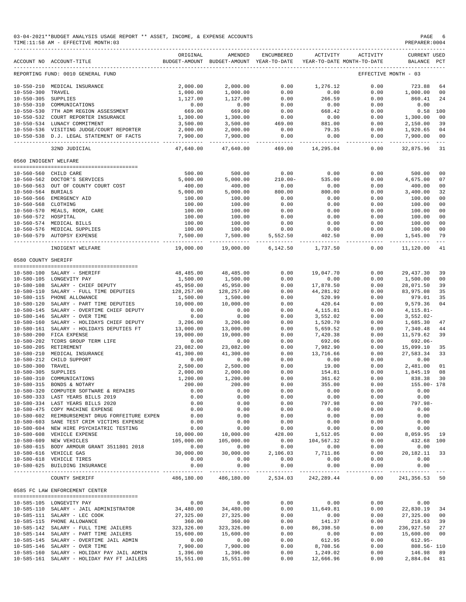| 03-04-2021**BUDGET ANALYSIS USAGE REPORT ** ASSET, INCOME, & EXPENSE ACCOUNTS | PAGE           |
|-------------------------------------------------------------------------------|----------------|
| TIME:11:58 AM - EFFECTIVE MONTH:03                                            | PREPARER: 0004 |

|                       | ACCOUNT NO ACCOUNT-TITLE                       | ORIGINAL             | AMENDED<br>BUDGET-AMOUNT BUDGET-AMOUNT YEAR-TO-DATE | ENCUMBERED | ACTIVITY   | ACTIVITY<br>YEAR-TO-DATE MONTH-TO-DATE | <b>CURRENT USED</b><br>BALANCE PCT |                      |
|-----------------------|------------------------------------------------|----------------------|-----------------------------------------------------|------------|------------|----------------------------------------|------------------------------------|----------------------|
|                       | REPORTING FUND: 0010 GENERAL FUND              |                      |                                                     |            |            |                                        | EFFECTIVE MONTH - 03               |                      |
|                       | 10-550-210 MEDICAL INSURANCE                   | 2,000.00             | 2,000.00                                            | 0.00       | 1,276.12   | 0.00                                   | 723.88                             | 64                   |
| $10 - 550 - 300$      | TRAVEL                                         | 1,000.00             | 1,000.00                                            | 0.00       | 0.00       | 0.00                                   | 1,000.00                           | 00                   |
| 10-550-305 SUPPLIES   |                                                | 1,127.00             | 1,127.00                                            | 0.00       | 266.59     | 0.00                                   | 860.41                             | 24                   |
|                       | 10-550-310 COMMUNICATIONS                      | 0.00                 | 0.00                                                | 0.00       | 0.00       | 0.00                                   | 0.00                               |                      |
|                       | 10-550-530 7TH ADM REGION ASSESSMENT           | 669.00               | 669.00                                              | 0.00       | 668.42     | 0.00                                   | $0.58$ 100                         |                      |
|                       | 10-550-532 COURT REPORTER INSURANCE            | 1,300.00             | 1,300.00                                            | 0.00       | 0.00       | 0.00                                   | 1,300.00                           | 00                   |
|                       | 10-550-534 LUNACY COMMITMENT                   |                      |                                                     |            |            |                                        |                                    |                      |
|                       |                                                | 3,500.00<br>2,000.00 | 3,500.00<br>2,000.00                                | 469.00     | 881.00     | 0.00                                   | 2,150.00                           | 39                   |
|                       | 10-550-536 VISITING JUDGE/COURT REPORTER       |                      |                                                     | 0.00       | 79.35      | 0.00                                   | 1,920.65                           | 04<br>0 <sup>0</sup> |
|                       | 10-550-538 D.J. LEGAL STATEMENT OF FACTS       | 7,900.00             | 7,900.00                                            | 0.00       | 0.00       | 0.00<br>-------                        | 7,900.00<br>--------------         | $\sim$ $ \sim$       |
|                       | 32ND JUDICIAL                                  | 47,640.00            | 47,640.00                                           | 469.00     | 14,295.04  | 0.00                                   | 32,875.96                          | 31                   |
| 0560 INDIGENT WELFARE |                                                |                      |                                                     |            |            |                                        |                                    |                      |
|                       | 10-560-560 CHILD CARE                          | 500.00               | 500.00                                              | 0.00       | 0.00       | 0.00                                   | 500.00                             | 00                   |
|                       | 10-560-562 DOCTOR'S SERVICES                   | 5,000.00             | 5,000.00                                            | $210.00 -$ | 535.00     | 0.00                                   | 4,675.00                           | 07                   |
|                       |                                                |                      |                                                     |            |            |                                        |                                    |                      |
|                       | 10-560-563 OUT OF COUNTY COURT COST            | 400.00               | 400.00                                              | 0.00       | 0.00       | 0.00                                   | 400.00                             | 00                   |
| 10-560-564 BURIALS    |                                                | 5,000.00             | 5,000.00                                            | 800.00     | 800.00     | 0.00                                   | 3,400.00                           | 32                   |
|                       | 10-560-566 EMERGENCY AID                       | 100.00               | 100.00                                              | 0.00       | 0.00       | 0.00                                   | 100.00                             | 00                   |
| 10-560-568 CLOTHING   |                                                | 100.00               | 100.00                                              | 0.00       | 0.00       | 0.00                                   | 100.00                             | 0 <sub>0</sub>       |
|                       | 10-560-570 MEALS, ROOM, CARE                   | 100.00               | 100.00                                              | 0.00       | 0.00       | 0.00                                   | 100.00                             | 0 <sub>0</sub>       |
| 10-560-572 HOSPITAL   |                                                | 100.00               | 100.00                                              | 0.00       | 0.00       | 0.00                                   | 100.00                             | 0 <sub>0</sub>       |
|                       | 10-560-574 MEDICAL BILLS                       | 100.00               | 100.00                                              | 0.00       | 0.00       | 0.00                                   | 100.00                             | 0 <sub>0</sub>       |
|                       | 10-560-576 MEDICAL SUPPLIES                    | 100.00               | 100.00                                              | 0.00       | 0.00       | 0.00                                   | 100.00                             | 0 <sub>0</sub>       |
|                       | 10-560-579 AUTOPSY EXPENSE                     | 7,500.00             | 7,500.00                                            | 5,552.50   | 402.50     | 0.00                                   | 1,545.00                           | 79                   |
|                       | INDIGENT WELFARE                               | 19,000.00            | 19,000.00                                           | 6,142.50   | 1,737.50   | 0.00                                   | 11,120.00                          | 41                   |
| 0580 COUNTY SHERIFF   |                                                |                      |                                                     |            |            |                                        |                                    |                      |
|                       |                                                |                      |                                                     |            |            |                                        |                                    |                      |
|                       | 10-580-100 SALARY - SHERIFF                    | 48,485.00            | 48,485.00                                           | 0.00       | 19,047.70  | 0.00                                   | 29, 437.30                         | 39                   |
|                       | 10-580-105 LONGEVITY PAY                       | 1,500.00             | 1,500.00                                            | 0.00       | 0.00       | 0.00                                   | 1,500.00                           | 0 <sub>0</sub>       |
|                       | 10-580-108 SALARY - CHIEF DEPUTY               | 45,950.00            | 45,950.00                                           | 0.00       | 17,878.50  | 0.00                                   | 28,071.50                          | 39                   |
|                       | 10-580-110 SALARY - FULL TIME DEPUTIES         | 128,257.00           | 128,257.00                                          | 0.00       | 44,281.92  | 0.00                                   | 83,975.08                          | 35                   |
|                       | 10-580-115 PHONE ALLOWANCE                     | 1,500.00             | 1,500.00                                            | 0.00       | 520.99     | 0.00                                   | 979.01                             | 35                   |
| 10-580-120            | SALARY - PART TIME DEPUTIES                    | 10,000.00            | 10,000.00                                           | 0.00       | 420.64     | 0.00                                   | 9,579.36                           | 04                   |
| $10 - 580 - 145$      | SALARY - OVERTIME CHIEF DEPUTY                 | 0.00                 | 0.00                                                | 0.00       | 4,115.81   | 0.00                                   | $4, 115.81 -$                      |                      |
| $10 - 580 - 146$      | SALARY - OVER TIME                             | 0.00                 | 0.00                                                | 0.00       | 3,552.02   | 0.00                                   | $3,552.02-$                        |                      |
| $10 - 580 - 160$      | SALARY - HOLIDAYS CHIEF DEPUTY                 | 3,206.00             | 3,206.00                                            | 0.00       | 1,520.70   | 0.00                                   | 1,685.30                           | 47                   |
| $10 - 580 - 161$      | SALARY - HOLIDAYS DEPUTIES FT                  | 13,000.00            | 13,000.00                                           | 0.00       | 5,659.52   | 0.00                                   | 7,340.48                           | 44                   |
| $10 - 580 - 200$      | FICA EXPENSE                                   | 19,000.00            | 19,000.00                                           | 0.00       | 7,420.38   | 0.00                                   | 11,579.62                          | 39                   |
| $10 - 580 - 202$      |                                                |                      |                                                     |            |            | 0.00                                   | $692.06 -$                         |                      |
|                       | TCDRS GROUP TERM LIFE                          | 0.00                 | 0.00                                                | 0.00       | 692.06     |                                        |                                    |                      |
| $10 - 580 - 205$      | RETIREMENT                                     | 23,082.00            | 23,082.00                                           | 0.00       | 7,982.90   | 0.00                                   | 15,099.10                          | 35                   |
| $10 - 580 - 210$      | MEDICAL INSURANCE                              | 41,300.00            | 41,300.00                                           | 0.00       | 13,716.66  | 0.00                                   | 27,583.34                          | 33                   |
|                       | 10-580-212 CHILD SUPPORT                       | 0.00                 | 0.00                                                | 0.00       | 0.00       | 0.00                                   | 0.00                               |                      |
| $10 - 580 - 300$      | TRAVEL                                         | 2,500.00             | 2,500.00                                            | 0.00       | 19.00      | 0.00                                   | 2,481.00                           | 01                   |
| $10 - 580 - 305$      | SUPPLIES                                       | 2,000.00             | 2,000.00                                            | 0.00       | 154.81     | 0.00                                   | 1,845.19                           | 08                   |
| $10 - 580 - 310$      | COMMUNICATIONS                                 | 1,200.00             | 1,200.00                                            | 0.00       | 361.62     | 0.00                                   | 838.38                             | 30                   |
|                       | 10-580-315 BONDS & NOTARY                      | 200.00               | 200.00                                              | 0.00       | 355.00     | 0.00                                   | 155.00- 178                        |                      |
|                       | 10-580-320 COMPUTER SOFTWARE & REPAIRS         | 0.00                 | 0.00                                                | 0.00       | 0.00       | 0.00                                   | 0.00                               |                      |
|                       | 10-580-333 LAST YEARS BILLS 2019               | 0.00                 | 0.00                                                | 0.00       | 0.00       | 0.00                                   | 0.00                               |                      |
|                       | 10-580-334 LAST YEARS BILLS 2020               | 0.00                 | 0.00                                                | 0.00       | 797.98     | 0.00                                   | $797.98 -$                         |                      |
|                       | 10-580-475 COPY MACHINE EXPENSE                | 0.00                 | 0.00                                                | 0.00       | 0.00       | 0.00                                   | 0.00                               |                      |
|                       | 10-580-602 REIMBURSEMENT DRUG FORFEITURE EXPEN | 0.00                 | 0.00                                                | 0.00       | 0.00       | 0.00                                   | 0.00                               |                      |
|                       | 10-580-603 SANE TEST CRIM VICTIMS EXPENSE      | 0.00                 | 0.00                                                | 0.00       | 0.00       | 0.00                                   | 0.00                               |                      |
|                       | 10-580-604 NEW HIRE PSYCHIATRIC TESTING        | 0.00                 | 0.00                                                | 0.00       | 0.00       | 0.00                                   | 0.00                               |                      |
|                       |                                                |                      |                                                     |            | 1,512.05   | 0.00                                   |                                    | 19                   |
|                       | 10-580-608 VEHICLE EXPENSE                     | 10,000.00            | 10,000.00                                           | 428.00     |            |                                        | 8,059.95                           |                      |
|                       | 10-580-609 NEW VEHICLES                        | 105,000.00           | 105,000.00                                          | 0.00       | 104,567.32 | 0.00                                   | 432.68 100                         |                      |
|                       | 10-580-615 BODY ARMOUR GRANT 3511801 2018      | 0.00                 | 0.00                                                | 0.00       | 0.00       | 0.00                                   | 0.00                               |                      |
|                       | 10-580-616 VEHICLE GAS                         | 30,000.00            | 30,000.00                                           | 2,106.03   | 7,711.86   | 0.00                                   | 20, 182. 11 33                     |                      |
|                       | 10-580-618 VEHICLE TIRES                       | 0.00                 | 0.00                                                | 0.00       | 0.00       | 0.00                                   | 0.00                               |                      |
|                       | 10-580-625 BUILDING INSURANCE                  | 0.00                 | 0.00                                                | 0.00       | 0.00       | 0.00<br>-------------                  | 0.00                               |                      |
|                       | COUNTY SHERIFF                                 | 486,180.00           | 486,180.00                                          | 2,534.03   | 242,289.44 | 0.00                                   | 241,356.53 50                      |                      |
|                       | 0585 FC LAW ENFORCEMENT CENTER                 |                      |                                                     |            |            |                                        |                                    |                      |
|                       | 10-585-105 LONGEVITY PAY                       | 0.00                 | 0.00                                                | 0.00       | 0.00       | 0.00                                   | 0.00                               |                      |
|                       |                                                |                      |                                                     |            |            |                                        |                                    |                      |
|                       | 10-585-110 SALARY - JAIL ADMINISTRATOR         | 34,480.00            | 34,480.00                                           | 0.00       | 11,649.81  | 0.00                                   | 22,830.19                          | 34                   |
|                       | 10-585-111 SALARY - LEC COOK                   | 27,325.00            | 27,325.00                                           | 0.00       | 0.00       | 0.00                                   | 27,325.00                          | 00                   |
|                       | 10-585-115 PHONE ALLOWANCE                     | 360.00               | 360.00                                              | 0.00       | 141.37     | 0.00                                   | 218.63                             | 39                   |
|                       | 10-585-142 SALARY - FULL TIME JAILERS          | 323,326.00           | 323, 326.00                                         | 0.00       | 86,398.50  | 0.00                                   | 236,927.50                         | 27                   |
|                       | 10-585-144 SALARY - PART TIME JAILERS          | 15,600.00            | 15,600.00                                           | 0.00       | 0.00       | 0.00                                   | 15,600.00                          | 0 <sub>0</sub>       |
|                       | 10-585-145 SALARY - OVERTIME JAIL ADMIN        | 0.00                 | 0.00                                                | 0.00       | 612.95     | 0.00                                   | $612.95 -$                         |                      |
|                       | 10-585-146 SALARY - OVER TIME                  | 7,900.00             | 7,900.00                                            | 0.00       | 8,708.56   | 0.00                                   | $808.56 - 110$                     |                      |
|                       | 10-585-160 SALARY - HOLIDAY PAY JAIL ADMIN     | 1,396.00             | 1,396.00                                            | 0.00       | 1,249.02   | 0.00                                   | 146.98 89                          |                      |
|                       | 10-585-161 SALARY - HOLIDAY PAY FT JAILERS     | 15,551.00            | 15,551.00                                           | 0.00       | 12,666.96  | 0.00                                   | 2,884.04                           | 81                   |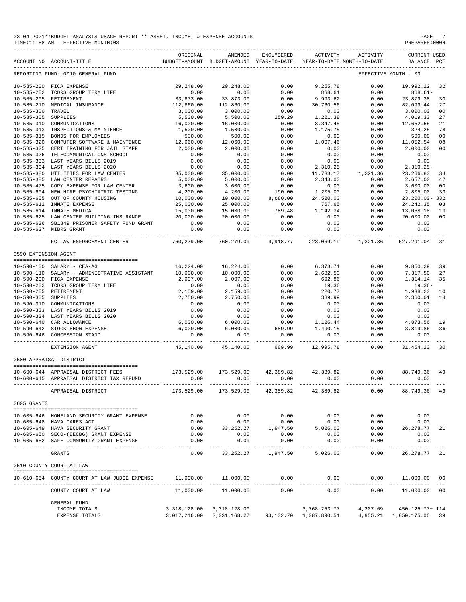| 03-04-2021**BUDGET ANALYSIS USAGE REPORT ** ASSET, INCOME, | ", & EXPENSE ACCOUNTS | PAGE |
|------------------------------------------------------------|-----------------------|------|
|                                                            |                       |      |

TIME:11:58 AM - EFFECTIVE MONTH:03 PREPARER:0004

ORIGINAL AMENDED ENCUMBERED ACTIVITY ACTIVITY CURRENT USED ACCOUNT NO ACCOUNT-TITLE BUDGET-AMOUNT BUDGET-AMOUNT YEAR-TO-DATE YEAR-TO-DATE MONTH-TO-DATE BALANCE PCT ------------------------------------------------------------------------------------------------------------------------------------------- REPORTING FUND: 0010 GENERAL FUND 10-585-200 FICA EXPENSE 29,248.00 29,248.00 0.00 9,255.78 0.00 19,992.22 32 10-585-202 TCDRS GROUP TERM LIFE 0.00 0.00 0.00 868.61 0.00 868.61-  $112,860.00$ <br>  $112,860.00$ <br>  $112,860.00$ <br>  $112,860.00$ <br>  $112,860.00$ <br>  $112,860.00$ <br>  $112,860.00$ <br>  $112,860.00$ <br>  $112,860.00$ <br>  $112,860.00$ <br>  $112,860.00$ <br>  $112,860.00$ <br>  $112,860.00$ <br>  $112,860.00$ <br>  $112,860.00$ <br>  $112,860.00$ 10-585-210 MEDICAL INSURANCE 112,860.00 112,860.00 0.00 30,760.56 0.00 82,099.44 27 10-585-300 TRAVEL 3,000.00 3,000.00 0.00 0.00 0.00 3,000.00 00  $10-585-305$  SUPPLIES  $5,500.00$   $5,500.00$   $259.29$   $1,221.38$   $0.00$   $4,019.33$   $27$ 10-585-310 COMMUNICATIONS 16,000.00 16,000.00 0.00 3,347.45 0.00 12,652.55 21 10-585-313 INSPECTIONS & MAINTENCE 1,500.00 1,500.00 0.00 1,175.75 0.00 324.25 78 10-585-315 BONDS FOR EMPLOYEES 500.00 500.00 0.00 0.00 0.00 500.00 00 10-585-320 COMPUTER SOFTWARE & MAINTENCE 12,060.00 12,060.00 0.00 1,007.46 0.00 11,052.54 08  $10-585-325 \quad \begin{tabular}{lcccccc} \text{ERT TRAINING FOR JALL STATE} & \text{STRPF} & \text{RCHOD} & \text{RCHOD} & \text{RCHOD} & \text{RCHOD} & \text{RCHOD} & \text{RCHOD} & \text{RCHOD} & \text{RCHOD} & \text{RCHOD} & \text{RCHOD} & \text{RCHOD} & \text{RCHOD} & \text{RCHOD} & \text{RCHOD} & \text{RCHOD} & \text{RCHOD} & \text{RCHOD} & \text{RCHOD} & \text{RCHOD} & \text{RCHOD} & \text{RCHOD} & \text{RCHOD} &$ 10-585-326 TELECOMMUNICATIONS SCHOOL 0.00 0.00 0.00 0.00 0.00 0.00 10-585-333 LAST YEARS BILLS 2019 0.00 0.00 0.00 0.00 0.00 0.00 10-585-334 LAST YEARS BILLS 2020 0.00 0.00 0.00 2,310.25 0.00 2,310.25- 10-585-380 UTILITIES FOR LAW CENTER 35,000.00 35,000.00 0.00 11,733.17 1,321.36 23,266.83 34 10-585-385 LAW CENTER REPAIRS 5,000.00 5,000.00 0.00 2,343.00 0.00 2,657.00 47 10-585-475 COPY EXPENSE FOR LAW CENTER 3,600.00 3,600.00 0.00 0.00 0.00 3,600.00 00 10-585-604 NEW HIRE PSYCHIATRIC TESTING 4,200.00 4,200.00 190.00 1,205.00 0.00 2,805.00 33 10-585-605 OUT OF COUNTY HOUSING 10,000.00 10,000.00 8,680.00 24,520.00 0.00 23,200.00- 332 10-585-612 INMATE EXPENSE 25,000.00 25,000.00 0.00 757.65 0.00 24,242.35 03 10-585-614 INMATE MEDICAL 15,000.00 15,000.00 789.48 1,142.34 0.00 13,068.18 13  $10-585-625\quad \text{LAW CENTER BULDING INSURANCE} \begin{array}{l} \text{10--585--625} \end{array} \begin{array}{l} \text{10--585--625} \end{array} \begin{array}{l} \text{10--585--625} \end{array} \begin{array}{l} \text{10--585--626} \end{array} \begin{array}{l} \text{10--585--626} \end{array} \begin{array}{l} \text{10--585--626} \end{array} \begin{array}{l} \text{10--585--626} \end{array} \begin{array}{l} \text{1$ 10-585-626 SB1849 PRISONER SAFETY FUND GRANT 0.00 0.00 0.00 0.00 0.00 0.00  $10-585$ <br> $0.00$ <br> $0.00$ <br> $0.00$ <br> $0.00$ <br> $0.00$ ----------------------------------------------- ------------- ------------- ------------ ------------- ------------ ------------- --- FC LAW ENFORCEMENT CENTER 760,279.00 760,279.00 9,918.77 223,069.19 1,321.36 527,291.04 31 0590 EXTENSION AGENT ======================================== 10-590-100 SALARY - CEA-AG 16,224.00 16,224.00 0.00 6,373.71 0.00 9,850.29 39 10-590-110 SALARY - ADMINISTRATIVE ASSISTANT 10,000.00 10,000.00 0.00 2,682.50 0.00 7,317.50 27 10-590-200 FICA EXPENSE 2,007.00 2,007.00 0.00 692.86 0.00 1,314.14 35 10-590-202 TCDRS GROUP TERM LIFE 0.00 0.00 0.00 19.36 0.00 19.36- 10-590-205 RETIREMENT 2,159.00 2,159.00 0.00 220.77 0.00 1,938.23 10 10-590-305 SUPPLIES 2,750.00 2,750.00 0.00 389.99 0.00 2,360.01 14 10-590-310 COMMUNICATIONS 0.00 0.00 0.00 0.00 0.00 0.00 10-590-333 LAST YEARS BILLS 2019 0.00 0.00 0.00 0.00 0.00 0.00 10-590-334 LAST YEARS BILLS 2020 0.00 0.00 0.00 0.00 0.00 0.00 10-590-640 CAR ALLOWANCE 6,000.00 6,000.00 0.00 1,126.44 0.00 4,873.56 19 10-590-642 STOCK SHOW EXPENSE 6,000.00 6,000.00 689.99 1,490.15 0.00 3,819.86 36 10-590-646 CONCESSION STAND 0.00 0.00 0.00 0.00 0.00 0.00 ----------------------------------------------- ------------- ------------- ------------ ------------- ------------ ------------- --- 45,140.00 45,140.00 0600 APPRAISAL DISTRICT ======================================== 10-600-644 APPRAISAL DISTRICT FEES 173,529.00 173,529.00 42,389.82 42,389.82 0.00 88,749.36 49 10-600-645 APPRAISAL DISTRICT TAX REFUND 0.00 0.00 0.00 0.00 0.00 0.00 ----------------------------------------------- ------------- ------------- ------------ ------------- ------------ ------------- --- APPRAISAL DISTRICT 173,529.00 173,529.00 42,389.82 42,389.82 0605 GRANTS ======================================== 10-605-646 HOMELAND SECURITY GRANT EXPENSE 0.00 0.00 0.00 0.00 0.00 0.00 10-605-648 HAVA CARES ACT 0.00 0.00 0.00 0.00 0.00 0.00 10-605-649 HAVA SECURITY GRANT 0.00 33,252.27 1,947.50 5,026.00 0.00 26,278.77 21 10-605-648 HAWELAND SECURITY GRANT EXPENSE  $10-605-648$  HAWELAND SECURITY GRANT EXPENSE  $10-605-649$  HAWA CARES ACT  $0.00$  0.00  $0.00$  0.00  $0.00$  0.00  $0.00$  0.00  $0.00$  0.00  $0.00$  0.00  $0.00$  0.00  $0.00$  0.00  $0.00$  0.0 10-605-652 SAFE COMMUNITY GRANT EXPENSE 0.00 0.00 0.00 0.00 0.00 0.00 ----------------------------------------------- ------------- ------------- ------------ ------------- ------------ ------------- --- GRANTS 0.00 33,252.27 1,947.50 5,026.00 0.00 26,278.77 21 0610 COUNTY COURT AT LAW ======================================== 10-610-654 COUNTY COURT AT LAW JUDGE EXPENSE 11,000.00 11,000.00 0.00 0.00 0.00 11,000.00 00

-------------------------------------------------------------------------------------------------------------------------------------------

| COUNTY COURT AT LAW | 11,000.00    | 11,000.00                 | 0.00      | 0.00         | 0.00     | 11,000.00       | 00 |
|---------------------|--------------|---------------------------|-----------|--------------|----------|-----------------|----|
| GENERAL FUND        |              |                           |           |              |          |                 |    |
| INCOME TOTALS       | 3,318,128.00 | 3,318,128.00              |           | 3,768,253.77 | 4,207.69 | 450,125.77+ 114 |    |
| EXPENSE TOTALS      |              | 3,017,216.00 3,031,168.27 | 93,102.70 | 1,087,890.51 | 4,955.21 | 1,850,175.06 39 |    |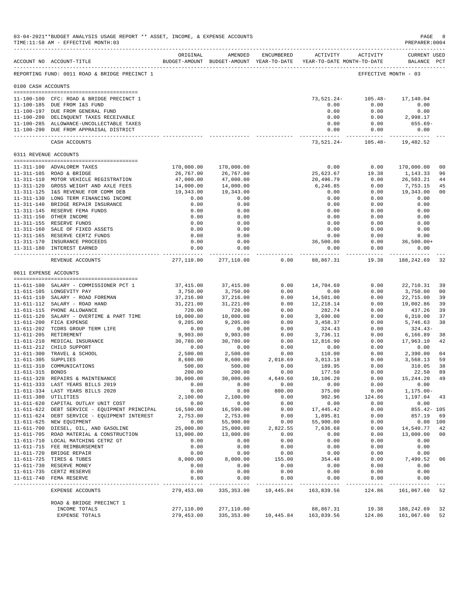|                       | 03-04-2021**BUDGET ANALYSIS USAGE REPORT ** ASSET, INCOME, & EXPENSE ACCOUNTS<br>TIME:11:58 AM - EFFECTIVE MONTH:03 |                                                                                 |                             |                |                   |                                                     | PAGE<br>PREPARER: 0004                  | 8              |
|-----------------------|---------------------------------------------------------------------------------------------------------------------|---------------------------------------------------------------------------------|-----------------------------|----------------|-------------------|-----------------------------------------------------|-----------------------------------------|----------------|
|                       | ACCOUNT NO ACCOUNT-TITLE                                                                                            | ORIGINAL<br>BUDGET-AMOUNT BUDGET-AMOUNT YEAR-TO-DATE YEAR-TO-DATE MONTH-TO-DATE | AMENDED                     | ENCUMBERED     |                   | ACTIVITY ACTIVITY                                   | <b>CURRENT USED</b><br>BALANCE PCT      |                |
|                       | REPORTING FUND: 0011 ROAD & BRIDGE PRECINCT 1                                                                       |                                                                                 |                             |                |                   |                                                     | EFFECTIVE MONTH - 03                    |                |
| 0100 CASH ACCOUNTS    |                                                                                                                     |                                                                                 |                             |                |                   |                                                     |                                         |                |
|                       | 11-100-100 CFC: ROAD & BRIDGE PRECINCT 1                                                                            |                                                                                 |                             |                |                   |                                                     |                                         |                |
|                       | 11-100-185 DUE FROM I&S FUND                                                                                        |                                                                                 |                             |                | 0.00              | $73,521.24 - 105.48 - 17,140.04$<br>0.00            | 0.00                                    |                |
|                       | 11-100-197 DUE FROM GENERAL FUND                                                                                    |                                                                                 |                             |                | 0.00              | 0.00                                                | 0.00                                    |                |
|                       | 11-100-280 DELINQUENT TAXES RECEIVABLE                                                                              |                                                                                 |                             |                | 0.00              |                                                     | $0.00$ 2,998.17                         |                |
|                       | 11-100-285 ALLOWANCE-UNCOLLECTABLE TAXES                                                                            |                                                                                 |                             |                | 0.00              | 0.00                                                | 655.69-                                 |                |
|                       | 11-100-290 DUE FROM APPRAISAL DISTRICT                                                                              |                                                                                 |                             |                | 0.00              | 0.00                                                | 0.00                                    |                |
|                       | CASH ACCOUNTS                                                                                                       |                                                                                 |                             |                | --------------    | ------------<br>73, 521. 24 - 105. 48 - 19, 482. 52 | --------------                          |                |
|                       | 0311 REVENUE ACCOUNTS                                                                                               |                                                                                 |                             |                |                   |                                                     |                                         |                |
|                       | 11-311-100 ADVALOREM TAXES                                                                                          | 170,000.00                                                                      | 170,000.00                  |                | 0.00              | 0.00                                                | 170,000.00                              | 0 <sub>0</sub> |
|                       | 11-311-105 ROAD & BRIDGE                                                                                            | 26,767.00                                                                       | 26,767.00                   |                | 25,623.67         | 19.38                                               | 1,143.33                                | 96             |
|                       | 11-311-110 MOTOR VEHICLE REGISTRATION                                                                               | 47,000.00                                                                       | 47,000.00                   |                | 20,496.79         | 0.00                                                | 26,503.21                               | 44             |
|                       | 11-311-120 GROSS WEIGHT AND AXLE FEES                                                                               | 14,000.00                                                                       | 14,000.00                   |                | 6,246.85          | 0.00                                                | 7,753.15                                | 45             |
|                       | 11-311-125 I&S REVENUE FOR COMM DEB                                                                                 | 19,343.00                                                                       | 19,343.00                   |                | 0.00              | 0.00                                                | 19,343.00                               | 0 <sub>0</sub> |
|                       | 11-311-130 LONG TERM FINANCING INCOME                                                                               | 0.00                                                                            | 0.00                        |                | 0.00              | 0.00                                                | 0.00                                    |                |
|                       | 11-311-140 BRIDGE REPAIR INSURANCE                                                                                  | 0.00                                                                            | 0.00                        |                | 0.00              | 0.00                                                | 0.00                                    |                |
|                       | 11-311-145 RESERVE FEMA FUNDS                                                                                       | 0.00                                                                            | 0.00                        |                | 0.00              | 0.00                                                | 0.00                                    |                |
|                       | 11-311-150 OTHER INCOME<br>11-311-155 RESERVE FUNDS                                                                 | 0.00<br>0.00                                                                    | 0.00<br>0.00                |                | 0.00<br>0.00      | 0.00<br>0.00                                        | 0.00<br>0.00                            |                |
|                       | 11-311-160 SALE OF FIXED ASSETS                                                                                     | 0.00                                                                            | 0.00                        |                | 0.00              | 0.00                                                | 0.00                                    |                |
|                       | 11-311-165 RESERVE CERTZ FUNDS                                                                                      | 0.00                                                                            | 0.00                        |                | 0.00              | 0.00                                                | 0.00                                    |                |
|                       | 11-311-170 INSURANCE PROCEEDS                                                                                       | 0.00                                                                            | 0.00                        |                | 36,500.00         | 0.00                                                | $36,500.00+$                            |                |
|                       | 11-311-180 INTEREST EARNED                                                                                          | 0.00                                                                            | 0.00<br>------------        |                | 0.00              | 0.00                                                | 0.00                                    |                |
|                       | REVENUE ACCOUNTS                                                                                                    | -------------                                                                   | 277,110.00 277,110.00       | 0.00           | 88,867.31         | 19.38                                               | ----------- -------------<br>188,242.69 | -32            |
| 0611 EXPENSE ACCOUNTS |                                                                                                                     |                                                                                 |                             |                |                   |                                                     |                                         |                |
|                       |                                                                                                                     |                                                                                 |                             |                |                   |                                                     |                                         |                |
|                       | 11-611-100 SALARY - COMMISSIONER PCT 1<br>11-611-105 LONGEVITY PAY                                                  | 37,415.00<br>3,750.00                                                           | 37,415.00<br>3,750.00       | 0.00<br>0.00   | 14,704.69<br>0.00 | 0.00<br>0.00                                        | 22,710.31<br>3,750.00                   | 39<br>00       |
|                       | 11-611-110 SALARY - ROAD FOREMAN                                                                                    | 37,216.00                                                                       | 37,216.00                   | 0.00           | 14,501.00         | 0.00                                                | 22,715.00                               | 39             |
|                       | 11-611-112 SALARY - ROAD HAND                                                                                       | 31,221.00                                                                       | 31,221.00                   | 0.00           | 12,218.14         | 0.00                                                | 19,002.86                               | 39             |
|                       | 11-611-115 PHONE ALLOWANCE                                                                                          | 720.00                                                                          | 720.00                      | 0.00           | 282.74            | 0.00                                                | 437.26                                  | 39             |
|                       | 11-611-120 SALARY - OVERTIME & PART TIME                                                                            | 10,000.00                                                                       | 10,000.00                   | 0.00           | 3,690.00          | 0.00                                                | 6,310.00                                | 37             |
|                       | 11-611-200 FICA EXPENSE                                                                                             | 9,205.00                                                                        | 9,205.00                    | 0.00           | 3,458.37          | 0.00                                                | 5,746.63                                | 38             |
|                       | 11-611-202 TCDRS GROUP TERM LIFE                                                                                    | 0.00                                                                            | 0.00                        | 0.00           | 324.43            | 0.00                                                | $324.43-$                               |                |
|                       | 11-611-205 RETIREMENT                                                                                               | 9,903.00                                                                        | 9,903.00                    | 0.00           | 3,736.11          | 0.00                                                | 6,166.89                                | 38             |
|                       | 11-611-210 MEDICAL INSURANCE<br>11-611-212 CHILD SUPPORT                                                            | 30,780.00<br>0.00                                                               | 30,780.00<br>0.00           | 0.00<br>0.00   | 12,816.90         | 0.00<br>0.00                                        | 17,963.10<br>0.00                       | 42             |
|                       | 11-611-300 TRAVEL & SCHOOL                                                                                          | 2,500.00                                                                        | 2,500.00                    | 0.00           | 0.00<br>110.00    | 0.00                                                | 2,390.00                                | 04             |
| 11-611-305 SUPPLIES   |                                                                                                                     | 8,600.00                                                                        | 8,600.00                    | 2,018.69       | 3,013.18          | 0.00                                                | 3,568.13                                | 59             |
|                       | 11-611-310 COMMUNICATIONS                                                                                           | 500.00                                                                          | 500.00                      | 0.00           | 189.95            | 0.00                                                | 310.05                                  | 38             |
| 11-611-315 BONDS      |                                                                                                                     | 200.00                                                                          | 200.00                      | 0.00           | 177.50            | 0.00                                                | 22.50                                   | 89             |
|                       | 11-611-320 REPAIRS & MAINTENANCE                                                                                    | 30,000.00                                                                       | 30,000.00                   | 4,649.60       | 10,106.20         | 0.00                                                | 15, 244. 20 49                          |                |
|                       | 11-611-333 LAST YEARS BILLS 2019                                                                                    | 0.00                                                                            | 0.00                        | 0.00           | 0.00              | 0.00                                                | 0.00                                    |                |
|                       | 11-611-334 LAST YEARS BILLS 2020                                                                                    | 0.00                                                                            | 0.00                        | 800.00         | 375.00            | 0.00                                                | $1, 175.00 -$                           |                |
| 11-611-380 UTILITIES  |                                                                                                                     | 2,100.00                                                                        | 2,100.00                    | 0.00           | 902.96            | 124.86                                              | 1,197.04                                | 43             |
|                       | 11-611-620 CAPITAL OUTLAY UNIT COST<br>11-611-622 DEBT SERVICE - EQUIPMENT PRINCIPAL                                | 0.00<br>16,590.00                                                               | 0.00<br>16,590.00           | 0.00<br>0.00   | 0.00<br>17,445.42 | 0.00<br>0.00                                        | 0.00<br>855.42- 105                     |                |
|                       | 11-611-624 DEBT SERVICE - EQUIPMENT INTEREST                                                                        | 2,753.00                                                                        | 2,753.00                    | 0.00           | 1,895.81          | 0.00                                                | 857.19                                  | 69             |
|                       | 11-611-625 NEW EQUIPMENT                                                                                            | 0.00                                                                            | 55,900.00                   | 0.00           | 55,900.00         | 0.00                                                |                                         | 0.00 100       |
|                       | 11-611-700 DIESEL, OIL, AND GASOLINE                                                                                | 25,000.00                                                                       | 25,000.00                   | 2,822.55       | 7,636.68          | 0.00                                                | 14,540.77                               | 42             |
|                       | 11-611-705 ROAD MATERIAL & CONSTRUCTION                                                                             | 13,000.00                                                                       | 13,000.00                   | 0.00           | 0.00              | 0.00                                                | 13,000.00                               | 0 <sub>0</sub> |
|                       | 11-611-710 LOCAL MATCHING CETRZ GT                                                                                  | 0.00                                                                            | 0.00                        | 0.00           | 0.00              | 0.00                                                | 0.00                                    |                |
|                       | 11-611-715 FEE REIMBURSEMENT                                                                                        | 0.00                                                                            | 0.00                        | 0.00           | 0.00              | 0.00                                                | 0.00                                    |                |
|                       | 11-611-720 BRIDGE REPAIR                                                                                            | 0.00                                                                            | 0.00                        | 0.00           | 0.00              | 0.00                                                | 0.00                                    |                |
|                       | 11-611-725 TIRES & TUBES                                                                                            | 8,000.00                                                                        | 8,000.00                    | 155.00         | 354.48            | 0.00                                                | 7,490.52                                | 06             |
|                       | 11-611-730 RESERVE MONEY<br>11-611-735 CERTZ RESERVE                                                                | 0.00<br>0.00                                                                    | 0.00<br>0.00                | 0.00<br>0.00   | 0.00<br>0.00      | 0.00<br>0.00                                        | 0.00<br>0.00                            |                |
|                       | 11-611-740 FEMA RESERVE                                                                                             | 0.00                                                                            | 0.00                        | 0.00           | 0.00              | 0.00                                                | 0.00                                    |                |
|                       | EXPENSE ACCOUNTS                                                                                                    | 279,453.00                                                                      | ------------<br>335, 353.00 | .<br>10,445.84 | .<br>163,839.56   | ------------<br>124.86                              | ----------<br>161,067.60                | 52             |
|                       | ROAD & BRIDGE PRECINCT 1                                                                                            |                                                                                 |                             |                |                   |                                                     |                                         |                |
|                       | INCOME TOTALS                                                                                                       | 277,110.00                                                                      | 277,110.00                  |                | 88,867.31         | 19.38                                               | 188,242.69                              | 32             |
|                       | EXPENSE TOTALS                                                                                                      | 279,453.00                                                                      | 335, 353.00                 | 10,445.84      | 163,839.56        | 124.86                                              | 161,067.60                              | 52             |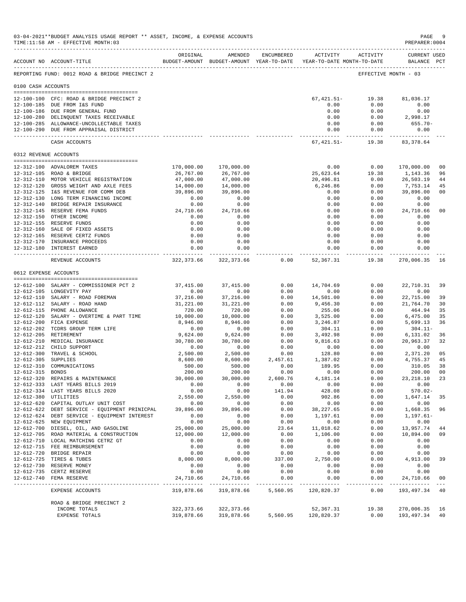|                       | 03-04-2021**BUDGET ANALYSIS USAGE REPORT ** ASSET, INCOME, & EXPENSE ACCOUNTS<br>TIME:11:58 AM - EFFECTIVE MONTH:03<br>______________________________________ |                       |                                                                                |               |                               |                     | $\mathtt{PAGE}$<br>PREPARER: 0004  | 9              |
|-----------------------|---------------------------------------------------------------------------------------------------------------------------------------------------------------|-----------------------|--------------------------------------------------------------------------------|---------------|-------------------------------|---------------------|------------------------------------|----------------|
|                       | ACCOUNT NO ACCOUNT-TITLE                                                                                                                                      | ORIGINAL              | AMENDED<br>BUDGET-AMOUNT BUDGET-AMOUNT YEAR-TO-DATE YEAR-TO-DATE MONTH-TO-DATE | ENCUMBERED    | ACTIVITY                      | ACTIVITY            | <b>CURRENT USED</b><br>BALANCE PCT |                |
|                       | REPORTING FUND: 0012 ROAD & BRIDGE PRECINCT 2                                                                                                                 |                       |                                                                                |               |                               |                     | EFFECTIVE MONTH - 03               |                |
| 0100 CASH ACCOUNTS    |                                                                                                                                                               |                       |                                                                                |               |                               |                     |                                    |                |
|                       | 12-100-100 CFC: ROAD & BRIDGE PRECINCT 2                                                                                                                      |                       |                                                                                |               | $67,421.51-$                  | 19.38               | 81,036.17                          |                |
|                       | 12-100-185 DUE FROM I&S FUND                                                                                                                                  |                       |                                                                                |               | 0.00                          | 0.00                | 0.00                               |                |
|                       | 12-100-186 DUE FROM GENERAL FUND                                                                                                                              |                       |                                                                                |               | 0.00                          | 0.00                | 0.00                               |                |
|                       | 12-100-280 DELINQUENT TAXES RECEIVABLE                                                                                                                        |                       |                                                                                |               | 0.00                          | 0.00                | 2,998.17                           |                |
|                       | 12-100-285 ALLOWANCE-UNCOLLECTABLE TAXES<br>12-100-290 DUE FROM APPRAISAL DISTRICT                                                                            |                       |                                                                                |               | 0.00<br>0.00                  | 0.00<br>0.00        | $655.70 -$<br>0.00                 |                |
|                       | CASH ACCOUNTS                                                                                                                                                 |                       |                                                                                |               | --------------<br>67, 421.51- | ----------<br>19.38 | ------------<br>83, 378.64         |                |
| 0312 REVENUE ACCOUNTS |                                                                                                                                                               |                       |                                                                                |               |                               |                     |                                    |                |
|                       | 12-312-100 ADVALOREM TAXES                                                                                                                                    | 170,000.00            | 170,000.00                                                                     |               | 0.00                          | 0.00                | 170,000.00                         | 00             |
|                       | 12-312-105 ROAD & BRIDGE                                                                                                                                      | 26,767.00             | 26,767.00                                                                      |               | 25,623.64                     | 19.38               | 1,143.36                           | 96             |
|                       | 12-312-110 MOTOR VEHICLE REGISTRATION                                                                                                                         | 47,000.00             | 47,000.00                                                                      |               | 20,496.81                     | 0.00                | 26,503.19                          | 44             |
|                       | 12-312-120 GROSS WEIGHT AND AXLE FEES                                                                                                                         | 14,000.00             | 14,000.00                                                                      |               | 6,246.86                      | 0.00                | 7,753.14                           | 45             |
|                       | 12-312-125 I&S REVENUE FOR COMM DEB                                                                                                                           | 39,896.00             | 39,896.00                                                                      |               | 0.00                          | 0.00                | 39,896.00                          | 00             |
|                       | 12-312-130 LONG TERM FINANCING INCOME                                                                                                                         | 0.00                  | 0.00                                                                           |               | 0.00                          | 0.00                | 0.00                               |                |
|                       | 12-312-140 BRIDGE REPAIR INSURANCE                                                                                                                            | 0.00                  | 0.00                                                                           |               | 0.00                          | 0.00                | 0.00                               |                |
|                       | 12-312-145 RESERVE FEMA FUNDS                                                                                                                                 | 24,710.66             | 24,710.66                                                                      |               | 0.00                          | 0.00                | 24,710.66                          | 00             |
|                       | 12-312-150 OTHER INCOME                                                                                                                                       | 0.00                  | 0.00                                                                           |               | 0.00                          | 0.00                | 0.00                               |                |
|                       | 12-312-155 RESERVE FUNDS<br>12-312-160 SALE OF FIXED ASSETS                                                                                                   | 0.00<br>0.00          | 0.00<br>0.00                                                                   |               | 0.00<br>0.00                  | 0.00<br>0.00        | 0.00<br>0.00                       |                |
|                       | 12-312-165 RESERVE CERTZ FUNDS                                                                                                                                | 0.00                  | 0.00                                                                           |               | 0.00                          | 0.00                | 0.00                               |                |
|                       | 12-312-170 INSURANCE PROCEEDS                                                                                                                                 | 0.00                  | 0.00                                                                           |               | 0.00                          | 0.00                | 0.00                               |                |
|                       | 12-312-180 INTEREST EARNED                                                                                                                                    | 0.00<br>.             | 0.00<br>.                                                                      |               | 0.00<br>-----------           | 0.00<br>-------     | 0.00                               |                |
|                       | REVENUE ACCOUNTS                                                                                                                                              | 322,373.66            | 322,373.66                                                                     | 0.00          | 52,367.31                     | 19.38               | 270,006.35                         | 16             |
| 0612 EXPENSE ACCOUNTS |                                                                                                                                                               |                       |                                                                                |               |                               |                     |                                    |                |
|                       | 12-612-100 SALARY - COMMISSIONER PCT 2                                                                                                                        | 37, 415.00            | 37, 415.00                                                                     | 0.00          | 14,704.69                     | 0.00                | 22,710.31                          | 39             |
|                       | 12-612-105 LONGEVITY PAY                                                                                                                                      | 0.00                  | 0.00                                                                           | 0.00          | 0.00                          | 0.00                | 0.00                               |                |
|                       | 12-612-110 SALARY - ROAD FOREMAN                                                                                                                              | 37,216.00             | 37,216.00                                                                      | 0.00          | 14,501.00                     | 0.00                | 22,715.00                          | 39             |
|                       | 12-612-112 SALARY - ROAD HAND                                                                                                                                 | 31,221.00             | 31,221.00                                                                      | 0.00          | 9,456.30                      | 0.00                | 21,764.70                          | 30             |
|                       | 12-612-115 PHONE ALLOWANCE                                                                                                                                    | 720.00                | 720.00                                                                         | 0.00          | 255.06                        | 0.00                | 464.94                             | 35             |
|                       | 12-612-120 SALARY - OVERTIME & PART TIME                                                                                                                      | 10,000.00             | 10,000.00                                                                      | 0.00          | 3,525.00                      | 0.00                | 6,475.00                           | 35             |
|                       | 12-612-200 FICA EXPENSE                                                                                                                                       | 8,946.00              | 8,946.00                                                                       | 0.00          | 3,246.87                      | 0.00                | 5,699.13                           | 36             |
|                       | 12-612-202 TCDRS GROUP TERM LIFE                                                                                                                              | 0.00                  | 0.00                                                                           | 0.00          | 304.11                        | 0.00                | $304.11-$                          |                |
|                       | 12-612-205 RETIREMENT<br>12-612-210 MEDICAL INSURANCE                                                                                                         | 9,624.00<br>30,780.00 | 9,624.00<br>30,780.00                                                          | 0.00<br>0.00  | 3,492.98<br>9,816.63          | 0.00<br>0.00        | 6,131.02<br>20,963.37              | 36<br>32       |
|                       | 12-612-212 CHILD SUPPORT                                                                                                                                      | 0.00                  | 0.00                                                                           | 0.00          | 0.00                          | 0.00                | 0.00                               |                |
|                       | 12-612-300 TRAVEL & SCHOOL                                                                                                                                    | 2,500.00              | 2,500.00                                                                       | 0.00          | 128.80                        | 0.00                | 2,371.20                           | 05             |
| 12-612-305 SUPPLIES   |                                                                                                                                                               | 8,600.00              | 8,600.00                                                                       | 2,457.61      | 1,387.02                      | 0.00                | 4,755.37                           | 45             |
|                       | 12-612-310 COMMUNICATIONS                                                                                                                                     | 500.00                | 500.00                                                                         | 0.00          | 189.95                        | 0.00                | 310.05                             | 38             |
| 12-612-315 BONDS      |                                                                                                                                                               | 200.00                | 200.00                                                                         | 0.00          | 0.00                          | 0.00                | 200.00                             | 00             |
|                       | 12-612-320 REPAIRS & MAINTENANCE                                                                                                                              | 30,000.00             | 30,000.00                                                                      | 2,600.76      | 4,181.14                      | 0.00                | 23,218.10                          | 23             |
|                       | 12-612-333 LAST YEARS BILLS 2019                                                                                                                              | 0.00                  | 0.00                                                                           | 0.00          | 0.00                          | 0.00                | 0.00                               |                |
|                       | 12-612-334 LAST YEARS BILLS 2020                                                                                                                              | 0.00                  | 0.00                                                                           | 141.94        | 428.08                        | 0.00                | $570.02 -$                         |                |
| 12-612-380 UTILITIES  | 12-612-620 CAPITAL OUTLAY UNIT COST                                                                                                                           | 2,550.00<br>0.00      | 2,550.00<br>0.00                                                               | 0.00<br>0.00  | 902.86<br>0.00                | 0.00<br>0.00        | 1,647.14<br>0.00                   | 35             |
|                       | 12-612-622 DEBT SERVICE - EQUIPMENT PRINICPAL                                                                                                                 | 39,896.00             | 39,896.00                                                                      | 0.00          | 38, 227.65                    | 0.00                | 1,668.35                           | 96             |
|                       | 12-612-624 DEBT SERVICE - EQUIPMENT INTEREST                                                                                                                  | 0.00                  | 0.00                                                                           | 0.00          | 1,197.61                      | 0.00                | $1, 197.61 -$                      |                |
|                       | 12-612-625 NEW EQUIPMENT                                                                                                                                      | 0.00                  | 0.00                                                                           | 0.00          | 0.00                          | 0.00                | 0.00                               |                |
|                       | 12-612-700 DIESEL, OIL, AND GASOLINE                                                                                                                          | 25,000.00             | 25,000.00                                                                      | 23.64         | 11,018.62                     | 0.00                | 13,957.74                          | 44             |
|                       | 12-612-705 ROAD MATERIAL & CONSTRUCTION                                                                                                                       | 12,000.00             | 12,000.00                                                                      | 0.00          | 1,106.00                      | 0.00                | 10,894.00                          | 09             |
|                       | 12-612-710 LOCAL MATCHING CETRZ GT                                                                                                                            | 0.00                  | 0.00                                                                           | 0.00          | 0.00                          | 0.00                | 0.00                               |                |
|                       | 12-612-715 FEE REIMBURSEMENT                                                                                                                                  | 0.00                  | 0.00                                                                           | 0.00          | 0.00                          | 0.00                | 0.00                               |                |
|                       | 12-612-720 BRIDGE REPAIR                                                                                                                                      | 0.00                  | 0.00                                                                           | 0.00          | 0.00                          | 0.00                | 0.00                               |                |
|                       | 12-612-725 TIRES & TUBES                                                                                                                                      | 8,000.00              | 8,000.00                                                                       | 337.00        | 2,750.00                      | 0.00                | 4,913.00                           | 39             |
|                       | 12-612-730 RESERVE MONEY                                                                                                                                      | 0.00<br>0.00          | 0.00<br>0.00                                                                   | 0.00<br>0.00  | 0.00<br>0.00                  | 0.00                | 0.00                               |                |
|                       | 12-612-735 CERTZ RESERVE<br>12-612-740 FEMA RESERVE                                                                                                           | 24,710.66             | 24,710.66                                                                      | 0.00          | 0.00                          | 0.00<br>0.00        | 0.00<br>24,710.66                  | 00             |
|                       |                                                                                                                                                               |                       | ______________                                                                 | _____________ | -------------                 | ------------        | -------------                      | $\sim$ $ \sim$ |
|                       | EXPENSE ACCOUNTS                                                                                                                                              | 319,878.66            | 319,878.66                                                                     | 5,560.95      | 120,820.37                    | 0.00                | 193,497.34                         | 40             |
|                       | ROAD & BRIDGE PRECINCT 2                                                                                                                                      |                       |                                                                                |               |                               |                     |                                    |                |
|                       | INCOME TOTALS                                                                                                                                                 | 322, 373.66           | 322, 373.66                                                                    |               | 52,367.31                     | 19.38               | 270,006.35                         | 16             |
|                       | EXPENSE TOTALS                                                                                                                                                | 319,878.66            | 319,878.66                                                                     | 5,560.95      | 120,820.37                    | 0.00                | 193,497.34                         | 40             |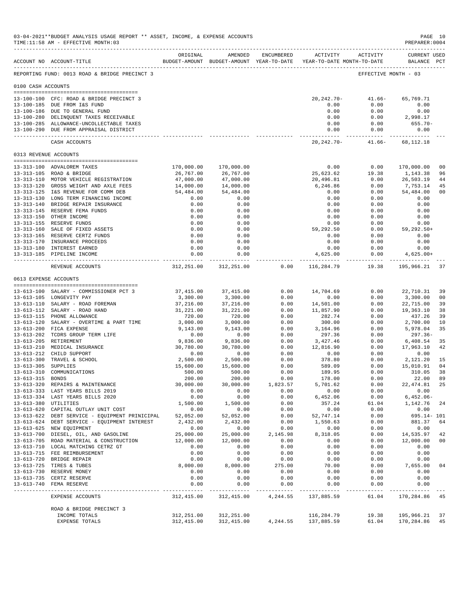|                     | 03-04-2021**BUDGET ANALYSIS USAGE REPORT ** ASSET, INCOME, & EXPENSE ACCOUNTS<br>TIME:11:58 AM - EFFECTIVE MONTH:03 |                        |                                                                                |                  |                                                  |                                    | PAGE 10<br>PREPARER: 0004          |                |
|---------------------|---------------------------------------------------------------------------------------------------------------------|------------------------|--------------------------------------------------------------------------------|------------------|--------------------------------------------------|------------------------------------|------------------------------------|----------------|
|                     | ACCOUNT NO ACCOUNT-TITLE                                                                                            | ORIGINAL               | AMENDED<br>BUDGET-AMOUNT BUDGET-AMOUNT YEAR-TO-DATE YEAR-TO-DATE MONTH-TO-DATE | ENCUMBERED       |                                                  | ACTIVITY ACTIVITY                  | <b>CURRENT USED</b><br>BALANCE PCT |                |
|                     | REPORTING FUND: 0013 ROAD & BRIDGE PRECINCT 3                                                                       |                        |                                                                                |                  |                                                  |                                    | EFFECTIVE MONTH - 03               |                |
| 0100 CASH ACCOUNTS  |                                                                                                                     |                        |                                                                                |                  |                                                  |                                    |                                    |                |
|                     | 13-100-100 CFC: ROAD & BRIDGE PRECINCT 3                                                                            |                        |                                                                                |                  | $20, 242, 70 -$                                  | $41.66-$                           | 65,769.71                          |                |
|                     | 13-100-185 DUE FROM I&S FUND                                                                                        |                        |                                                                                |                  | 0.00                                             | 0.00                               | 0.00                               |                |
|                     | 13-100-186 DUE TO GENERAL FUND<br>13-100-280 DELINQUENT TAXES RECEIVABLE                                            |                        |                                                                                |                  | 0.00<br>0.00                                     | 0.00<br>0.00                       | 0.00<br>2,998.17                   |                |
|                     | 13-100-285 ALLOWANCE-UNCOLLECTABLE TAXES                                                                            |                        |                                                                                |                  | 0.00                                             | 0.00                               | $655.70 -$                         |                |
|                     | 13-100-290 DUE FROM APPRAISAL DISTRICT                                                                              |                        |                                                                                |                  | 0.00                                             | 0.00                               | 0.00                               |                |
|                     | CASH ACCOUNTS                                                                                                       |                        |                                                                                |                  |                                                  | 20, 242. 70 - 41. 66 - 68, 112. 18 |                                    |                |
|                     | 0313 REVENUE ACCOUNTS                                                                                               |                        |                                                                                |                  |                                                  |                                    |                                    |                |
|                     | 13-313-100 ADVALOREM TAXES                                                                                          | 170,000.00             | 170,000.00                                                                     |                  | 0.00                                             | 0.00                               | 170,000.00                         | 0 <sub>0</sub> |
|                     | 13-313-105 ROAD & BRIDGE                                                                                            | 26,767.00              | 26,767.00                                                                      |                  | 25,623.62                                        | 19.38                              | 1,143.38                           | 96             |
|                     | 13-313-110 MOTOR VEHICLE REGISTRATION                                                                               | 47,000.00              | 47,000.00                                                                      |                  | 20,496.81                                        | 0.00                               | 26,503.19                          | 44             |
|                     | 13-313-120 GROSS WEIGHT AND AXLE FEES                                                                               | 14,000.00              | 14,000.00                                                                      |                  | 6,246.86                                         | 0.00                               | 7,753.14                           | 45             |
|                     | 13-313-125 I&S REVENUE FOR COMM DEB                                                                                 | 54,484.00              | 54,484.00                                                                      |                  | 0.00                                             | 0.00                               | 54,484.00                          | 00             |
|                     | 13-313-130 LONG TERM FINANCING INCOME<br>13-313-140 BRIDGE REPAIR INSURANCE                                         | 0.00<br>0.00           | 0.00<br>0.00                                                                   |                  | 0.00<br>0.00                                     | 0.00<br>0.00                       | 0.00<br>0.00                       |                |
|                     | 13-313-145 RESERVE FEMA FUNDS                                                                                       | 0.00                   | 0.00                                                                           |                  | 0.00                                             | 0.00                               | 0.00                               |                |
|                     | 13-313-150 OTHER INCOME                                                                                             | 0.00                   | 0.00                                                                           |                  | 0.00                                             | 0.00                               | 0.00                               |                |
|                     | 13-313-155 RESERVE FUNDS                                                                                            | 0.00                   | 0.00                                                                           |                  | 0.00                                             | 0.00                               | 0.00                               |                |
|                     | 13-313-160 SALE OF FIXED ASSETS                                                                                     | 0.00                   | 0.00                                                                           |                  | 59,292.50                                        | 0.00                               | 59,292.50+                         |                |
|                     | 13-313-165 RESERVE CERTZ FUNDS                                                                                      | 0.00                   | 0.00                                                                           |                  | 0.00                                             | 0.00                               | 0.00                               |                |
|                     | 13-313-170 INSURANCE PROCEEDS<br>13-313-180 INTEREST EARNED                                                         | 0.00<br>0.00           | 0.00<br>0.00                                                                   |                  | 0.00<br>0.00                                     | 0.00<br>0.00                       | 0.00<br>0.00                       |                |
|                     | 13-313-185 PIPELINE INCOME                                                                                          | 0.00                   | 0.00                                                                           |                  | 4,625.00                                         | 0.00                               | $4,625.00+$                        |                |
|                     | REVENUE ACCOUNTS                                                                                                    |                        | 312, 251.00 312, 251.00                                                        |                  | ----------- ------------- -<br>$0.00$ 116,284.79 | 19.38                              | 195,966.21                         | 37             |
|                     | 0613 EXPENSE ACCOUNTS                                                                                               |                        |                                                                                |                  |                                                  |                                    |                                    |                |
|                     |                                                                                                                     |                        |                                                                                |                  |                                                  |                                    |                                    |                |
|                     | 13-613-100 SALARY - COMMISSIONER PCT 3                                                                              | 37,415.00              | 37,415.00                                                                      | 0.00             | 14,704.69                                        | 0.00                               | 22,710.31                          | 39             |
|                     | 13-613-105 LONGEVITY PAY                                                                                            | 3,300.00               | 3,300.00                                                                       | 0.00             | 0.00                                             | 0.00                               | 3,300.00                           | 00             |
|                     | 13-613-110 SALARY - ROAD FOREMAN<br>13-613-112 SALARY - ROAD HAND                                                   | 37,216.00<br>31,221.00 | 37,216.00<br>31,221.00                                                         | 0.00<br>0.00     | 14,501.00<br>11,857.90                           | 0.00<br>0.00                       | 22,715.00<br>19,363.10             | 39<br>38       |
|                     | 13-613-115 PHONE ALLOWANCE                                                                                          | 720.00                 | 720.00                                                                         | 0.00             | 282.74                                           | 0.00                               | 437.26                             | 39             |
|                     | 13-613-120 SALARY - OVERTIME & PART TIME                                                                            | 3,000.00               | 3,000.00                                                                       | 0.00             | 300.00                                           | 0.00                               | 2,700.00                           | 10             |
|                     | 13-613-200 FICA EXPENSE                                                                                             | 9,143.00               | 9,143.00                                                                       | 0.00             | 3,164.96                                         | 0.00                               | 5,978.04                           | 35             |
|                     | 13-613-202 TCDRS GROUP TERM LIFE                                                                                    | 0.00                   | 0.00                                                                           | 0.00             | 297.36                                           | 0.00                               | 297.36-                            |                |
|                     | 13-613-205 RETIREMENT<br>13-613-210 MEDICAL INSURANCE                                                               | 9,836.00               | 9,836.00                                                                       | 0.00             | 3,427.46                                         | 0.00                               | 6,408.54                           | 35             |
|                     | 13-613-212 CHILD SUPPORT                                                                                            | 30,780.00<br>0.00      | 30,780.00<br>0.00                                                              | 0.00<br>0.00     | 12,816.90                                        | 0.00<br>0.00                       | 17,963.10<br>0.00                  | 42             |
|                     | 13-613-300 TRAVEL & SCHOOL                                                                                          | 2,500.00               | 2,500.00                                                                       | 0.00             | $0.00$<br>378.80                                 | 0.00                               | 2,121.20                           | 15             |
| 13-613-305 SUPPLIES |                                                                                                                     | 15,600.00              | 15,600.00                                                                      | 0.00             | 589.09                                           | 0.00                               | 15,010.91                          | 04             |
|                     | 13-613-310 COMMUNICATIONS                                                                                           | 500.00                 | 500.00                                                                         | 0.00             | 189.95                                           | 0.00                               | 310.05                             | 38             |
| 13-613-315 BONDS    |                                                                                                                     | 200.00                 | 200.00                                                                         | 0.00             | 178.00                                           | 0.00                               | 22.00                              | 89             |
|                     | 13-613-320 REPAIRS & MAINTENANCE<br>13-613-333 LAST YEARS BILLS 2019                                                | 30,000.00<br>0.00      | 30,000.00<br>0.00                                                              | 1,823.57<br>0.00 | 5,701.62<br>0.00                                 | 0.00<br>0.00                       | 22, 474.81<br>0.00                 | 25             |
|                     | 13-613-334 LAST YEARS BILLS 2020                                                                                    | 0.00                   | 0.00                                                                           | 0.00             | 6,452.06                                         | 0.00                               | $6,452.06-$                        |                |
|                     | 13-613-380 UTILITIES                                                                                                | 1,500.00               | 1,500.00                                                                       | 0.00             | 357.24                                           | 61.04                              | 1,142.76                           | 24             |
|                     | 13-613-620 CAPITAL OUTLAY UNIT COST                                                                                 | 0.00                   | 0.00                                                                           | 0.00             | 0.00                                             | 0.00                               | 0.00                               |                |
|                     | 13-613-622 DEBT SERVICE - EQUIPMENT PRINICIPAL                                                                      | 52,052.00              | 52,052.00                                                                      | 0.00             | 52,747.14                                        | 0.00                               | 695.14- 101                        |                |
|                     | 13-613-624 DEBT SERVICE - EQUIPMENT INTEREST                                                                        | 2,432.00               | 2,432.00                                                                       | 0.00<br>0.00     | 1,550.63<br>0.00                                 | 0.00                               | 881.37                             | 64             |
|                     | 13-613-625 NEW EQUIPMENT<br>13-613-700 DIESEL, OIL, AND GASOLINE                                                    | 0.00<br>25,000.00      | 0.00<br>25,000.00                                                              | 2,145.98         | 8,318.05                                         | 0.00<br>0.00                       | 0.00<br>14,535.97                  | 42             |
|                     | 13-613-705 ROAD MATERIAL & CONSTRUCTION                                                                             | 12,000.00              | 12,000.00                                                                      | 0.00             | 0.00                                             | 0.00                               | 12,000.00                          | 00             |
|                     | 13-613-710 LOCAL MATCHING CETRZ GT                                                                                  | 0.00                   | 0.00                                                                           | 0.00             | 0.00                                             | 0.00                               | 0.00                               |                |
|                     | 13-613-715 FEE REIMBURSEMENT                                                                                        | 0.00                   | 0.00                                                                           | 0.00             | 0.00                                             | 0.00                               | 0.00                               |                |
|                     | 13-613-720 BRIDGE REPAIR                                                                                            | 0.00                   | 0.00                                                                           | 0.00             | 0.00                                             | 0.00                               | 0.00                               |                |
|                     | 13-613-725 TIRES & TUBES<br>13-613-730 RESERVE MONEY                                                                | 8,000.00<br>0.00       | 8,000.00<br>0.00                                                               | 275.00<br>0.00   | 70.00<br>0.00                                    | 0.00<br>0.00                       | 7,655.00<br>0.00                   | 04             |
|                     | 13-613-735 CERTZ RESERVE                                                                                            | 0.00                   | 0.00                                                                           | 0.00             | 0.00                                             | 0.00                               | 0.00                               |                |
|                     | 13-613-740 FEMA RESERVE                                                                                             | 0.00                   | 0.00                                                                           | 0.00             | 0.00                                             | 0.00                               | 0.00                               |                |
|                     | EXPENSE ACCOUNTS                                                                                                    | 312,415.00             | 312,415.00                                                                     | 4,244.55         | 137,885.59                                       | 61.04                              | 170,284.86 45                      |                |
|                     | ROAD & BRIDGE PRECINCT 3                                                                                            |                        |                                                                                |                  |                                                  |                                    |                                    |                |
|                     | INCOME TOTALS                                                                                                       | 312,251.00             | 312,251.00                                                                     |                  | 116,284.79                                       | 19.38                              | 195,966.21                         | 37             |
|                     | EXPENSE TOTALS                                                                                                      | 312,415.00             | 312, 415.00                                                                    | 4,244.55         | 137,885.59                                       | 61.04                              | 170,284.86                         | 45             |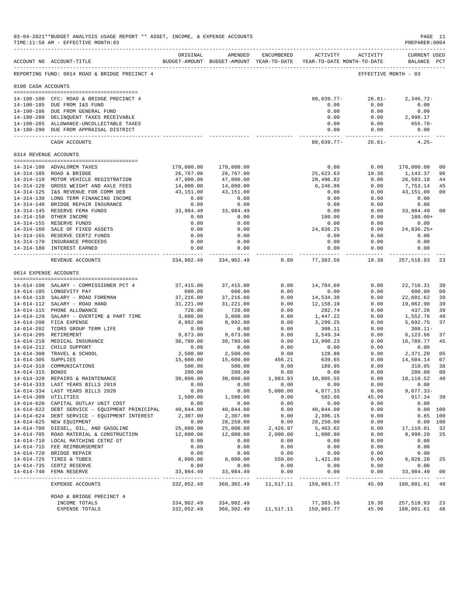|                     | 03-04-2021**BUDGET ANALYSIS USAGE REPORT ** ASSET, INCOME, & EXPENSE ACCOUNTS<br>TIME:11:58 AM - EFFECTIVE MONTH:03 |                      |                                                                                |                  |                                           |                    | PAGE 11<br>PREPARER: 0004          |                      |
|---------------------|---------------------------------------------------------------------------------------------------------------------|----------------------|--------------------------------------------------------------------------------|------------------|-------------------------------------------|--------------------|------------------------------------|----------------------|
|                     | ACCOUNT NO ACCOUNT-TITLE                                                                                            | ORIGINAL             | AMENDED<br>BUDGET-AMOUNT BUDGET-AMOUNT YEAR-TO-DATE YEAR-TO-DATE MONTH-TO-DATE | ENCUMBERED       | ACTIVITY                                  | ACTIVITY           | <b>CURRENT USED</b><br>BALANCE PCT |                      |
|                     | REPORTING FUND: 0014 ROAD & BRIDGE PRECINCT 4                                                                       |                      |                                                                                |                  |                                           |                    | EFFECTIVE MONTH - 03               |                      |
| 0100 CASH ACCOUNTS  |                                                                                                                     |                      |                                                                                |                  |                                           |                    |                                    |                      |
|                     | 14-100-100 CFC: ROAD & BRIDGE PRECINCT 4                                                                            |                      |                                                                                |                  | $80,039.77-$                              | $26.61-$           | $2,346.72-$                        |                      |
|                     | 14-100-185 DUE FROM I&S FUND                                                                                        |                      |                                                                                |                  | 0.00                                      | 0.00               | 0.00                               |                      |
|                     | 14-100-186 DUE FROM GENERAL FUND                                                                                    |                      |                                                                                |                  | 0.00                                      | 0.00               | 0.00                               |                      |
|                     | 14-100-280 DELINQUENT TAXES RECEIVABLE                                                                              |                      |                                                                                |                  | 0.00                                      | 0.00               | 2,998.17                           |                      |
|                     | 14-100-285 ALLOWANCE-UNCOLLECTABLE TAXES                                                                            |                      |                                                                                |                  | 0.00                                      | 0.00               | 655.70-                            |                      |
|                     | 14-100-290 DUE FROM APPRAISAL DISTRICT                                                                              |                      |                                                                                |                  | 0.00<br>-------------                     | 0.00<br>---------- | 0.00                               |                      |
|                     | CASH ACCOUNTS                                                                                                       |                      |                                                                                |                  | 80,039.77-                                | $26.61-$           | $4.25 -$                           |                      |
|                     | 0314 REVENUE ACCOUNTS                                                                                               |                      |                                                                                |                  |                                           |                    |                                    |                      |
|                     | 14-314-100 ADVALOREM TAXES                                                                                          | 170,000.00           | 170,000.00                                                                     |                  | 0.00                                      | 0.00               | 170,000.00                         | 0 <sub>0</sub>       |
|                     | 14-314-105 ROAD & BRIDGE                                                                                            | 26,767.00            | 26,767.00                                                                      |                  | 25,623.63                                 | 19.38              | 1,143.37                           | 96                   |
|                     | 14-314-110 MOTOR VEHICLE REGISTRATION                                                                               | 47,000.00            | 47,000.00                                                                      |                  | 20,496.82                                 | 0.00               | 26,503.18                          | 44                   |
|                     | 14-314-120 GROSS WEIGHT AND AXLE FEES                                                                               | 14,000.00            | 14,000.00                                                                      |                  | 6,246.86                                  | 0.00               | 7,753.14                           | 45                   |
|                     | 14-314-125 I&S REVENUE FOR COMM DEB                                                                                 | 43,151.00            | 43,151.00                                                                      |                  | 0.00                                      | 0.00               | 43,151.00                          | 0 <sub>0</sub>       |
|                     | 14-314-130 LONG TERM FINANCING INCOME                                                                               | 0.00                 | 0.00                                                                           |                  | 0.00                                      | 0.00               | 0.00<br>0.00                       |                      |
|                     | 14-314-140 BRIDGE REPAIR INSURANCE<br>14-314-145 RESERVE FEMA FUNDS                                                 | 0.00<br>33,984.49    | 0.00<br>33,984.49                                                              |                  | 0.00<br>0.00                              | 0.00<br>0.00       | 33,984.49                          | 0 <sub>0</sub>       |
|                     | 14-314-150 OTHER INCOME                                                                                             | 0.00                 | 0.00                                                                           |                  | 180.00                                    | 0.00               | 180.00+                            |                      |
|                     | 14-314-155 RESERVE FUNDS                                                                                            | 0.00                 | 0.00                                                                           |                  | 0.00                                      | 0.00               | 0.00                               |                      |
|                     | 14-314-160 SALE OF FIXED ASSETS                                                                                     | 0.00                 | 0.00                                                                           |                  | 24,836.25                                 | 0.00               | 24,836.25+                         |                      |
|                     | 14-314-165 RESERVE CERTZ FUNDS                                                                                      | 0.00                 | 0.00                                                                           |                  | 0.00                                      | 0.00               | 0.00                               |                      |
|                     | 14-314-170 INSURANCE PROCEEDS                                                                                       | 0.00                 | 0.00                                                                           |                  | 0.00                                      | 0.00               | 0.00                               |                      |
|                     | 14-314-180 INTEREST EARNED                                                                                          | 0.00<br>------------ | 0.00<br>------------                                                           |                  | 0.00<br>-----------                       | 0.00<br>---------  | 0.00<br>-----------                |                      |
|                     | REVENUE ACCOUNTS                                                                                                    |                      | 334,902.49 334,902.49                                                          | 0.00             | 77,383.56                                 | 19.38              | 257,518.93                         | 23                   |
|                     | 0614 EXPENSE ACCOUNTS                                                                                               |                      |                                                                                |                  |                                           |                    |                                    |                      |
|                     | 14-614-100 SALARY - COMMISSIONER PCT 4                                                                              | 37,415.00            | 37, 415.00                                                                     | 0.00             | 14,704.69                                 | 0.00               | 22,710.31                          | 39                   |
|                     | 14-614-105 LONGEVITY PAY                                                                                            | 600.00               | 600.00                                                                         | 0.00             | 0.00                                      | 0.00               | 600.00                             | 00                   |
|                     | 14-614-110 SALARY - ROAD FOREMAN                                                                                    | 37,216.00            | 37,216.00                                                                      | 0.00             | 14,534.38                                 | 0.00               | 22,681.62                          | 39                   |
|                     | 14-614-112 SALARY - ROAD HAND                                                                                       | 31,221.00            | 31,221.00                                                                      | 0.00             | 12,158.10                                 | 0.00               | 19,062.90                          | 39                   |
|                     | 14-614-115 PHONE ALLOWANCE                                                                                          | 720.00               | 720.00                                                                         | 0.00             | 282.74                                    | 0.00               | 437.26                             | 39                   |
|                     | 14-614-120 SALARY - OVERTIME & PART TIME                                                                            | 3,000.00             | 3,000.00                                                                       | 0.00             | 1,447.22                                  | 0.00               | 1,552.78                           | 48                   |
|                     | 14-614-200 FICA EXPENSE<br>14-614-202 TCDRS GROUP TERM LIFE                                                         | 8,992.00<br>0.00     | 8,992.00<br>0.00                                                               | 0.00<br>0.00     | 3,299.25<br>308.11                        | 0.00<br>0.00       | 5,692.75<br>$308.11 -$             | 37                   |
|                     | 14-614-205 RETIREMENT                                                                                               | 9,673.00             | 9,673.00                                                                       | 0.00             | 3,549.34                                  | 0.00               | 6,123.66                           | 37                   |
|                     | 14-614-210 MEDICAL INSURANCE                                                                                        | 30,780.00            | 30,780.00                                                                      | 0.00             | 13,990.23                                 | 0.00               | 16,789.77                          | 45                   |
|                     | 14-614-212 CHILD SUPPORT                                                                                            | 0.00                 | 0.00                                                                           | 0.00             | 0.00                                      | 0.00               | 0.00                               |                      |
|                     | 14-614-300 TRAVEL & SCHOOL                                                                                          | 2,500.00             | 2,500.00                                                                       | 0.00             | 128.80                                    | 0.00               | 2,371.20                           | 05                   |
| 14-614-305 SUPPLIES |                                                                                                                     | 15,600.00            | 15,600.00                                                                      | 456.21           | 639.65                                    | 0.00               | 14,504.14                          | 07                   |
| 14-614-315 BONDS    | 14-614-310 COMMUNICATIONS                                                                                           | 500.00<br>200.00     | 500.00<br>200.00                                                               | 0.00<br>0.00     | 189.95<br>0.00                            | 0.00<br>0.00       | 310.05<br>200.00                   | 38<br>0 <sub>0</sub> |
|                     | 14-614-320 REPAIRS & MAINTENANCE                                                                                    | 30,000.00            | 30,000.00                                                                      | 1,083.93         | 10,805.55                                 | 0.00               | 18, 110. 52 40                     |                      |
|                     | 14-614-333 LAST YEARS BILLS 2019                                                                                    | 0.00                 | 0.00                                                                           | 0.00             | 0.00                                      | 0.00               | 0.00                               |                      |
|                     | 14-614-334 LAST YEARS BILLS 2020                                                                                    | 0.00                 | 0.00                                                                           | 5,000.00         | 4,077.33                                  | 0.00               | $9,077.33-$                        |                      |
|                     | 14-614-380 UTILITIES                                                                                                | 1,500.00             | 1,500.00                                                                       | 0.00             | 582.66                                    | 45.99              | 917.34 39                          |                      |
|                     | 14-614-620 CAPITAL OUTLAY UNIT COST                                                                                 | 0.00                 | 0.00                                                                           | 0.00             | 0.00                                      | 0.00               | 0.00                               |                      |
|                     | 14-614-622 DEBT SERVICE - EQUIPMENT PRINICIPAL                                                                      | 40,844.00            | 40,844.00                                                                      | 0.00             | 40,844.00                                 | 0.00               |                                    | 0.00 100             |
|                     | 14-614-624 DEBT SERVICE - EQUIPMENT INTEREST                                                                        | 2,307.00             | 2,307.00                                                                       | 0.00             | 2,306.15                                  | 0.00               |                                    | $0.85$ 100           |
|                     | 14-614-625 NEW EQUIPMENT<br>14-614-700 DIESEL, OIL, AND GASOLINE                                                    | 0.00<br>25,000.00    | 28,250.00<br>25,000.00                                                         | 0.00<br>2,426.97 | 28,250.00<br>5,463.02                     | 0.00<br>0.00       | 17,110.01                          | 0.00 100<br>32       |
|                     | 14-614-705 ROAD MATERIAL & CONSTRUCTION                                                                             | 12,000.00            | 12,000.00                                                                      | 2,000.00         | 1,000.80                                  | 0.00               | 8,999.20                           | 25                   |
|                     | 14-614-710 LOCAL MATCHING CETRZ GT                                                                                  | 0.00                 | 0.00                                                                           | 0.00             | 0.00                                      | 0.00               | 0.00                               |                      |
|                     | 14-614-715 FEE REIMBURSEMENT                                                                                        | 0.00                 | 0.00                                                                           | 0.00             | 0.00                                      | 0.00               | 0.00                               |                      |
|                     | 14-614-720 BRIDGE REPAIR                                                                                            | 0.00                 | 0.00                                                                           | 0.00             | 0.00                                      | 0.00               | 0.00                               |                      |
|                     | 14-614-725 TIRES & TUBES                                                                                            | 8,000.00             | 8,000.00                                                                       | 550.00           | 1,421.80                                  | 0.00               | 6,028.20                           | 25                   |
|                     | 14-614-735 CERTZ RESERVE<br>14-614-740 FEMA RESERVE                                                                 | 0.00<br>33,984.49    | 0.00<br>33,984.49                                                              | 0.00<br>0.00     | 0.00<br>0.00                              | 0.00<br>0.00       | 0.00<br>33,984.49                  | 0 <sub>0</sub>       |
|                     |                                                                                                                     |                      |                                                                                |                  |                                           |                    |                                    |                      |
|                     | EXPENSE ACCOUNTS                                                                                                    | 332,052.49           | 360,302.49                                                                     | 11,517.11        | 159,983.77                                | 45.99              | 188,801.61                         | 48                   |
|                     | ROAD & BRIDGE PRECINCT 4                                                                                            |                      |                                                                                |                  |                                           |                    |                                    |                      |
|                     | INCOME TOTALS                                                                                                       | 334,902.49           | 334,902.49                                                                     |                  | 77,383.56                                 | 19.38              | 257,518.93                         | 23                   |
|                     | EXPENSE TOTALS                                                                                                      | 332,052.49           |                                                                                |                  | 360, 302. 49   11, 517. 11   159, 983. 77 | 45.99              | 188,801.61                         | 48                   |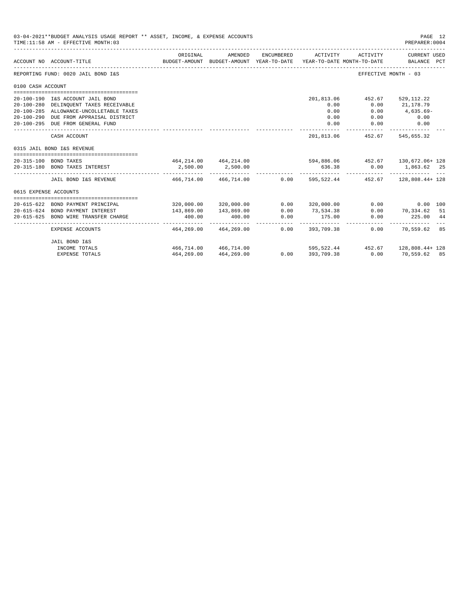|                       | 03-04-2021**BUDGET ANALYSIS USAGE REPORT ** ASSET, INCOME, & EXPENSE ACCOUNTS<br>TIME: 11:58 AM - EFFECTIVE MONTH: 03 |                                                                        |                                                     |                     |                    |                                        | PAGE 12<br>PREPARER: 0004   |  |
|-----------------------|-----------------------------------------------------------------------------------------------------------------------|------------------------------------------------------------------------|-----------------------------------------------------|---------------------|--------------------|----------------------------------------|-----------------------------|--|
|                       | ACCOUNT NO ACCOUNT-TITLE                                                                                              | ORIGINAL                                                               | AMENDED<br>BUDGET-AMOUNT BUDGET-AMOUNT YEAR-TO-DATE | ENCUMBERED          | ACTIVITY           | ACTIVITY<br>YEAR-TO-DATE MONTH-TO-DATE | CURRENT USED<br>BALANCE PCT |  |
|                       | REPORTING FUND: 0020 JAIL BOND I&S                                                                                    |                                                                        |                                                     |                     |                    |                                        | EFFECTIVE MONTH - 03        |  |
| 0100 CASH ACCOUNT     |                                                                                                                       |                                                                        |                                                     |                     |                    |                                        |                             |  |
|                       |                                                                                                                       |                                                                        |                                                     |                     |                    |                                        |                             |  |
|                       | 20-100-190 I&S ACCOUNT JAIL BOND                                                                                      |                                                                        |                                                     |                     | 201,813.06<br>0.00 | 452.67                                 | 529,112.22                  |  |
|                       | 20-100-280 DELINQUENT TAXES RECEIVABLE<br>20-100-285 ALLOWANCE-UNCOLLETABLE TAXES                                     |                                                                        |                                                     |                     | 0.00               | 0.00<br>0.00                           | 21,178.79<br>4,635.69-      |  |
|                       | 20-100-290 DUE FROM APPRAISAL DISTRICT                                                                                |                                                                        |                                                     |                     | 0.00               | 0.00                                   |                             |  |
|                       | 20-100-295 DUE FROM GENERAL FUND                                                                                      |                                                                        |                                                     |                     | 0.00               | 0.00                                   | 0.00<br>0.00                |  |
|                       |                                                                                                                       |                                                                        |                                                     |                     |                    |                                        |                             |  |
|                       | CASH ACCOUNT                                                                                                          |                                                                        |                                                     |                     | 201,813.06         |                                        | 452.67 545.655.32           |  |
|                       | 0315 JAIL BOND I&S REVENUE                                                                                            |                                                                        |                                                     |                     |                    |                                        |                             |  |
|                       | 20-315-100 BOND TAXES                                                                                                 | $464, 214.00$ $464, 214.00$ $594, 886.06$ $452.67$ $130, 672.06 + 128$ |                                                     |                     |                    |                                        |                             |  |
|                       | 20-315-180 BOND TAXES INTEREST                                                                                        | 2,500.00                                                               | 2,500.00                                            |                     |                    | 636.38 0.00 1,863.62 25                |                             |  |
|                       | JAIL BOND I&S REVENUE 466.714.00 466.714.00 0.00 595.522.44 452.67 128.808.44+ 128                                    |                                                                        |                                                     |                     |                    |                                        |                             |  |
| 0615 EXPENSE ACCOUNTS |                                                                                                                       |                                                                        |                                                     |                     |                    |                                        |                             |  |
|                       |                                                                                                                       |                                                                        |                                                     |                     |                    |                                        |                             |  |
|                       | 20-615-622 BOND PAYMENT PRINCIPAL                                                                                     |                                                                        | 320,000.00 320,000.00                               |                     | $0.00$ 320,000.00  | 0.00                                   | $0.00$ 100                  |  |
|                       | 20-615-624 BOND PAYMENT INTEREST                                                                                      | 143,869.00                                                             | 143,869.00                                          | 0.00                | 73,534.38          |                                        | $0.00$ $70,334.62$ 51       |  |
| $20 - 615 - 625$      | BOND WIRE TRANSFER CHARGE                                                                                             | 400.00<br>------------                                                 | 400.00                                              | 0.00<br>----------- | 175.00             | 0.00                                   | 225.00 44                   |  |
|                       | EXPENSE ACCOUNTS                                                                                                      |                                                                        | 464,269.00 464,269.00                               |                     | $0.00$ 393.709.38  |                                        | $0.00$ 70,559.62 85         |  |
|                       | JAIL BOND I&S                                                                                                         |                                                                        |                                                     |                     |                    |                                        |                             |  |
|                       | INCOME TOTALS                                                                                                         | 466,714.00 466,714.00                                                  |                                                     |                     |                    | $595,522.44$ $452.67$ $128,808.44+128$ |                             |  |
|                       | <b>EXPENSE TOTALS</b>                                                                                                 |                                                                        | 464, 269.00 464, 269.00                             | $0.00$ 393,709.38   |                    | $0.00$ 70,559.62 85                    |                             |  |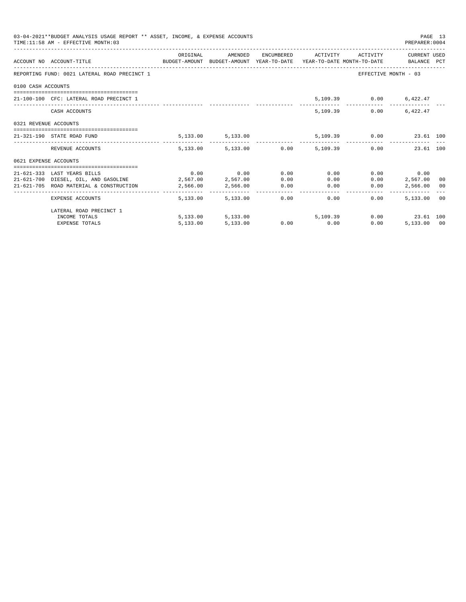| 03-04-2021**BUDGET ANALYSIS USAGE REPORT ** ASSET, INCOME, & EXPENSE ACCOUNTS<br>PAGE 13<br>TIME: 11:58 AM - EFFECTIVE MONTH: 03<br>PREPARER: 0004<br>ORIGINAL<br>AMENDED<br>ENCUMBERED ACTIVITY ACTIVITY CURRENT USED<br>ACCOUNT NO ACCOUNT-TITLE CONTROL BUDGET-AMOUNT BUDGET-AMOUNT YEAR-TO-DATE YEAR-TO-DATE MONTH-TO-DATE BALANCE PCT<br>REPORTING FUND: 0021 LATERAL ROAD PRECINCT 1<br>EFFECTIVE MONTH - 03<br>0100 CASH ACCOUNTS<br>21-100-100 CFC: LATERAL ROAD PRECINCT 1<br>5,109.39 0.00 6,422.47<br>5,109.39<br>6.422.47<br>0.00<br>CASH ACCOUNTS<br>0321 REVENUE ACCOUNTS<br>5,109.39 0.00 23.61 100<br>5, 133.00 5, 133.00<br>21-321-190 STATE ROAD FUND<br>5,133.00 5,133.00 0.00 5,109.39 0.00 23.61 100<br>REVENUE ACCOUNTS<br>0621 EXPENSE ACCOUNTS<br>$0.00$ $0.00$ $0.00$ $0.00$<br>0.00<br>21-621-333 LAST YEARS BILLS<br>$0.00$ 0.00<br>21-621-700 DIESEL, OIL, AND GASOLINE 2,567.00 2,567.00<br>0.00<br>0.00<br>0.00<br>2,567,00 00<br>2,566.00 0.00<br>21-621-705 ROAD MATERIAL & CONSTRUCTION<br>2,566.00<br>0.00<br>0.00<br>2,566.00 00<br>$0.00$ and $0.00$<br>0.00<br>5,133.00 00<br>5,133,00 5,133,00<br>0.00<br>EXPENSE ACCOUNTS |          |                   |  |               |      |                  |  |
|------------------------------------------------------------------------------------------------------------------------------------------------------------------------------------------------------------------------------------------------------------------------------------------------------------------------------------------------------------------------------------------------------------------------------------------------------------------------------------------------------------------------------------------------------------------------------------------------------------------------------------------------------------------------------------------------------------------------------------------------------------------------------------------------------------------------------------------------------------------------------------------------------------------------------------------------------------------------------------------------------------------------------------------------------------------------------------------------------------------------------------------------------------------|----------|-------------------|--|---------------|------|------------------|--|
|                                                                                                                                                                                                                                                                                                                                                                                                                                                                                                                                                                                                                                                                                                                                                                                                                                                                                                                                                                                                                                                                                                                                                                  |          |                   |  |               |      |                  |  |
|                                                                                                                                                                                                                                                                                                                                                                                                                                                                                                                                                                                                                                                                                                                                                                                                                                                                                                                                                                                                                                                                                                                                                                  |          |                   |  |               |      |                  |  |
|                                                                                                                                                                                                                                                                                                                                                                                                                                                                                                                                                                                                                                                                                                                                                                                                                                                                                                                                                                                                                                                                                                                                                                  |          |                   |  |               |      |                  |  |
|                                                                                                                                                                                                                                                                                                                                                                                                                                                                                                                                                                                                                                                                                                                                                                                                                                                                                                                                                                                                                                                                                                                                                                  |          |                   |  |               |      |                  |  |
|                                                                                                                                                                                                                                                                                                                                                                                                                                                                                                                                                                                                                                                                                                                                                                                                                                                                                                                                                                                                                                                                                                                                                                  |          |                   |  |               |      |                  |  |
|                                                                                                                                                                                                                                                                                                                                                                                                                                                                                                                                                                                                                                                                                                                                                                                                                                                                                                                                                                                                                                                                                                                                                                  |          |                   |  |               |      |                  |  |
|                                                                                                                                                                                                                                                                                                                                                                                                                                                                                                                                                                                                                                                                                                                                                                                                                                                                                                                                                                                                                                                                                                                                                                  |          |                   |  |               |      |                  |  |
|                                                                                                                                                                                                                                                                                                                                                                                                                                                                                                                                                                                                                                                                                                                                                                                                                                                                                                                                                                                                                                                                                                                                                                  |          |                   |  |               |      |                  |  |
|                                                                                                                                                                                                                                                                                                                                                                                                                                                                                                                                                                                                                                                                                                                                                                                                                                                                                                                                                                                                                                                                                                                                                                  |          |                   |  |               |      |                  |  |
|                                                                                                                                                                                                                                                                                                                                                                                                                                                                                                                                                                                                                                                                                                                                                                                                                                                                                                                                                                                                                                                                                                                                                                  |          |                   |  |               |      |                  |  |
|                                                                                                                                                                                                                                                                                                                                                                                                                                                                                                                                                                                                                                                                                                                                                                                                                                                                                                                                                                                                                                                                                                                                                                  |          |                   |  |               |      |                  |  |
|                                                                                                                                                                                                                                                                                                                                                                                                                                                                                                                                                                                                                                                                                                                                                                                                                                                                                                                                                                                                                                                                                                                                                                  |          |                   |  |               |      |                  |  |
|                                                                                                                                                                                                                                                                                                                                                                                                                                                                                                                                                                                                                                                                                                                                                                                                                                                                                                                                                                                                                                                                                                                                                                  |          |                   |  |               |      |                  |  |
| LATERAL ROAD PRECINCT 1                                                                                                                                                                                                                                                                                                                                                                                                                                                                                                                                                                                                                                                                                                                                                                                                                                                                                                                                                                                                                                                                                                                                          |          |                   |  |               |      |                  |  |
| INCOME TOTALS                                                                                                                                                                                                                                                                                                                                                                                                                                                                                                                                                                                                                                                                                                                                                                                                                                                                                                                                                                                                                                                                                                                                                    |          | 5,133.00 5,133.00 |  | 5,109,39      |      | $0.00$ 23.61 100 |  |
| <b>EXPENSE TOTALS</b>                                                                                                                                                                                                                                                                                                                                                                                                                                                                                                                                                                                                                                                                                                                                                                                                                                                                                                                                                                                                                                                                                                                                            | 5,133.00 | 5,133.00          |  | $0.00$ $0.00$ | 0.00 | 5,133.00 00      |  |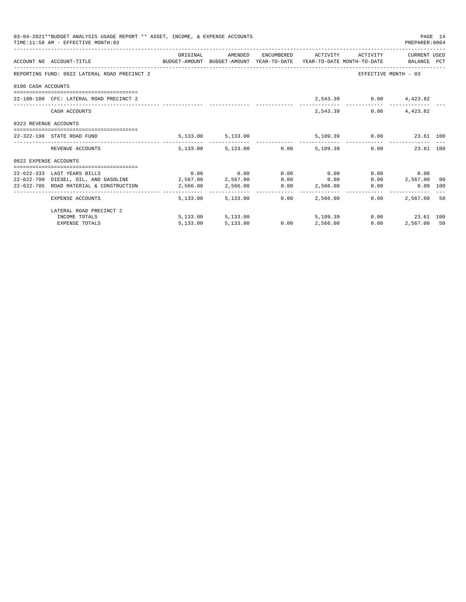| 03-04-2021**BUDGET ANALYSIS USAGE REPORT ** ASSET, INCOME, & EXPENSE ACCOUNTS<br>PAGE 14<br>TIME: 11:58 AM - EFFECTIVE MONTH: 03<br>PREPARER:0004<br>ORIGINAL AMENDED ENCUMBERED ACTIVITY ACTIVITY CURRENT USED<br>ACCOUNT NO ACCOUNT-TITLE CONTROL BUDGET-AMOUNT BUDGET-AMOUNT YEAR-TO-DATE YEAR-TO-DATE MONTH-TO-DATE BALANCE PCT<br>REPORTING FUND: 0022 LATERAL ROAD PRECINCT 2<br>EFFECTIVE MONTH - 03<br>0100 CASH ACCOUNTS<br>2,543.39 0.00 4,423.82<br>22-100-100 CFC: LATERAL ROAD PRECINCT 2<br>2,543.39 0.00 4,423.82<br>CASH ACCOUNTS<br>0322 REVENUE ACCOUNTS<br>$5,133.00$ $5,133.00$ $5,109.39$ $0.00$ $23.61$ $100$<br>22-322-190 STATE ROAD FUND<br>5,133.00 5,133.00 0.00 5,109.39 0.00 23.61 100<br>REVENUE ACCOUNTS<br>0622 EXPENSE ACCOUNTS<br>$0.00$ $0.00$ $0.00$ $0.00$ $0.00$ $0.00$<br>0.00<br>0.00<br>22-622-333 LAST YEARS BILLS<br>$22-622-700$ DIESEL, OIL, AND GASOLINE $2,567.00$ $2,567.00$ $0.00$ $0.00$<br>$0.00$ 2,567.00 00 |  |                        |  |                                           |      |             |  |
|------------------------------------------------------------------------------------------------------------------------------------------------------------------------------------------------------------------------------------------------------------------------------------------------------------------------------------------------------------------------------------------------------------------------------------------------------------------------------------------------------------------------------------------------------------------------------------------------------------------------------------------------------------------------------------------------------------------------------------------------------------------------------------------------------------------------------------------------------------------------------------------------------------------------------------------------------------------|--|------------------------|--|-------------------------------------------|------|-------------|--|
|                                                                                                                                                                                                                                                                                                                                                                                                                                                                                                                                                                                                                                                                                                                                                                                                                                                                                                                                                                  |  |                        |  |                                           |      |             |  |
|                                                                                                                                                                                                                                                                                                                                                                                                                                                                                                                                                                                                                                                                                                                                                                                                                                                                                                                                                                  |  |                        |  |                                           |      |             |  |
|                                                                                                                                                                                                                                                                                                                                                                                                                                                                                                                                                                                                                                                                                                                                                                                                                                                                                                                                                                  |  |                        |  |                                           |      |             |  |
|                                                                                                                                                                                                                                                                                                                                                                                                                                                                                                                                                                                                                                                                                                                                                                                                                                                                                                                                                                  |  |                        |  |                                           |      |             |  |
|                                                                                                                                                                                                                                                                                                                                                                                                                                                                                                                                                                                                                                                                                                                                                                                                                                                                                                                                                                  |  |                        |  |                                           |      |             |  |
|                                                                                                                                                                                                                                                                                                                                                                                                                                                                                                                                                                                                                                                                                                                                                                                                                                                                                                                                                                  |  |                        |  |                                           |      |             |  |
|                                                                                                                                                                                                                                                                                                                                                                                                                                                                                                                                                                                                                                                                                                                                                                                                                                                                                                                                                                  |  |                        |  |                                           |      |             |  |
|                                                                                                                                                                                                                                                                                                                                                                                                                                                                                                                                                                                                                                                                                                                                                                                                                                                                                                                                                                  |  |                        |  |                                           |      |             |  |
|                                                                                                                                                                                                                                                                                                                                                                                                                                                                                                                                                                                                                                                                                                                                                                                                                                                                                                                                                                  |  |                        |  |                                           |      |             |  |
|                                                                                                                                                                                                                                                                                                                                                                                                                                                                                                                                                                                                                                                                                                                                                                                                                                                                                                                                                                  |  |                        |  |                                           |      |             |  |
|                                                                                                                                                                                                                                                                                                                                                                                                                                                                                                                                                                                                                                                                                                                                                                                                                                                                                                                                                                  |  |                        |  |                                           |      |             |  |
|                                                                                                                                                                                                                                                                                                                                                                                                                                                                                                                                                                                                                                                                                                                                                                                                                                                                                                                                                                  |  |                        |  |                                           |      |             |  |
| 22-622-705 ROAD MATERIAL & CONSTRUCTION $2,566.00$ $2,566.00$ $0.00$ $2,566.00$                                                                                                                                                                                                                                                                                                                                                                                                                                                                                                                                                                                                                                                                                                                                                                                                                                                                                  |  |                        |  |                                           |      | 0.00 100    |  |
| EXPENSE ACCOUNTS                                                                                                                                                                                                                                                                                                                                                                                                                                                                                                                                                                                                                                                                                                                                                                                                                                                                                                                                                 |  | 5,133.00 5,133.00 0.00 |  | 2,566.00                                  | 0.00 | 2,567,00 50 |  |
| LATERAL ROAD PRECINCT 2                                                                                                                                                                                                                                                                                                                                                                                                                                                                                                                                                                                                                                                                                                                                                                                                                                                                                                                                          |  |                        |  |                                           |      |             |  |
| INCOME TOTALS                                                                                                                                                                                                                                                                                                                                                                                                                                                                                                                                                                                                                                                                                                                                                                                                                                                                                                                                                    |  |                        |  | 5,133.00 5,133.00 5,109.39 0.00 23.61 100 |      |             |  |
| <b>EXPENSE TOTALS</b>                                                                                                                                                                                                                                                                                                                                                                                                                                                                                                                                                                                                                                                                                                                                                                                                                                                                                                                                            |  | 5,133.00 5,133.00      |  | $0.00$ $2,566.00$                         | 0.00 | 2,567.00 50 |  |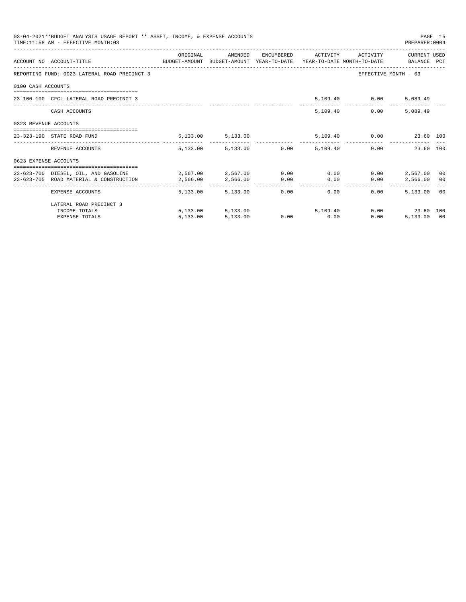|                       | 03-04-2021**BUDGET ANALYSIS USAGE REPORT ** ASSET, INCOME, & EXPENSE ACCOUNTS<br>TIME: 11:58 AM - EFFECTIVE MONTH: 03 |          |                                 |             |      |                                                                                                                                                                                                                                     | PREPARER: 0004       | PAGE 15 |
|-----------------------|-----------------------------------------------------------------------------------------------------------------------|----------|---------------------------------|-------------|------|-------------------------------------------------------------------------------------------------------------------------------------------------------------------------------------------------------------------------------------|----------------------|---------|
|                       | ACCOUNT NO ACCOUNT-TITLE COMPUTE SUDGET-AMOUNT BUDGET-AMOUNT YEAR-TO-DATE YEAR-TO-DATE MONTH-TO-DATE BALANCE PCT      | ORIGINAL | AMENDED                         |             |      | ENCUMBERED ACTIVITY ACTIVITY                                                                                                                                                                                                        | CURRENT USED         |         |
|                       | REPORTING FUND: 0023 LATERAL ROAD PRECINCT 3                                                                          |          |                                 |             |      |                                                                                                                                                                                                                                     | EFFECTIVE MONTH - 03 |         |
| 0100 CASH ACCOUNTS    |                                                                                                                       |          |                                 |             |      |                                                                                                                                                                                                                                     |                      |         |
|                       | 23-100-100 CFC: LATERAL ROAD PRECINCT 3                                                                               |          |                                 |             |      | 5,109.40 0.00                                                                                                                                                                                                                       | 5,089.49             |         |
|                       | CASH ACCOUNTS                                                                                                         |          |                                 |             |      | 5,109.40<br>0.00                                                                                                                                                                                                                    | 5,089.49             |         |
| 0323 REVENUE ACCOUNTS |                                                                                                                       |          |                                 |             |      |                                                                                                                                                                                                                                     |                      |         |
|                       | 23-323-190 STATE ROAD FUND                                                                                            |          | 5, 133.00 5, 133.00             |             |      | 5,109.40   0.00   23.60   100                                                                                                                                                                                                       |                      |         |
|                       | REVENUE ACCOUNTS                                                                                                      |          | 5,133.00 5,133.00 0.00 5,109.40 |             |      |                                                                                                                                                                                                                                     | 0.00<br>23.60 100    |         |
| 0623 EXPENSE ACCOUNTS |                                                                                                                       |          |                                 |             |      |                                                                                                                                                                                                                                     |                      |         |
|                       | 23-623-700 DIESEL, OIL, AND GASOLINE $2,567.00$ $2,567.00$ $0.00$ $0.00$                                              |          |                                 |             |      |                                                                                                                                                                                                                                     | $0.00$ 2.567.00 00   |         |
|                       | 23-623-705 ROAD MATERIAL & CONSTRUCTION                                                                               | 2,566.00 | 2,566.00                        | 0.00        | 0.00 | 0.00                                                                                                                                                                                                                                | 2,566.00 00          |         |
|                       | EXPENSE ACCOUNTS                                                                                                      |          | 5,133,00 5,133,00               |             | 0.00 | $0.00$ and $0.00$ and $0.00$ and $0.00$ and $0.00$ and $0.00$ and $0.00$ and $0.00$ and $0.00$ and $0.00$ and $0.00$ and $0.00$ and $0.00$ and $0.00$ and $0.00$ and $0.00$ and $0.00$ and $0.00$ and $0.00$ and $0.00$ and<br>0.00 | 5,133,00 00          |         |
|                       | LATERAL ROAD PRECINCT 3                                                                                               |          |                                 |             |      |                                                                                                                                                                                                                                     |                      |         |
|                       | INCOME TOTALS                                                                                                         |          | 5,133.00 5,133.00               |             |      | 5,109,40                                                                                                                                                                                                                            | 0.00 23.60 100       |         |
|                       | <b>EXPENSE TOTALS</b>                                                                                                 | 5,133.00 | 5,133.00                        | $0.00$ 0.00 |      | 0.00                                                                                                                                                                                                                                | 5,133.00 00          |         |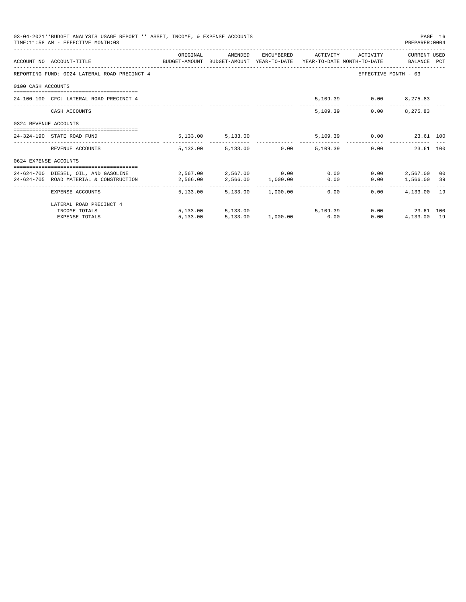|                       | 03-04-2021**BUDGET ANALYSIS USAGE REPORT ** ASSET, INCOME, & EXPENSE ACCOUNTS<br>TIME: 11:58 AM - EFFECTIVE MONTH: 03 |          |                                  |  |                                      | PREPARER: 0004       | PAGE 16 |
|-----------------------|-----------------------------------------------------------------------------------------------------------------------|----------|----------------------------------|--|--------------------------------------|----------------------|---------|
|                       | ACCOUNT NO ACCOUNT-TITLE COMPUTE SUDGET-AMOUNT BUDGET-AMOUNT YEAR-TO-DATE YEAR-TO-DATE MONTH-TO-DATE BALANCE PCT      | ORIGINAL |                                  |  | AMENDED ENCUMBERED ACTIVITY ACTIVITY | CURRENT USED         |         |
|                       | REPORTING FUND: 0024 LATERAL ROAD PRECINCT 4                                                                          |          |                                  |  |                                      | EFFECTIVE MONTH - 03 |         |
| 0100 CASH ACCOUNTS    |                                                                                                                       |          |                                  |  |                                      |                      |         |
|                       | 24-100-100 CFC: LATERAL ROAD PRECINCT 4                                                                               |          |                                  |  | 5,109.39 0.00 8,275.83               |                      |         |
|                       | CASH ACCOUNTS                                                                                                         |          |                                  |  | 5,109.39                             | $0.00$ $8,275.83$    |         |
| 0324 REVENUE ACCOUNTS |                                                                                                                       |          |                                  |  |                                      |                      |         |
|                       | 24-324-190 STATE ROAD FUND                                                                                            |          | 5, 133.00 5, 133.00              |  | 5,109.39 0.00 23.61 100              |                      |         |
|                       | REVENUE ACCOUNTS                                                                                                      |          | 5,133.00 5,133.00 0.00 5,109.39  |  |                                      | 0.00<br>23.61 100    |         |
| 0624 EXPENSE ACCOUNTS |                                                                                                                       |          |                                  |  |                                      |                      |         |
|                       | 24-624-700 DIESEL, OIL, AND GASOLINE $2,567.00$ $2,567.00$ $0.00$ $0.00$                                              |          |                                  |  |                                      | $0.00$ 2.567.00 00   |         |
|                       | 24-624-705 ROAD MATERIAL & CONSTRUCTION                                                                               | 2,566.00 | 2,566.00 1,000.00 0.00           |  |                                      | $0.00$ 1,566.00 39   |         |
|                       | EXPENSE ACCOUNTS                                                                                                      |          | 5,133.00 5,133.00 1,000.00 0.00  |  |                                      | $0.00$ $4.133.00$ 19 |         |
|                       | LATERAL ROAD PRECINCT 4                                                                                               |          |                                  |  |                                      |                      |         |
|                       | INCOME TOTALS                                                                                                         |          | $5,133.00$ $5,133.00$ $5,109.39$ |  |                                      | $0.00$ 23.61 100     |         |
|                       | <b>EXPENSE TOTALS</b>                                                                                                 |          | 5,133.00 5,133.00 1,000.00 0.00  |  | 0.00                                 | 4,133.00 19          |         |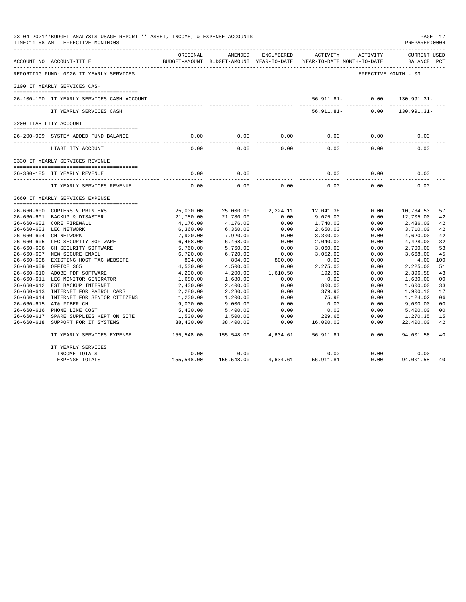|                  | 03-04-2021**BUDGET ANALYSIS USAGE REPORT ** ASSET, INCOME, & EXPENSE ACCOUNTS<br>PAGE 17<br>TIME:11:58 AM - EFFECTIVE MONTH:03<br>PREPARER: 0004<br>ACTIVITY<br>ORIGINAL<br>AMENDED<br>ENCUMBERED<br>ACTIVITY<br>ACCOUNT NO ACCOUNT-TITLE<br>BUDGET-AMOUNT BUDGET-AMOUNT YEAR-TO-DATE<br>YEAR-TO-DATE MONTH-TO-DATE<br>REPORTING FUND: 0026 IT YEARLY SERVICES<br>EFFECTIVE MONTH - 03<br>0100 IT YEARLY SERVICES CASH<br>56,911.81- 0.00<br>26-100-100 IT YEARLY SERVICES CASH ACCOUNT<br>$56, 911.81 -$<br>0.00<br>IT YEARLY SERVICES CASH<br>0200 LIABILITY ACCOUNT<br>0.00<br>0.00<br>0.00<br>0.00<br>0.00<br>26-200-999 SYSTEM ADDED FUND BALANCE<br>0.00<br>0.00<br>0.00<br>0.00<br>0.00<br>0.00<br>LIABILITY ACCOUNT<br>0330 IT YEARLY SERVICES REVENUE<br>0.00<br>0.00<br>0.00<br>0.00<br>26-330-185 IT YEARLY REVENUE<br>---------------------------<br>0.00<br>0.00<br>0.00<br>0.00<br>0.00<br>IT YEARLY SERVICES REVENUE<br>0660 IT YEARLY SERVICES EXPENSE<br>26-660-600 COPIERS & PRINTERS<br>25,000.00<br>25,000.00<br>2,224.11<br>12,041.36<br>0.00<br>10,734.53<br>21,780.00<br>0.00<br>9,075.00<br>0.00<br>12,705.00<br>26-660-601 BACKUP & DISASTER<br>21,780.00<br>26-660-602 CORE FIREWALL<br>0.00<br>4,176.00<br>4,176.00<br>1,740.00<br>0.00<br>2,436.00<br>26-660-603 LEC NETWORK<br>0.00<br>6,360.00<br>6,360.00<br>2,650.00<br>0.00<br>3,710.00<br>26-660-604 CH NETWORK<br>7,920.00<br>7,920.00<br>0.00<br>3,300.00<br>0.00<br>4,620.00<br>26-660-605 LEC SECURITY SOFTWARE<br>0.00<br>0.00<br>6,468.00<br>6,468.00<br>2,040.00<br>4,428.00<br>26-660-606<br>0.00<br>0.00<br>CH SECURITY SOFTWARE<br>5,760.00<br>5,760.00<br>3,060.00<br>2,700.00<br>0.00<br>3,052.00<br>26-660-607 NEW SECURE EMAIL<br>6,720.00<br>6,720.00<br>0.00<br>3,668.00<br>26-660-608 EXISTING HOST TAC WEBSITE<br>804.00<br>804.00<br>800.00<br>0.00<br>0.00<br>4.00<br>2,275.00<br>2,225.00<br>$26 - 660 - 609$<br>OFFICE 365<br>4,500.00<br>4,500.00<br>0.00<br>0.00 |            |            |          |            |      |                                    |                |  |
|------------------|----------------------------------------------------------------------------------------------------------------------------------------------------------------------------------------------------------------------------------------------------------------------------------------------------------------------------------------------------------------------------------------------------------------------------------------------------------------------------------------------------------------------------------------------------------------------------------------------------------------------------------------------------------------------------------------------------------------------------------------------------------------------------------------------------------------------------------------------------------------------------------------------------------------------------------------------------------------------------------------------------------------------------------------------------------------------------------------------------------------------------------------------------------------------------------------------------------------------------------------------------------------------------------------------------------------------------------------------------------------------------------------------------------------------------------------------------------------------------------------------------------------------------------------------------------------------------------------------------------------------------------------------------------------------------------------------------------------------------------------------------------------------------------------------------------------------------------------------------------------------------------------------------------------------------------------------------------------------------|------------|------------|----------|------------|------|------------------------------------|----------------|--|
|                  |                                                                                                                                                                                                                                                                                                                                                                                                                                                                                                                                                                                                                                                                                                                                                                                                                                                                                                                                                                                                                                                                                                                                                                                                                                                                                                                                                                                                                                                                                                                                                                                                                                                                                                                                                                                                                                                                                                                                                                            |            |            |          |            |      | <b>CURRENT USED</b><br>BALANCE PCT |                |  |
|                  |                                                                                                                                                                                                                                                                                                                                                                                                                                                                                                                                                                                                                                                                                                                                                                                                                                                                                                                                                                                                                                                                                                                                                                                                                                                                                                                                                                                                                                                                                                                                                                                                                                                                                                                                                                                                                                                                                                                                                                            |            |            |          |            |      |                                    |                |  |
|                  |                                                                                                                                                                                                                                                                                                                                                                                                                                                                                                                                                                                                                                                                                                                                                                                                                                                                                                                                                                                                                                                                                                                                                                                                                                                                                                                                                                                                                                                                                                                                                                                                                                                                                                                                                                                                                                                                                                                                                                            |            |            |          |            |      |                                    |                |  |
|                  |                                                                                                                                                                                                                                                                                                                                                                                                                                                                                                                                                                                                                                                                                                                                                                                                                                                                                                                                                                                                                                                                                                                                                                                                                                                                                                                                                                                                                                                                                                                                                                                                                                                                                                                                                                                                                                                                                                                                                                            |            |            |          |            |      | 130,991.31-                        |                |  |
|                  |                                                                                                                                                                                                                                                                                                                                                                                                                                                                                                                                                                                                                                                                                                                                                                                                                                                                                                                                                                                                                                                                                                                                                                                                                                                                                                                                                                                                                                                                                                                                                                                                                                                                                                                                                                                                                                                                                                                                                                            |            |            |          |            |      | 130,991.31-                        |                |  |
|                  |                                                                                                                                                                                                                                                                                                                                                                                                                                                                                                                                                                                                                                                                                                                                                                                                                                                                                                                                                                                                                                                                                                                                                                                                                                                                                                                                                                                                                                                                                                                                                                                                                                                                                                                                                                                                                                                                                                                                                                            |            |            |          |            |      |                                    |                |  |
|                  |                                                                                                                                                                                                                                                                                                                                                                                                                                                                                                                                                                                                                                                                                                                                                                                                                                                                                                                                                                                                                                                                                                                                                                                                                                                                                                                                                                                                                                                                                                                                                                                                                                                                                                                                                                                                                                                                                                                                                                            |            |            |          |            |      | 0.00                               |                |  |
|                  |                                                                                                                                                                                                                                                                                                                                                                                                                                                                                                                                                                                                                                                                                                                                                                                                                                                                                                                                                                                                                                                                                                                                                                                                                                                                                                                                                                                                                                                                                                                                                                                                                                                                                                                                                                                                                                                                                                                                                                            |            |            |          |            |      |                                    |                |  |
|                  |                                                                                                                                                                                                                                                                                                                                                                                                                                                                                                                                                                                                                                                                                                                                                                                                                                                                                                                                                                                                                                                                                                                                                                                                                                                                                                                                                                                                                                                                                                                                                                                                                                                                                                                                                                                                                                                                                                                                                                            |            |            |          |            |      |                                    |                |  |
|                  |                                                                                                                                                                                                                                                                                                                                                                                                                                                                                                                                                                                                                                                                                                                                                                                                                                                                                                                                                                                                                                                                                                                                                                                                                                                                                                                                                                                                                                                                                                                                                                                                                                                                                                                                                                                                                                                                                                                                                                            |            |            |          |            |      |                                    |                |  |
|                  |                                                                                                                                                                                                                                                                                                                                                                                                                                                                                                                                                                                                                                                                                                                                                                                                                                                                                                                                                                                                                                                                                                                                                                                                                                                                                                                                                                                                                                                                                                                                                                                                                                                                                                                                                                                                                                                                                                                                                                            |            |            |          |            |      | 0.00                               |                |  |
|                  |                                                                                                                                                                                                                                                                                                                                                                                                                                                                                                                                                                                                                                                                                                                                                                                                                                                                                                                                                                                                                                                                                                                                                                                                                                                                                                                                                                                                                                                                                                                                                                                                                                                                                                                                                                                                                                                                                                                                                                            |            |            |          |            |      | 0.00                               |                |  |
|                  |                                                                                                                                                                                                                                                                                                                                                                                                                                                                                                                                                                                                                                                                                                                                                                                                                                                                                                                                                                                                                                                                                                                                                                                                                                                                                                                                                                                                                                                                                                                                                                                                                                                                                                                                                                                                                                                                                                                                                                            |            |            |          |            |      |                                    |                |  |
|                  |                                                                                                                                                                                                                                                                                                                                                                                                                                                                                                                                                                                                                                                                                                                                                                                                                                                                                                                                                                                                                                                                                                                                                                                                                                                                                                                                                                                                                                                                                                                                                                                                                                                                                                                                                                                                                                                                                                                                                                            |            |            |          |            |      |                                    |                |  |
|                  |                                                                                                                                                                                                                                                                                                                                                                                                                                                                                                                                                                                                                                                                                                                                                                                                                                                                                                                                                                                                                                                                                                                                                                                                                                                                                                                                                                                                                                                                                                                                                                                                                                                                                                                                                                                                                                                                                                                                                                            |            |            |          |            |      |                                    | 57             |  |
|                  |                                                                                                                                                                                                                                                                                                                                                                                                                                                                                                                                                                                                                                                                                                                                                                                                                                                                                                                                                                                                                                                                                                                                                                                                                                                                                                                                                                                                                                                                                                                                                                                                                                                                                                                                                                                                                                                                                                                                                                            |            |            |          |            |      |                                    | 42             |  |
|                  |                                                                                                                                                                                                                                                                                                                                                                                                                                                                                                                                                                                                                                                                                                                                                                                                                                                                                                                                                                                                                                                                                                                                                                                                                                                                                                                                                                                                                                                                                                                                                                                                                                                                                                                                                                                                                                                                                                                                                                            |            |            |          |            |      |                                    | 42             |  |
|                  |                                                                                                                                                                                                                                                                                                                                                                                                                                                                                                                                                                                                                                                                                                                                                                                                                                                                                                                                                                                                                                                                                                                                                                                                                                                                                                                                                                                                                                                                                                                                                                                                                                                                                                                                                                                                                                                                                                                                                                            |            |            |          |            |      |                                    | 42             |  |
|                  |                                                                                                                                                                                                                                                                                                                                                                                                                                                                                                                                                                                                                                                                                                                                                                                                                                                                                                                                                                                                                                                                                                                                                                                                                                                                                                                                                                                                                                                                                                                                                                                                                                                                                                                                                                                                                                                                                                                                                                            |            |            |          |            |      |                                    | 42             |  |
|                  |                                                                                                                                                                                                                                                                                                                                                                                                                                                                                                                                                                                                                                                                                                                                                                                                                                                                                                                                                                                                                                                                                                                                                                                                                                                                                                                                                                                                                                                                                                                                                                                                                                                                                                                                                                                                                                                                                                                                                                            |            |            |          |            |      |                                    | 32<br>53       |  |
|                  |                                                                                                                                                                                                                                                                                                                                                                                                                                                                                                                                                                                                                                                                                                                                                                                                                                                                                                                                                                                                                                                                                                                                                                                                                                                                                                                                                                                                                                                                                                                                                                                                                                                                                                                                                                                                                                                                                                                                                                            |            |            |          |            |      |                                    | 45             |  |
|                  |                                                                                                                                                                                                                                                                                                                                                                                                                                                                                                                                                                                                                                                                                                                                                                                                                                                                                                                                                                                                                                                                                                                                                                                                                                                                                                                                                                                                                                                                                                                                                                                                                                                                                                                                                                                                                                                                                                                                                                            |            |            |          |            |      |                                    | 100            |  |
|                  |                                                                                                                                                                                                                                                                                                                                                                                                                                                                                                                                                                                                                                                                                                                                                                                                                                                                                                                                                                                                                                                                                                                                                                                                                                                                                                                                                                                                                                                                                                                                                                                                                                                                                                                                                                                                                                                                                                                                                                            |            |            |          |            |      |                                    | 51             |  |
|                  | 26-660-610 ADOBE PDF SOFTWARE                                                                                                                                                                                                                                                                                                                                                                                                                                                                                                                                                                                                                                                                                                                                                                                                                                                                                                                                                                                                                                                                                                                                                                                                                                                                                                                                                                                                                                                                                                                                                                                                                                                                                                                                                                                                                                                                                                                                              | 4,200.00   | 4,200.00   | 1,610.50 | 192.92     | 0.00 | 2,396.58                           | 43             |  |
|                  | 26-660-611 LEC MONITOR GENERATOR                                                                                                                                                                                                                                                                                                                                                                                                                                                                                                                                                                                                                                                                                                                                                                                                                                                                                                                                                                                                                                                                                                                                                                                                                                                                                                                                                                                                                                                                                                                                                                                                                                                                                                                                                                                                                                                                                                                                           | 1,680.00   | 1,680.00   | 0.00     | 0.00       | 0.00 | 1,680.00                           | 0 <sub>0</sub> |  |
| $26 - 660 - 612$ | EST BACKUP INTERNET                                                                                                                                                                                                                                                                                                                                                                                                                                                                                                                                                                                                                                                                                                                                                                                                                                                                                                                                                                                                                                                                                                                                                                                                                                                                                                                                                                                                                                                                                                                                                                                                                                                                                                                                                                                                                                                                                                                                                        | 2,400.00   | 2,400.00   | 0.00     | 800.00     | 0.00 | 1,600.00                           | 33             |  |
|                  | 26-660-613 INTERNET FOR PATROL CARS                                                                                                                                                                                                                                                                                                                                                                                                                                                                                                                                                                                                                                                                                                                                                                                                                                                                                                                                                                                                                                                                                                                                                                                                                                                                                                                                                                                                                                                                                                                                                                                                                                                                                                                                                                                                                                                                                                                                        | 2,280.00   | 2,280.00   | 0.00     | 379.90     | 0.00 | 1,900.10                           | 17             |  |
|                  | 26-660-614 INTERNET FOR SENIOR CITIZENS                                                                                                                                                                                                                                                                                                                                                                                                                                                                                                                                                                                                                                                                                                                                                                                                                                                                                                                                                                                                                                                                                                                                                                                                                                                                                                                                                                                                                                                                                                                                                                                                                                                                                                                                                                                                                                                                                                                                    | 1,200.00   | 1,200.00   | 0.00     | 75.98      | 0.00 | 1,124.02                           | 06             |  |
|                  | 26-660-615 AT& FIBER CH                                                                                                                                                                                                                                                                                                                                                                                                                                                                                                                                                                                                                                                                                                                                                                                                                                                                                                                                                                                                                                                                                                                                                                                                                                                                                                                                                                                                                                                                                                                                                                                                                                                                                                                                                                                                                                                                                                                                                    | 9,000.00   | 9,000.00   | 0.00     | 0.00       | 0.00 | 9,000.00                           | 0 <sub>0</sub> |  |
|                  | 26-660-616 PHONE LINE COST                                                                                                                                                                                                                                                                                                                                                                                                                                                                                                                                                                                                                                                                                                                                                                                                                                                                                                                                                                                                                                                                                                                                                                                                                                                                                                                                                                                                                                                                                                                                                                                                                                                                                                                                                                                                                                                                                                                                                 | 5,400.00   | 5,400.00   | 0.00     | 0.00       | 0.00 | 5,400.00                           | 0 <sub>0</sub> |  |
|                  | 26-660-617 SPARE SUPPLIES KEPT ON SITE                                                                                                                                                                                                                                                                                                                                                                                                                                                                                                                                                                                                                                                                                                                                                                                                                                                                                                                                                                                                                                                                                                                                                                                                                                                                                                                                                                                                                                                                                                                                                                                                                                                                                                                                                                                                                                                                                                                                     | 1,500.00   | 1,500.00   | 0.00     | 229.65     | 0.00 | 1,270.35                           | 15             |  |
| 26-660-618       | SUPPORT FOR IT SYSTEMS                                                                                                                                                                                                                                                                                                                                                                                                                                                                                                                                                                                                                                                                                                                                                                                                                                                                                                                                                                                                                                                                                                                                                                                                                                                                                                                                                                                                                                                                                                                                                                                                                                                                                                                                                                                                                                                                                                                                                     | 38,400.00  | 38,400.00  | 0.00     | 16,000.00  | 0.00 | 22,400.00                          | 42             |  |
|                  | IT YEARLY SERVICES EXPENSE                                                                                                                                                                                                                                                                                                                                                                                                                                                                                                                                                                                                                                                                                                                                                                                                                                                                                                                                                                                                                                                                                                                                                                                                                                                                                                                                                                                                                                                                                                                                                                                                                                                                                                                                                                                                                                                                                                                                                 | 155,548.00 | 155,548.00 | 4,634.61 | 56,911.81  | 0.00 | 94,001.58                          | 40             |  |
|                  | IT YEARLY SERVICES                                                                                                                                                                                                                                                                                                                                                                                                                                                                                                                                                                                                                                                                                                                                                                                                                                                                                                                                                                                                                                                                                                                                                                                                                                                                                                                                                                                                                                                                                                                                                                                                                                                                                                                                                                                                                                                                                                                                                         |            |            |          |            |      |                                    |                |  |
|                  | INCOME TOTALS                                                                                                                                                                                                                                                                                                                                                                                                                                                                                                                                                                                                                                                                                                                                                                                                                                                                                                                                                                                                                                                                                                                                                                                                                                                                                                                                                                                                                                                                                                                                                                                                                                                                                                                                                                                                                                                                                                                                                              | 0.00       | 0.00       |          | 0.00       | 0.00 | 0.00                               |                |  |
|                  | EXPENSE TOTALS                                                                                                                                                                                                                                                                                                                                                                                                                                                                                                                                                                                                                                                                                                                                                                                                                                                                                                                                                                                                                                                                                                                                                                                                                                                                                                                                                                                                                                                                                                                                                                                                                                                                                                                                                                                                                                                                                                                                                             | 155,548.00 | 155,548.00 | 4,634.61 | 56, 911.81 | 0.00 | 94,001.58                          | 40             |  |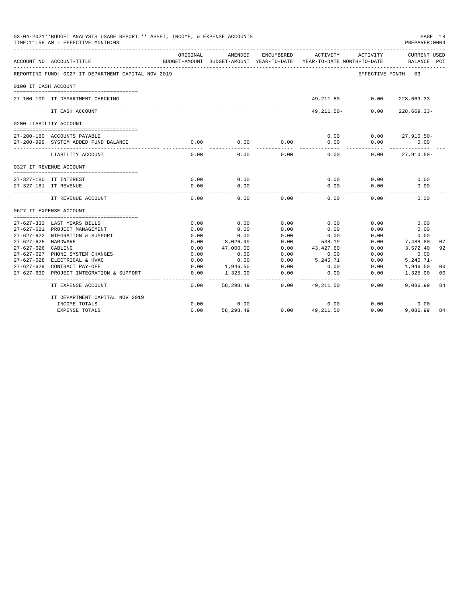| 03-04-2021**BUDGET ANALYSIS USAGE REPORT ** ASSET, INCOME, & EXPENSE ACCOUNTS<br>PAGE 18<br>PREPARER: 0004<br>TIME:11:58 AM - EFFECTIVE MONTH:03<br>ENCUMBERED<br>ACTIVITY<br>ACTIVITY<br>ORIGINAL<br>AMENDED<br><b>CURRENT USED</b><br>BUDGET-AMOUNT YEAR-TO-DATE<br>ACCOUNT NO ACCOUNT-TITLE<br>BUDGET-AMOUNT<br>YEAR-TO-DATE MONTH-TO-DATE<br>BALANCE<br>REPORTING FUND: 0027 IT DEPARTMENT CAPITAL NOV 2019<br>EFFECTIVE MONTH - 03<br>0100 IT CASH ACCOUNT<br>49, 211.50-<br>0.00<br>$228,669.33-$<br>27-100-100 IT DEPARTMENT CHECKING<br>IT CASH ACCOUNT<br>$49.211.50 -$<br>0.00<br>$228,669.33-$<br>0200 LIABILITY ACCOUNT<br>0.00<br>0.00<br>$27,910.50 -$<br>27-200-180 ACCOUNTS PAYABLE<br>0.00<br>0.00<br>0.00<br>0.00<br>0.00<br>27-200-999 SYSTEM ADDED FUND BALANCE<br>0.00<br>LIABILITY ACCOUNT<br>0.00<br>0.00<br>0.00<br>0.00<br>0.00<br>$27,910.50 -$<br>0327 IT REVENUE ACCOUNT<br>0.00<br>0.00<br>0.00<br>0.00<br>0.00<br>27-327-180 IT INTEREST<br>0.00<br>0.00<br>0.00<br>27-327-181 IT REVENUE<br>0.00<br>0.00<br>0.00<br>0.00<br>0.00<br>0.00<br>0.00<br>0.00<br>IT REVENUE ACCOUNT<br>0627 IT EXPENSE ACCOUNT<br>0.00<br>0.00<br>0.00<br>0.00<br>0.00<br>0.00<br>27-627-333 LAST YEARS BILLS<br>0.00<br>27-627-621 PROJECT MANAGEMENT<br>0.00<br>0.00<br>0.00<br>0.00<br>0.00<br>27-627-622 NTEGRATION & SUPPORT<br>0.00<br>0.00<br>0.00<br>0.00<br>0.00<br>0.00<br>0.00<br>27-627-625 HARDWARE<br>0.00<br>8,026.99<br>538.19<br>0.00<br>7,488.80<br>$27 - 627 - 626$<br>CABLING<br>0.00<br>47,000.00<br>0.00<br>43,427.60<br>0.00<br>3,572.40<br>27-627-627<br>PHONE SYSTEM CHANGES<br>0.00<br>0.00<br>0.00<br>0.00<br>0.00<br>0.00<br>27-627-628 ELECTRICAL & HVAC<br>0.00<br>0.00<br>5,245.71<br>$5, 245.71 -$<br>0.00<br>0.00<br>$27 - 627 - 629$<br>CONTRACT PAY-OFF<br>0.00<br>1,946.50<br>0.00<br>0.00<br>0.00<br>1,946.50<br>0.00<br>0.00<br>$27 - 627 - 630$<br>PROJECT INTEGRATION & SUPPORT<br>1,325.00<br>0.00<br>0.00<br>1,325.00<br>0.00<br>58,298.49<br>0.00<br>0.00<br>9,086.99<br>IT EXPENSE ACCOUNT<br>49,211.50 |                                |      |           |      |             |      |          |     |
|---------------------------------------------------------------------------------------------------------------------------------------------------------------------------------------------------------------------------------------------------------------------------------------------------------------------------------------------------------------------------------------------------------------------------------------------------------------------------------------------------------------------------------------------------------------------------------------------------------------------------------------------------------------------------------------------------------------------------------------------------------------------------------------------------------------------------------------------------------------------------------------------------------------------------------------------------------------------------------------------------------------------------------------------------------------------------------------------------------------------------------------------------------------------------------------------------------------------------------------------------------------------------------------------------------------------------------------------------------------------------------------------------------------------------------------------------------------------------------------------------------------------------------------------------------------------------------------------------------------------------------------------------------------------------------------------------------------------------------------------------------------------------------------------------------------------------------------------------------------------------------------------------------------------------------------------------------------------------------------------------------------------------------------------------------------|--------------------------------|------|-----------|------|-------------|------|----------|-----|
|                                                                                                                                                                                                                                                                                                                                                                                                                                                                                                                                                                                                                                                                                                                                                                                                                                                                                                                                                                                                                                                                                                                                                                                                                                                                                                                                                                                                                                                                                                                                                                                                                                                                                                                                                                                                                                                                                                                                                                                                                                                               |                                |      |           |      |             |      |          | PCT |
|                                                                                                                                                                                                                                                                                                                                                                                                                                                                                                                                                                                                                                                                                                                                                                                                                                                                                                                                                                                                                                                                                                                                                                                                                                                                                                                                                                                                                                                                                                                                                                                                                                                                                                                                                                                                                                                                                                                                                                                                                                                               |                                |      |           |      |             |      |          |     |
|                                                                                                                                                                                                                                                                                                                                                                                                                                                                                                                                                                                                                                                                                                                                                                                                                                                                                                                                                                                                                                                                                                                                                                                                                                                                                                                                                                                                                                                                                                                                                                                                                                                                                                                                                                                                                                                                                                                                                                                                                                                               |                                |      |           |      |             |      |          |     |
|                                                                                                                                                                                                                                                                                                                                                                                                                                                                                                                                                                                                                                                                                                                                                                                                                                                                                                                                                                                                                                                                                                                                                                                                                                                                                                                                                                                                                                                                                                                                                                                                                                                                                                                                                                                                                                                                                                                                                                                                                                                               |                                |      |           |      |             |      |          |     |
|                                                                                                                                                                                                                                                                                                                                                                                                                                                                                                                                                                                                                                                                                                                                                                                                                                                                                                                                                                                                                                                                                                                                                                                                                                                                                                                                                                                                                                                                                                                                                                                                                                                                                                                                                                                                                                                                                                                                                                                                                                                               |                                |      |           |      |             |      |          |     |
|                                                                                                                                                                                                                                                                                                                                                                                                                                                                                                                                                                                                                                                                                                                                                                                                                                                                                                                                                                                                                                                                                                                                                                                                                                                                                                                                                                                                                                                                                                                                                                                                                                                                                                                                                                                                                                                                                                                                                                                                                                                               |                                |      |           |      |             |      |          |     |
|                                                                                                                                                                                                                                                                                                                                                                                                                                                                                                                                                                                                                                                                                                                                                                                                                                                                                                                                                                                                                                                                                                                                                                                                                                                                                                                                                                                                                                                                                                                                                                                                                                                                                                                                                                                                                                                                                                                                                                                                                                                               |                                |      |           |      |             |      |          |     |
|                                                                                                                                                                                                                                                                                                                                                                                                                                                                                                                                                                                                                                                                                                                                                                                                                                                                                                                                                                                                                                                                                                                                                                                                                                                                                                                                                                                                                                                                                                                                                                                                                                                                                                                                                                                                                                                                                                                                                                                                                                                               |                                |      |           |      |             |      |          |     |
|                                                                                                                                                                                                                                                                                                                                                                                                                                                                                                                                                                                                                                                                                                                                                                                                                                                                                                                                                                                                                                                                                                                                                                                                                                                                                                                                                                                                                                                                                                                                                                                                                                                                                                                                                                                                                                                                                                                                                                                                                                                               |                                |      |           |      |             |      |          |     |
|                                                                                                                                                                                                                                                                                                                                                                                                                                                                                                                                                                                                                                                                                                                                                                                                                                                                                                                                                                                                                                                                                                                                                                                                                                                                                                                                                                                                                                                                                                                                                                                                                                                                                                                                                                                                                                                                                                                                                                                                                                                               |                                |      |           |      |             |      |          |     |
|                                                                                                                                                                                                                                                                                                                                                                                                                                                                                                                                                                                                                                                                                                                                                                                                                                                                                                                                                                                                                                                                                                                                                                                                                                                                                                                                                                                                                                                                                                                                                                                                                                                                                                                                                                                                                                                                                                                                                                                                                                                               |                                |      |           |      |             |      |          |     |
|                                                                                                                                                                                                                                                                                                                                                                                                                                                                                                                                                                                                                                                                                                                                                                                                                                                                                                                                                                                                                                                                                                                                                                                                                                                                                                                                                                                                                                                                                                                                                                                                                                                                                                                                                                                                                                                                                                                                                                                                                                                               |                                |      |           |      |             |      |          |     |
|                                                                                                                                                                                                                                                                                                                                                                                                                                                                                                                                                                                                                                                                                                                                                                                                                                                                                                                                                                                                                                                                                                                                                                                                                                                                                                                                                                                                                                                                                                                                                                                                                                                                                                                                                                                                                                                                                                                                                                                                                                                               |                                |      |           |      |             |      |          |     |
|                                                                                                                                                                                                                                                                                                                                                                                                                                                                                                                                                                                                                                                                                                                                                                                                                                                                                                                                                                                                                                                                                                                                                                                                                                                                                                                                                                                                                                                                                                                                                                                                                                                                                                                                                                                                                                                                                                                                                                                                                                                               |                                |      |           |      |             |      |          |     |
|                                                                                                                                                                                                                                                                                                                                                                                                                                                                                                                                                                                                                                                                                                                                                                                                                                                                                                                                                                                                                                                                                                                                                                                                                                                                                                                                                                                                                                                                                                                                                                                                                                                                                                                                                                                                                                                                                                                                                                                                                                                               |                                |      |           |      |             |      |          |     |
|                                                                                                                                                                                                                                                                                                                                                                                                                                                                                                                                                                                                                                                                                                                                                                                                                                                                                                                                                                                                                                                                                                                                                                                                                                                                                                                                                                                                                                                                                                                                                                                                                                                                                                                                                                                                                                                                                                                                                                                                                                                               |                                |      |           |      |             |      |          |     |
|                                                                                                                                                                                                                                                                                                                                                                                                                                                                                                                                                                                                                                                                                                                                                                                                                                                                                                                                                                                                                                                                                                                                                                                                                                                                                                                                                                                                                                                                                                                                                                                                                                                                                                                                                                                                                                                                                                                                                                                                                                                               |                                |      |           |      |             |      |          |     |
|                                                                                                                                                                                                                                                                                                                                                                                                                                                                                                                                                                                                                                                                                                                                                                                                                                                                                                                                                                                                                                                                                                                                                                                                                                                                                                                                                                                                                                                                                                                                                                                                                                                                                                                                                                                                                                                                                                                                                                                                                                                               |                                |      |           |      |             |      |          |     |
|                                                                                                                                                                                                                                                                                                                                                                                                                                                                                                                                                                                                                                                                                                                                                                                                                                                                                                                                                                                                                                                                                                                                                                                                                                                                                                                                                                                                                                                                                                                                                                                                                                                                                                                                                                                                                                                                                                                                                                                                                                                               |                                |      |           |      |             |      |          |     |
|                                                                                                                                                                                                                                                                                                                                                                                                                                                                                                                                                                                                                                                                                                                                                                                                                                                                                                                                                                                                                                                                                                                                                                                                                                                                                                                                                                                                                                                                                                                                                                                                                                                                                                                                                                                                                                                                                                                                                                                                                                                               |                                |      |           |      |             |      |          |     |
|                                                                                                                                                                                                                                                                                                                                                                                                                                                                                                                                                                                                                                                                                                                                                                                                                                                                                                                                                                                                                                                                                                                                                                                                                                                                                                                                                                                                                                                                                                                                                                                                                                                                                                                                                                                                                                                                                                                                                                                                                                                               |                                |      |           |      |             |      |          | 07  |
|                                                                                                                                                                                                                                                                                                                                                                                                                                                                                                                                                                                                                                                                                                                                                                                                                                                                                                                                                                                                                                                                                                                                                                                                                                                                                                                                                                                                                                                                                                                                                                                                                                                                                                                                                                                                                                                                                                                                                                                                                                                               |                                |      |           |      |             |      |          | 92  |
|                                                                                                                                                                                                                                                                                                                                                                                                                                                                                                                                                                                                                                                                                                                                                                                                                                                                                                                                                                                                                                                                                                                                                                                                                                                                                                                                                                                                                                                                                                                                                                                                                                                                                                                                                                                                                                                                                                                                                                                                                                                               |                                |      |           |      |             |      |          |     |
|                                                                                                                                                                                                                                                                                                                                                                                                                                                                                                                                                                                                                                                                                                                                                                                                                                                                                                                                                                                                                                                                                                                                                                                                                                                                                                                                                                                                                                                                                                                                                                                                                                                                                                                                                                                                                                                                                                                                                                                                                                                               |                                |      |           |      |             |      |          |     |
|                                                                                                                                                                                                                                                                                                                                                                                                                                                                                                                                                                                                                                                                                                                                                                                                                                                                                                                                                                                                                                                                                                                                                                                                                                                                                                                                                                                                                                                                                                                                                                                                                                                                                                                                                                                                                                                                                                                                                                                                                                                               |                                |      |           |      |             |      |          | 00  |
|                                                                                                                                                                                                                                                                                                                                                                                                                                                                                                                                                                                                                                                                                                                                                                                                                                                                                                                                                                                                                                                                                                                                                                                                                                                                                                                                                                                                                                                                                                                                                                                                                                                                                                                                                                                                                                                                                                                                                                                                                                                               |                                |      |           |      |             |      |          | 00  |
|                                                                                                                                                                                                                                                                                                                                                                                                                                                                                                                                                                                                                                                                                                                                                                                                                                                                                                                                                                                                                                                                                                                                                                                                                                                                                                                                                                                                                                                                                                                                                                                                                                                                                                                                                                                                                                                                                                                                                                                                                                                               |                                |      |           |      |             |      |          | 84  |
|                                                                                                                                                                                                                                                                                                                                                                                                                                                                                                                                                                                                                                                                                                                                                                                                                                                                                                                                                                                                                                                                                                                                                                                                                                                                                                                                                                                                                                                                                                                                                                                                                                                                                                                                                                                                                                                                                                                                                                                                                                                               | IT DEPARTMENT CAPITAL NOV 2019 |      |           |      |             |      |          |     |
|                                                                                                                                                                                                                                                                                                                                                                                                                                                                                                                                                                                                                                                                                                                                                                                                                                                                                                                                                                                                                                                                                                                                                                                                                                                                                                                                                                                                                                                                                                                                                                                                                                                                                                                                                                                                                                                                                                                                                                                                                                                               | INCOME TOTALS                  | 0.00 | 0.00      |      | 0.00        | 0.00 | 0.00     |     |
|                                                                                                                                                                                                                                                                                                                                                                                                                                                                                                                                                                                                                                                                                                                                                                                                                                                                                                                                                                                                                                                                                                                                                                                                                                                                                                                                                                                                                                                                                                                                                                                                                                                                                                                                                                                                                                                                                                                                                                                                                                                               | <b>EXPENSE TOTALS</b>          | 0.00 | 58,298.49 | 0.00 | 49, 211, 50 | 0.00 | 9,086.99 | 84  |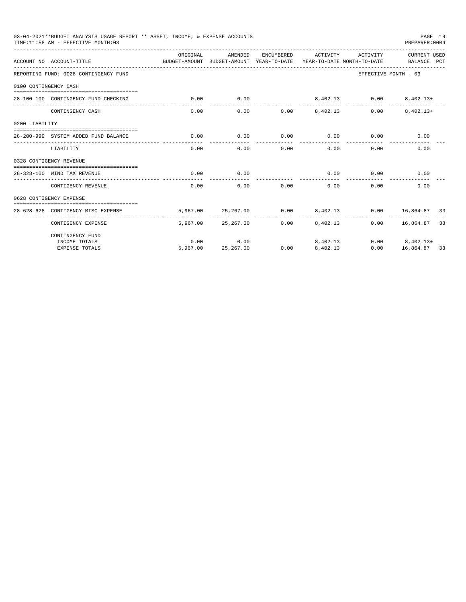| 03-04-2021**BUDGET ANALYSIS USAGE REPORT ** ASSET, INCOME, & EXPENSE ACCOUNTS<br>PAGE 19<br>TIME: 11:58 AM - EFFECTIVE MONTH: 03<br>PREPARER: 0004<br>ORIGINAL<br>AMENDED<br>ENCUMBERED<br>ACTIVITY<br>ACTIVITY<br><b>CURRENT USED</b><br>ACCOUNT NO ACCOUNT-TITLE<br>BUDGET-AMOUNT BUDGET-AMOUNT YEAR-TO-DATE YEAR-TO-DATE MONTH-TO-DATE<br>BALANCE PCT<br>REPORTING FUND: 0028 CONTINGENCY FUND<br>EFFECTIVE MONTH - 03<br>0100 CONTINGENCY CASH<br>0.00<br>0.00<br>8,402.13 0.00<br>28-100-100 CONTINGENCY FUND CHECKING<br>$8,402.13+$<br>------------ -------------<br>$0.00$ $8.402.13$<br>$8.402.13+$<br>0.00<br>0.00<br>0.00<br>CONTINGENCY CASH<br>0200 LIABILITY<br>0.00<br>0.00<br>0.00<br>0.00<br>0.00<br>0.00<br>28-200-999 SYSTEM ADDED FUND BALANCE<br>0.00<br>0.00<br>0.00<br>0.00<br>0.00<br>0.00<br>LIABILITY<br>0328 CONTIGENCY REVENUE<br>0.00<br>0.00<br>0.00<br>0.00<br>0.00<br>28-328-100 WIND TAX REVENUE<br>0.00<br>0.00<br>0.00<br>CONTIGENCY REVENUE<br>0.00<br>0.00<br>0.00<br>0628 CONTIGENCY EXPENSE<br>5.967.00<br>25, 267, 00<br>0.00<br>8,402.13<br>$0.00$ 16,864.87 33<br>28-628-628 CONTIGENCY MISC EXPENSE<br>5,967,00 25,267,00<br>$0.00$ $8.402.13$<br>$0.00$ 16,864.87 33<br>CONTIGENCY EXPENSE |                  |                   |      |                      |      |                                    |  |
|----------------------------------------------------------------------------------------------------------------------------------------------------------------------------------------------------------------------------------------------------------------------------------------------------------------------------------------------------------------------------------------------------------------------------------------------------------------------------------------------------------------------------------------------------------------------------------------------------------------------------------------------------------------------------------------------------------------------------------------------------------------------------------------------------------------------------------------------------------------------------------------------------------------------------------------------------------------------------------------------------------------------------------------------------------------------------------------------------------------------------------------------------------------------------------------------------------------------------------------|------------------|-------------------|------|----------------------|------|------------------------------------|--|
|                                                                                                                                                                                                                                                                                                                                                                                                                                                                                                                                                                                                                                                                                                                                                                                                                                                                                                                                                                                                                                                                                                                                                                                                                                        |                  |                   |      |                      |      |                                    |  |
|                                                                                                                                                                                                                                                                                                                                                                                                                                                                                                                                                                                                                                                                                                                                                                                                                                                                                                                                                                                                                                                                                                                                                                                                                                        |                  |                   |      |                      |      |                                    |  |
|                                                                                                                                                                                                                                                                                                                                                                                                                                                                                                                                                                                                                                                                                                                                                                                                                                                                                                                                                                                                                                                                                                                                                                                                                                        |                  |                   |      |                      |      |                                    |  |
|                                                                                                                                                                                                                                                                                                                                                                                                                                                                                                                                                                                                                                                                                                                                                                                                                                                                                                                                                                                                                                                                                                                                                                                                                                        |                  |                   |      |                      |      |                                    |  |
|                                                                                                                                                                                                                                                                                                                                                                                                                                                                                                                                                                                                                                                                                                                                                                                                                                                                                                                                                                                                                                                                                                                                                                                                                                        |                  |                   |      |                      |      |                                    |  |
|                                                                                                                                                                                                                                                                                                                                                                                                                                                                                                                                                                                                                                                                                                                                                                                                                                                                                                                                                                                                                                                                                                                                                                                                                                        |                  |                   |      |                      |      |                                    |  |
|                                                                                                                                                                                                                                                                                                                                                                                                                                                                                                                                                                                                                                                                                                                                                                                                                                                                                                                                                                                                                                                                                                                                                                                                                                        |                  |                   |      |                      |      |                                    |  |
|                                                                                                                                                                                                                                                                                                                                                                                                                                                                                                                                                                                                                                                                                                                                                                                                                                                                                                                                                                                                                                                                                                                                                                                                                                        |                  |                   |      |                      |      |                                    |  |
|                                                                                                                                                                                                                                                                                                                                                                                                                                                                                                                                                                                                                                                                                                                                                                                                                                                                                                                                                                                                                                                                                                                                                                                                                                        |                  |                   |      |                      |      |                                    |  |
|                                                                                                                                                                                                                                                                                                                                                                                                                                                                                                                                                                                                                                                                                                                                                                                                                                                                                                                                                                                                                                                                                                                                                                                                                                        |                  |                   |      |                      |      |                                    |  |
|                                                                                                                                                                                                                                                                                                                                                                                                                                                                                                                                                                                                                                                                                                                                                                                                                                                                                                                                                                                                                                                                                                                                                                                                                                        |                  |                   |      |                      |      |                                    |  |
|                                                                                                                                                                                                                                                                                                                                                                                                                                                                                                                                                                                                                                                                                                                                                                                                                                                                                                                                                                                                                                                                                                                                                                                                                                        |                  |                   |      |                      |      |                                    |  |
|                                                                                                                                                                                                                                                                                                                                                                                                                                                                                                                                                                                                                                                                                                                                                                                                                                                                                                                                                                                                                                                                                                                                                                                                                                        |                  |                   |      |                      |      |                                    |  |
|                                                                                                                                                                                                                                                                                                                                                                                                                                                                                                                                                                                                                                                                                                                                                                                                                                                                                                                                                                                                                                                                                                                                                                                                                                        |                  |                   |      |                      |      |                                    |  |
| CONTINGENCY FUND                                                                                                                                                                                                                                                                                                                                                                                                                                                                                                                                                                                                                                                                                                                                                                                                                                                                                                                                                                                                                                                                                                                                                                                                                       |                  |                   |      |                      |      |                                    |  |
| INCOME TOTALS<br><b>EXPENSE TOTALS</b>                                                                                                                                                                                                                                                                                                                                                                                                                                                                                                                                                                                                                                                                                                                                                                                                                                                                                                                                                                                                                                                                                                                                                                                                 | 0.00<br>5,967,00 | 0.00<br>25,267.00 | 0.00 | 8,402.13<br>8,402.13 | 0.00 | $0.00$ $8,402.13+$<br>16,864.87 33 |  |
|                                                                                                                                                                                                                                                                                                                                                                                                                                                                                                                                                                                                                                                                                                                                                                                                                                                                                                                                                                                                                                                                                                                                                                                                                                        |                  |                   |      |                      |      |                                    |  |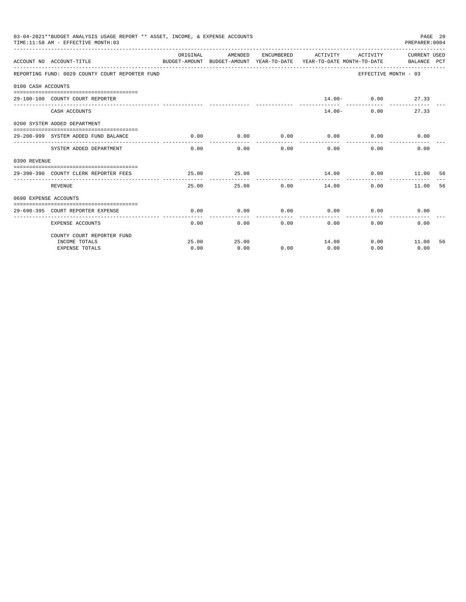|                       | 03-04-2021**BUDGET ANALYSIS USAGE REPORT ** ASSET, INCOME, & EXPENSE ACCOUNTS<br>TIME: 11:58 AM - EFFECTIVE MONTH: 03 |          |                       |              |                                                                                                                              |                      | PAGE 20<br>PREPARER: 0004 |    |
|-----------------------|-----------------------------------------------------------------------------------------------------------------------|----------|-----------------------|--------------|------------------------------------------------------------------------------------------------------------------------------|----------------------|---------------------------|----|
|                       | ACCOUNT NO ACCOUNT-TITLE                                                                                              | ORIGINAL | AMENDED               |              | ENCUMBERED ACTIVITY ACTIVITY CURRENT USED<br>BUDGET-AMOUNT BUDGET-AMOUNT YEAR-TO-DATE YEAR-TO-DATE MONTH-TO-DATE BALANCE PCT |                      |                           |    |
|                       | REPORTING FUND: 0029 COUNTY COURT REPORTER FUND                                                                       |          |                       |              |                                                                                                                              |                      | EFFECTIVE MONTH - 03      |    |
| 0100 CASH ACCOUNTS    |                                                                                                                       |          |                       |              |                                                                                                                              |                      |                           |    |
|                       | 29-100-100 COUNTY COURT REPORTER                                                                                      |          |                       |              |                                                                                                                              | $14.00 - 0.00$ 27.33 |                           |    |
|                       | CASH ACCOUNTS                                                                                                         |          |                       |              |                                                                                                                              | $14.00 -$            | 0.00<br>27.33             |    |
|                       | 0200 SYSTEM ADDED DEPARTMENT                                                                                          |          |                       |              |                                                                                                                              |                      |                           |    |
|                       | 29-200-999 SYSTEM ADDED FUND BALANCE                                                                                  | 0.00     | 0.00<br>------------- | ------------ | $0.00$ $0.00$ $0.00$ $0.00$                                                                                                  | -----------          | 0.00                      |    |
|                       | SYSTEM ADDED DEPARTMENT                                                                                               | 0.00     | 0.00                  |              | 0.00<br>0.00                                                                                                                 | 0.00                 | 0.00                      |    |
| 0390 REVENUE          |                                                                                                                       |          |                       |              |                                                                                                                              |                      |                           |    |
|                       | 29-390-390 COUNTY CLERK REPORTER FEES                                                                                 | 25.00    | 25.00                 |              | $14.00$ 0.00 11.00 56<br>___________                                                                                         |                      |                           |    |
|                       | <b>REVENUE</b>                                                                                                        | 25.00    |                       |              | 25.00 0.00 14.00                                                                                                             | 0.00                 | 11.00                     | 56 |
| 0690 EXPENSE ACCOUNTS |                                                                                                                       |          |                       |              |                                                                                                                              |                      |                           |    |
|                       | 29-690-395 COURT REPORTER EXPENSE                                                                                     | 0.00     | 0.00                  | 0.00         | 0.00                                                                                                                         | 0.00                 | 0.00                      |    |
|                       | <b>EXPENSE ACCOUNTS</b>                                                                                               | 0.00     |                       | 0.00         | 0.00                                                                                                                         | 0.00                 | 0.00<br>0.00              |    |
|                       | COUNTY COURT REPORTER FUND                                                                                            |          |                       |              |                                                                                                                              |                      |                           |    |
|                       | INCOME TOTALS                                                                                                         | 25.00    | 25.00                 |              | 14.00                                                                                                                        |                      | $0.00$ 11.00              | 56 |
|                       | <b>EXPENSE TOTALS</b>                                                                                                 | 0.00     | 0.00                  | 0.00         | 0.00                                                                                                                         | 0.00                 | 0.00                      |    |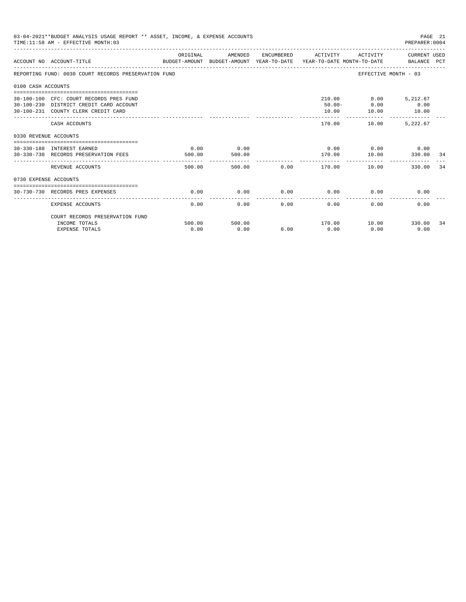| ORIGINAL<br>AMENDED<br>ENCUMBERED ACTIVITY<br>ACTIVITY CURRENT USED<br>ACCOUNT NO ACCOUNT-TITLE<br>BUDGET-AMOUNT BUDGET-AMOUNT YEAR-TO-DATE YEAR-TO-DATE MONTH-TO-DATE BALANCE PCT<br>REPORTING FUND: 0030 COURT RECORDS PRESERVATION FUND<br>EFFECTIVE MONTH - 03<br>0100 CASH ACCOUNTS | PAGE 21<br>PREPARER:0004 |      |
|------------------------------------------------------------------------------------------------------------------------------------------------------------------------------------------------------------------------------------------------------------------------------------------|--------------------------|------|
|                                                                                                                                                                                                                                                                                          |                          |      |
|                                                                                                                                                                                                                                                                                          |                          |      |
|                                                                                                                                                                                                                                                                                          |                          |      |
| 210.00   0.00   5,212.67<br>30-100-100 CFC: COURT RECORDS PRES FUND<br>$50.00 - 0.00$<br>30-100-230 DISTRICT CREDIT CARD ACCOUNT<br>10.00<br>30-100-231 COUNTY CLERK CREDIT CARD<br>10.00                                                                                                | 0.00<br>10.00            |      |
| ---------<br>_________________________________<br>170.00<br>10.00<br>CASH ACCOUNTS                                                                                                                                                                                                       | 5.222.67                 |      |
| 0330 REVENUE ACCOUNTS                                                                                                                                                                                                                                                                    |                          |      |
| -----------------------------------<br>0.00<br>$0.00$ $0.00$ $0.00$ $0.00$<br>0.00<br>30-330-180 INTEREST EARNED<br>170.00   10.00<br>30-330-730 RECORDS PRESERVATION FEES<br>500.00<br>500.00                                                                                           | 330.00                   | - 34 |
| REVENUE ACCOUNTS<br>500.00<br>10.00                                                                                                                                                                                                                                                      | 330.00                   | 34   |
| 0730 EXPENSE ACCOUNTS                                                                                                                                                                                                                                                                    |                          |      |
| 0.00<br>0.00<br>0.00<br>0.00<br>0.00<br>30-730-730 RECORDS PRES EXPENSES                                                                                                                                                                                                                 | 0.00                     |      |
| 0.00<br>0.00<br>0.00<br>0.00<br>0.00<br><b>EXPENSE ACCOUNTS</b>                                                                                                                                                                                                                          | 0.00                     |      |
| COURT RECORDS PRESERVATION FUND                                                                                                                                                                                                                                                          |                          |      |
| 500.00<br>INCOME TOTALS<br>500.00<br>0.00<br>0.00<br>0.00<br>0.00<br>0.00<br><b>EXPENSE TOTALS</b>                                                                                                                                                                                       | 0.00                     | 34   |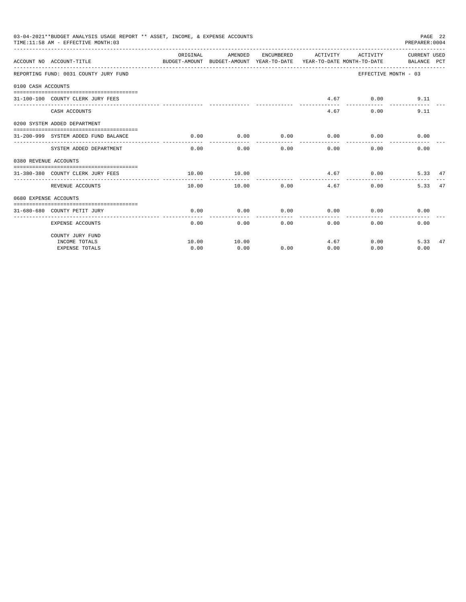|                       | 03-04-2021**BUDGET ANALYSIS USAGE REPORT ** ASSET, INCOME, & EXPENSE ACCOUNTS<br>TIME: 11:58 AM - EFFECTIVE MONTH: 03 |          |                        |              |                   |                                                        | PAGE 22<br>PREPARER: 0004                         |    |
|-----------------------|-----------------------------------------------------------------------------------------------------------------------|----------|------------------------|--------------|-------------------|--------------------------------------------------------|---------------------------------------------------|----|
|                       | BUDGET-AMOUNT BUDGET-AMOUNT YEAR-TO-DATE YEAR-TO-DATE_MONTH-TO-DATE BALANCE PCT<br>ACCOUNT NO ACCOUNT-TITLE           | ORIGINAL |                        |              |                   |                                                        | AMENDED ENCUMBERED ACTIVITY ACTIVITY CURRENT USED |    |
|                       | REPORTING FUND: 0031 COUNTY JURY FUND                                                                                 |          |                        |              |                   |                                                        | EFFECTIVE MONTH - 03                              |    |
| 0100 CASH ACCOUNTS    |                                                                                                                       |          |                        |              |                   |                                                        |                                                   |    |
|                       | 31-100-100 COUNTY CLERK JURY FEES                                                                                     |          |                        |              |                   | 4.67 0.00                                              | 9.11                                              |    |
|                       | CASH ACCOUNTS                                                                                                         |          |                        |              |                   | 4.67<br>0.00                                           | 9.11                                              |    |
|                       | 0200 SYSTEM ADDED DEPARTMENT                                                                                          |          |                        |              |                   |                                                        |                                                   |    |
|                       | 31-200-999 SYSTEM ADDED FUND BALANCE                                                                                  | 0.00     | 0.00<br>-------------- | ------------ | .                 | $0.00$ $0.00$ $0.00$ $0.00$<br>. _ _ _ _ _ _ _ _ _ _ _ | 0.00                                              |    |
|                       | SYSTEM ADDED DEPARTMENT                                                                                               |          | $0.00$ 0.00            |              | $0.00$ and $0.00$ | 0.00<br>0.00                                           | 0.00                                              |    |
| 0380 REVENUE ACCOUNTS |                                                                                                                       |          |                        |              |                   |                                                        |                                                   |    |
|                       | 31-380-380 COUNTY CLERK JURY FEES                                                                                     | 10.00    | 10.00<br>---------     |              | .                 | 4.67 0.00                                              | 5.33 47                                           |    |
|                       | REVENUE ACCOUNTS                                                                                                      | 10.00    |                        | 10.00        | 0.00<br>4.67      |                                                        | 0.00<br>5.33 47                                   |    |
| 0680 EXPENSE ACCOUNTS |                                                                                                                       |          |                        |              |                   |                                                        |                                                   |    |
|                       | 31-680-680 COUNTY PETIT JURY                                                                                          | 0.00     | 0.00                   | 0.00         | 0.00              | 0.00                                                   | 0.00                                              |    |
|                       | <b>EXPENSE ACCOUNTS</b>                                                                                               | 0.00     |                        | 0.00         | 0.00              | 0.00                                                   | 0.00<br>0.00                                      |    |
|                       | COUNTY JURY FUND                                                                                                      |          |                        |              |                   |                                                        |                                                   |    |
|                       | INCOME TOTALS                                                                                                         | 10.00    | 10.00                  |              |                   | 4.67                                                   | 0.00<br>5.33                                      | 47 |
|                       | <b>EXPENSE TOTALS</b>                                                                                                 | 0.00     | 0.00                   | 0.00         | 0.00              | 0.00                                                   | 0.00                                              |    |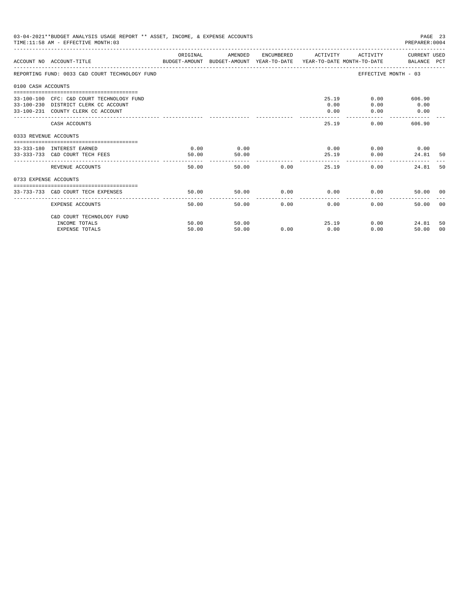|                       | 03-04-2021**BUDGET ANALYSIS USAGE REPORT ** ASSET, INCOME, & EXPENSE ACCOUNTS<br>TIME: 11:58 AM - EFFECTIVE MONTH: 03   |               |               |               |                     |                                      | PAGE 23<br>PREPARER: 0004                       |                |
|-----------------------|-------------------------------------------------------------------------------------------------------------------------|---------------|---------------|---------------|---------------------|--------------------------------------|-------------------------------------------------|----------------|
|                       | ACCOUNT NO ACCOUNT-TITLE COMPARENT AND BUDGET-AMOUNT BUDGET-AMOUNT YEAR-TO-DATE YEAR-TO-DATE MONTH-TO-DATE BALANCE PCT  | ORIGINAL      | AMENDED       |               | ENCUMBERED ACTIVITY |                                      | ACTIVITY CURRENT USED                           |                |
|                       | REPORTING FUND: 0033 C&D COURT TECHNOLOGY FUND                                                                          |               |               |               |                     |                                      | EFFECTIVE MONTH - 03                            |                |
| 0100 CASH ACCOUNTS    |                                                                                                                         |               |               |               |                     |                                      |                                                 |                |
|                       | 33-100-100 CFC: C&D COURT TECHNOLOGY FUND<br>33-100-230 DISTRICT CLERK CC ACCOUNT<br>33-100-231 COUNTY CLERK CC ACCOUNT |               |               |               | 0.00<br>0.00        | 25.19<br>0.00<br>0.00                | 0.00<br>606.90<br>0.00<br>0.00<br>------------- |                |
|                       | CASH ACCOUNTS                                                                                                           |               |               |               | 25.19               |                                      | 0.00<br>606.90                                  |                |
| 0333 REVENUE ACCOUNTS |                                                                                                                         |               |               |               |                     |                                      |                                                 |                |
|                       | 33-333-180 INTEREST EARNED<br>33-333-733 C&D COURT TECH FEES                                                            | 0.00<br>50.00 | 0.00<br>50.00 |               |                     | $0.00$ $0.00$ $0.00$ $0.00$<br>25.19 | 0.00<br>24.81                                   | - 50           |
|                       | REVENUE ACCOUNTS                                                                                                        | 50.00         |               | 50.00 0.00    |                     | 25.19                                | 0.00<br>24.81                                   | 50             |
| 0733 EXPENSE ACCOUNTS |                                                                                                                         |               |               |               |                     |                                      |                                                 |                |
|                       | 33-733-733 C&D COURT TECH EXPENSES                                                                                      | 50.00         | 50.00         | $0.00$ 0.00   |                     |                                      | 0.00<br>50.00 00                                |                |
|                       | <b>EXPENSE ACCOUNTS</b>                                                                                                 | 50.00         |               | 50.00<br>0.00 | 0.00                | 0.00                                 | 50.00                                           | 0 <sup>0</sup> |
|                       | C&D COURT TECHNOLOGY FUND                                                                                               |               |               |               |                     |                                      |                                                 |                |
|                       | INCOME TOTALS                                                                                                           | 50.00         | 50.00         |               | 25.19               |                                      | 0.00<br>24.81                                   | 50             |
|                       | <b>EXPENSE TOTALS</b>                                                                                                   | 50.00         | 50.00         | 0.00          | 0.00                | 0.00                                 | 50.00                                           | 00             |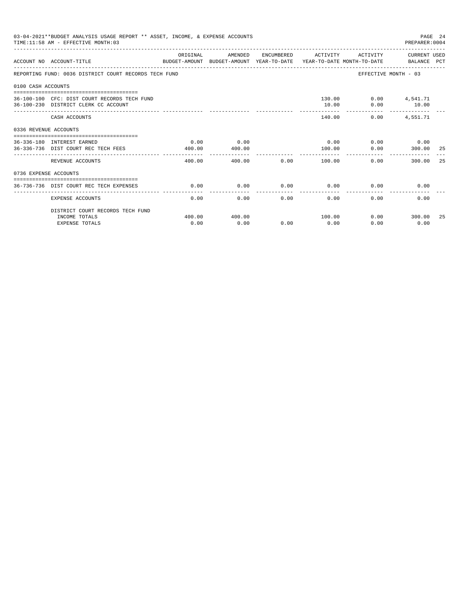|                       | 03-04-2021**BUDGET ANALYSIS USAGE REPORT ** ASSET, INCOME, & EXPENSE ACCOUNTS<br>TIME: 11:58 AM - EFFECTIVE MONTH: 03 |                |                |      |                     |                                  | PREPARER: 0004        | PAGE 24 |
|-----------------------|-----------------------------------------------------------------------------------------------------------------------|----------------|----------------|------|---------------------|----------------------------------|-----------------------|---------|
|                       | ACCOUNT NO ACCOUNT-TITLE<br>BUDGET-AMOUNT BUDGET-AMOUNT YEAR-TO-DATE  YEAR-TO-DATE MONTH-TO-DATE      BALANCE PCT     | ORIGINAL       | AMENDED        |      | ENCUMBERED ACTIVITY |                                  | ACTIVITY CURRENT USED |         |
|                       | REPORTING FUND: 0036 DISTRICT COURT RECORDS TECH FUND                                                                 |                |                |      |                     |                                  | EFFECTIVE MONTH - 03  |         |
| 0100 CASH ACCOUNTS    |                                                                                                                       |                |                |      |                     |                                  |                       |         |
|                       | 36-100-100 CFC: DIST COURT RECORDS TECH FUND<br>36-100-230 DISTRICT CLERK CC ACCOUNT                                  |                |                |      | 10.00               | 130.00   0.00   4,541.71<br>0.00 | 10.00                 |         |
|                       | CASH ACCOUNTS                                                                                                         |                |                |      |                     | 140.00<br>0.00                   | 4,551.71              |         |
| 0336 REVENUE ACCOUNTS |                                                                                                                       |                |                |      |                     |                                  |                       |         |
|                       | 36-336-180 INTEREST EARNED<br>36-336-736 DIST COURT REC TECH FEES                                                     | 0.00<br>400.00 | 0.00<br>400.00 |      | 0.00<br>100.00      | 0.00                             | $0.00$ 0.00<br>300.00 | -25     |
|                       | REVENUE ACCOUNTS                                                                                                      | 400.00         | 400.00         | 0.00 | 100.00              | 0.00                             | 300.00                | -25     |
| 0736 EXPENSE ACCOUNTS |                                                                                                                       |                |                |      |                     |                                  |                       |         |
|                       | 36-736-736 DIST COURT REC TECH EXPENSES                                                                               | 0.00           | 0.00           | 0.00 | 0.00                |                                  | 0.00<br>0.00          |         |
|                       | <b>EXPENSE ACCOUNTS</b>                                                                                               | 0.00           | 0.00           | 0.00 | 0.00                | 0.00                             | 0.00                  |         |
|                       | DISTRICT COURT RECORDS TECH FUND                                                                                      |                |                |      |                     |                                  |                       |         |
|                       | INCOME TOTALS<br><b>EXPENSE TOTALS</b>                                                                                | 400.00<br>0.00 | 400.00<br>0.00 | 0.00 | 100.00<br>0.00      | 0.00                             | $0.00$ 300.00<br>0.00 | -25     |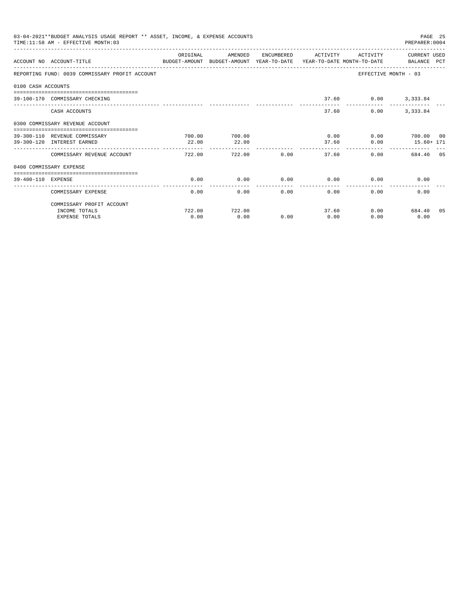|                    | 03-04-2021**BUDGET ANALYSIS USAGE REPORT ** ASSET, INCOME, & EXPENSE ACCOUNTS<br>TIME: 11:58 AM - EFFECTIVE MONTH: 03 |          |         |      |                       |                      | PAGE 25<br>PREPARER: 0004 |  |
|--------------------|-----------------------------------------------------------------------------------------------------------------------|----------|---------|------|-----------------------|----------------------|---------------------------|--|
|                    | ACCOUNT NO ACCOUNT-TITLE CONTROL CONTROLLER ANOUNT BUDGET-AMOUNT VEAR-TO-DATE YEAR-TO-DATE MONTH-TO-DATE BALANCE PCT  | ORIGINAL | AMENDED |      | ENCUMBERED ACTIVITY   | <b>ACTIVITY</b>      | CURRENT USED              |  |
|                    | REPORTING FUND: 0039 COMMISSARY PROFIT ACCOUNT                                                                        |          |         |      |                       | EFFECTIVE MONTH - 03 |                           |  |
| 0100 CASH ACCOUNTS |                                                                                                                       |          |         |      |                       |                      |                           |  |
|                    | 39-100-170 COMMISSARY CHECKING                                                                                        |          |         |      |                       | 37.60 0.00 3,333.84  |                           |  |
|                    | CASH ACCOUNTS                                                                                                         |          |         |      | 37.60                 | 0.00                 | 3, 333, 84                |  |
|                    | 0300 COMMISSARY REVENUE ACCOUNT                                                                                       |          |         |      |                       |                      |                           |  |
|                    | 39-300-110 REVENUE COMMISSARY                                                                                         | 700.00   | 700.00  |      | 0.00                  |                      | 0.00 700.00 00            |  |
|                    | 39-300-120 INTEREST EARNED                                                                                            | 22.00    | 22.00   |      | 37.60<br>-------      | 0.00                 | $15.60 + 171$             |  |
|                    | COMMISSARY REVENUE ACCOUNT                                                                                            | 722.00   | 722.00  | 0.00 | 37.60                 | 0.00                 | 684.40 05                 |  |
|                    | 0400 COMMISSARY EXPENSE                                                                                               |          |         |      |                       |                      |                           |  |
| 39-400-110 EXPENSE |                                                                                                                       | 0.00     | 0.00    | 0.00 | 0.00                  | 0.00                 | 0.00                      |  |
|                    | COMMISSARY EXPENSE                                                                                                    | 0.00     | 0.00    | 0.00 | -------------<br>0.00 | 0.00                 | 0.00                      |  |
|                    | COMMISSARY PROFIT ACCOUNT                                                                                             |          |         |      |                       |                      |                           |  |
|                    | INCOME TOTALS                                                                                                         | 722.00   | 722.00  |      | 37.60                 | 0.00                 | 684.40 05                 |  |
|                    | <b>EXPENSE TOTALS</b>                                                                                                 | 0.00     | 0.00    | 0.00 | 0.00                  | 0.00                 | 0.00                      |  |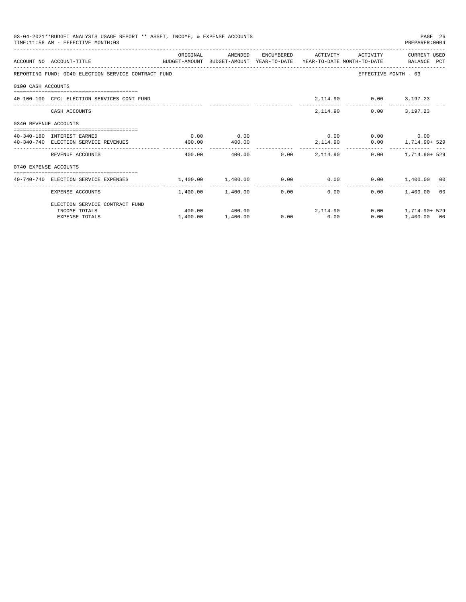| 03-04-2021**BUDGET ANALYSIS USAGE REPORT ** ASSET, INCOME, & EXPENSE ACCOUNTS<br>PAGE 26<br>TIME: 11:58 AM - EFFECTIVE MONTH: 03<br>PREPARER: 0004 |                                                                                                                  |          |                              |               |                          |                              |                                 |  |  |
|----------------------------------------------------------------------------------------------------------------------------------------------------|------------------------------------------------------------------------------------------------------------------|----------|------------------------------|---------------|--------------------------|------------------------------|---------------------------------|--|--|
|                                                                                                                                                    | ACCOUNT NO ACCOUNT-TITLE COMPUTE SUDGET-AMOUNT BUDGET-AMOUNT YEAR-TO-DATE YEAR-TO-DATE MONTH-TO-DATE BALANCE PCT | ORIGINAL | AMENDED                      |               |                          | ENCUMBERED ACTIVITY ACTIVITY | CURRENT USED                    |  |  |
|                                                                                                                                                    | REPORTING FUND: 0040 ELECTION SERVICE CONTRACT FUND                                                              |          |                              |               |                          |                              | EFFECTIVE MONTH - 03            |  |  |
| 0100 CASH ACCOUNTS                                                                                                                                 |                                                                                                                  |          |                              |               |                          |                              |                                 |  |  |
|                                                                                                                                                    | 40-100-100 CFC: ELECTION SERVICES CONT FUND                                                                      |          |                              |               |                          | 2, 114.90 0.00 3, 197.23     |                                 |  |  |
|                                                                                                                                                    | CASH ACCOUNTS                                                                                                    |          |                              |               |                          | 2,114.90                     | $0.00$ 3.197.23                 |  |  |
| 0340 REVENUE ACCOUNTS                                                                                                                              |                                                                                                                  |          |                              |               |                          |                              |                                 |  |  |
|                                                                                                                                                    | 40-340-180 INTEREST EARNED                                                                                       | 0.00     | 0.00                         |               |                          | $0.00$ $0.00$ $0.00$ $0.00$  |                                 |  |  |
|                                                                                                                                                    | 40-340-740 ELECTION SERVICE REVENUES                                                                             | 400.00   | 400.00                       |               |                          |                              | 2,114.90   0.00   1,714.90+ 529 |  |  |
|                                                                                                                                                    | REVENUE ACCOUNTS                                                                                                 | 400.00   | 400.00                       | ------------- | $0.00$ 2.114.90          |                              | $0.00$ 1, 714, 90+ 529          |  |  |
| 0740 EXPENSE ACCOUNTS                                                                                                                              |                                                                                                                  |          |                              |               |                          |                              |                                 |  |  |
|                                                                                                                                                    | $1,400.00$ $0.00$ $0.00$ $0.00$ $0.00$ $0.00$ $0.00$ $0.00$ $0.00$ $0.00$ $0.00$ $0.00$ $0.00$ $0.00$            |          |                              |               |                          |                              |                                 |  |  |
|                                                                                                                                                    | EXPENSE ACCOUNTS                                                                                                 |          | $1.400.00$ $1.400.00$        |               | ----------------<br>0.00 | 0.00                         | $0.00$ 1,400.00 00              |  |  |
|                                                                                                                                                    | ELECTION SERVICE CONTRACT FUND                                                                                   |          |                              |               |                          |                              |                                 |  |  |
|                                                                                                                                                    | INCOME TOTALS                                                                                                    |          | $400.00$ $400.00$ $2,114.90$ |               |                          |                              | $0.00$ 1, 714, 90+ 529          |  |  |
|                                                                                                                                                    | <b>EXPENSE TOTALS</b>                                                                                            | 1,400.00 | 1,400.00                     |               | $0.00$ 0.00              | 0.00                         | 1,400.00 00                     |  |  |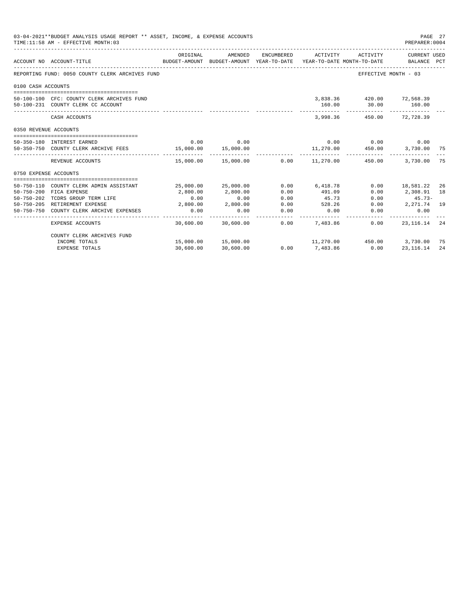|                       | 03-04-2021**BUDGET ANALYSIS USAGE REPORT ** ASSET, INCOME, & EXPENSE ACCOUNTS<br>TIME: 11:58 AM - EFFECTIVE MONTH: 03 |                                     |                                                     |            |                                                     |                                                                   | PAGE 27<br>PREPARER: 0004   |     |
|-----------------------|-----------------------------------------------------------------------------------------------------------------------|-------------------------------------|-----------------------------------------------------|------------|-----------------------------------------------------|-------------------------------------------------------------------|-----------------------------|-----|
|                       | ACCOUNT NO ACCOUNT-TITLE                                                                                              | ORIGINAL                            | AMENDED<br>BUDGET-AMOUNT BUDGET-AMOUNT YEAR-TO-DATE | ENCUMBERED | ACTIVITY<br>YEAR-TO-DATE MONTH-TO-DATE              | ACTIVITY                                                          | CURRENT USED<br>BALANCE PCT |     |
|                       | REPORTING FUND: 0050 COUNTY CLERK ARCHIVES FUND                                                                       |                                     |                                                     |            |                                                     | EFFECTIVE MONTH - 03                                              |                             |     |
| 0100 CASH ACCOUNTS    |                                                                                                                       |                                     |                                                     |            |                                                     |                                                                   |                             |     |
|                       | 50-100-100 CFC: COUNTY CLERK ARCHIVES FUND<br>50-100-231 COUNTY CLERK CC ACCOUNT                                      | ___ _____________ _________________ |                                                     |            | -----------                                         | 3,838.36 420.00 72,568.39<br>160.00 30.00 160.00<br>------------- |                             |     |
|                       | CASH ACCOUNTS                                                                                                         |                                     |                                                     |            | 3,998,36                                            |                                                                   | 450.00 72.728.39            |     |
| 0350 REVENUE ACCOUNTS |                                                                                                                       |                                     |                                                     |            |                                                     |                                                                   |                             |     |
|                       | 50-350-180 INTEREST EARNED                                                                                            | 0.00                                | 0.00                                                |            |                                                     | $0.00$ 0.00 0.00                                                  |                             |     |
|                       | 50-350-750 COUNTY CLERK ARCHIVE FEES 15,000.00                                                                        |                                     | 15,000.00                                           |            | 11,270.00  450.00  3,730.00  75                     |                                                                   |                             |     |
|                       | REVENUE ACCOUNTS                                                                                                      |                                     | --------------                                      |            | $15,000.00$ $15,000.00$ $0.00$ $11,270.00$ $450.00$ |                                                                   | 3,730.00                    | 75  |
| 0750 EXPENSE ACCOUNTS |                                                                                                                       |                                     |                                                     |            |                                                     |                                                                   |                             |     |
| $50 - 750 - 110$      | COUNTY CLERK ADMIN ASSISTANT                                                                                          |                                     | 25,000.00 25,000.00                                 | 0.00       | 6,418.78                                            |                                                                   | $0.00$ 18,581.22            | -26 |
| $50 - 750 - 200$      | FICA EXPENSE                                                                                                          | 2,800.00                            | 2,800.00                                            | 0.00       | 491.09                                              | 0.00                                                              | 2,308.91                    | 18  |
| $50 - 750 - 202$      | TCDRS GROUP TERM LIFE                                                                                                 | 0.00                                | 0.00                                                | 0.00       | 45.73                                               | 0.00                                                              | $45.73-$                    |     |
|                       | 50-750-205 RETIREMENT EXPENSE                                                                                         | 2,800.00                            | 2,800.00                                            | 0.00       | 528.26                                              | 0.00                                                              | 2,271.74 19                 |     |
| $50 - 750 - 750$      | COUNTY CLERK ARCHIVE EXPENSES                                                                                         | 0.00                                | 0.00                                                | 0.00       | 0.00                                                | 0.00                                                              | 0.00                        |     |
|                       | <b>EXPENSE ACCOUNTS</b>                                                                                               | 30,600.00                           | 30,600.00                                           | 0.00       | 7.483.86                                            | 0.00                                                              | 23,116.14                   | 24  |
|                       | COUNTY CLERK ARCHIVES FUND                                                                                            |                                     |                                                     |            |                                                     |                                                                   |                             |     |
|                       | INCOME TOTALS                                                                                                         |                                     | 15,000.00  15,000.00                                |            | $11,270.00$ $450.00$ $3,730.00$                     |                                                                   |                             | 75  |
|                       | <b>EXPENSE TOTALS</b>                                                                                                 | 30,600.00                           | 30,600.00                                           | 0.00       | 7,483.86                                            | 0.00                                                              | 23, 116.14                  | 24  |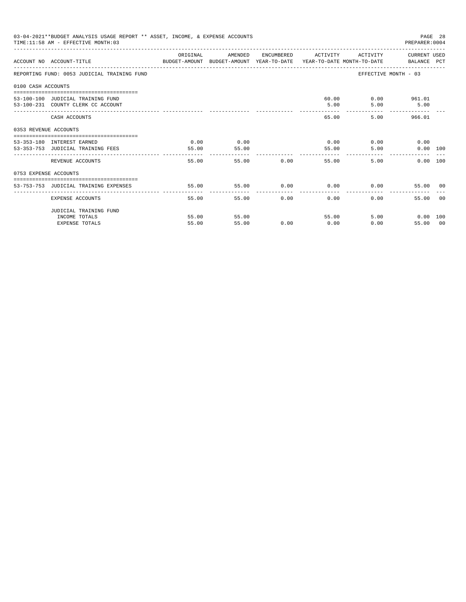|                       | 03-04-2021**BUDGET ANALYSIS USAGE REPORT ** ASSET, INCOME, & EXPENSE ACCOUNTS<br>TIME: 11:58 AM - EFFECTIVE MONTH: 03 |                |                             |                                                  |                 |                                           | PREPARER: 0004                                 | PAGE 28 |
|-----------------------|-----------------------------------------------------------------------------------------------------------------------|----------------|-----------------------------|--------------------------------------------------|-----------------|-------------------------------------------|------------------------------------------------|---------|
|                       | ACCOUNT NO ACCOUNT-TITLE CONTROL SUDGET-AMOUNT BUDGET-AMOUNT YEAR-TO-DATE YEAR-TO-DATE MONTH-TO-DATE BALANCE PCT      | ORIGINAL       | AMENDED                     |                                                  |                 | ENCUMBERED ACTIVITY ACTIVITY CURRENT USED |                                                |         |
|                       | REPORTING FUND: 0053 JUDICIAL TRAINING FUND                                                                           |                |                             |                                                  |                 |                                           | EFFECTIVE MONTH - 03                           |         |
| 0100 CASH ACCOUNTS    |                                                                                                                       |                |                             |                                                  |                 |                                           |                                                |         |
|                       | 53-100-100 JUDICIAL TRAINING FUND<br>53-100-231 COUNTY CLERK CC ACCOUNT                                               |                |                             |                                                  | 5.00<br>------- | 60.00                                     | $0.00$ 961.01<br>$5.00$ $5.00$                 |         |
|                       | CASH ACCOUNTS                                                                                                         |                |                             |                                                  |                 | 65.00                                     | 5.00 966.01                                    |         |
| 0353 REVENUE ACCOUNTS |                                                                                                                       |                |                             |                                                  |                 |                                           |                                                |         |
|                       | 53-353-180 INTEREST EARNED<br>53-353-753 JUDICIAL TRAINING FEES                                                       | 0.00<br>55.00  | 0.00<br>55.00               |                                                  |                 | $0.00$ $0.00$<br>5.00<br>55.00            | 0.00<br>$0.00$ 100                             |         |
|                       | ----------------------------<br>REVENUE ACCOUNTS                                                                      | 55.00          |                             | 55.00 0.00                                       | ------------    | 55.00                                     | 5.00<br>$0.00$ 100                             |         |
| 0753 EXPENSE ACCOUNTS |                                                                                                                       |                |                             |                                                  |                 |                                           |                                                |         |
|                       | 53-753-753 JUDICIAL TRAINING EXPENSES                                                                                 | 55.00          | $55.00$ 0.00 0.00 0.00 0.00 |                                                  |                 |                                           | 55.00 00                                       |         |
|                       | EXPENSE ACCOUNTS                                                                                                      | 55.00          |                             | _______________________________<br>0.00<br>55.00 | 0.00            | $0.00 -$                                  | 55.00 00                                       |         |
|                       | JUDICIAL TRAINING FUND                                                                                                |                |                             |                                                  |                 |                                           |                                                |         |
|                       | INCOME TOTALS<br><b>EXPENSE TOTALS</b>                                                                                | 55.00<br>55.00 | 55.00<br>55.00              | 0.00                                             | 0.00            | 55.00                                     | 5.00 0.00 100<br>$0.00$ and $0.00$<br>55.00 00 |         |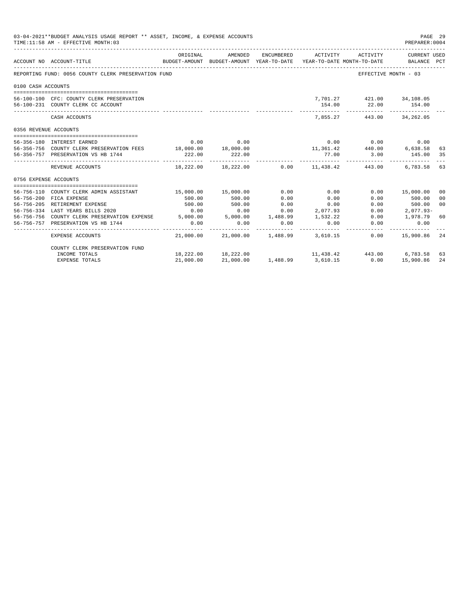|                            | 03-04-2021**BUDGET ANALYSIS USAGE REPORT ** ASSET, INCOME, & EXPENSE ACCOUNTS<br>TIME: 11:58 AM - EFFECTIVE MONTH: 03 |                   |                                                     |            |            |                                                                    | PAGE 29<br>PREPARER: 0004   |                |
|----------------------------|-----------------------------------------------------------------------------------------------------------------------|-------------------|-----------------------------------------------------|------------|------------|--------------------------------------------------------------------|-----------------------------|----------------|
|                            | ACCOUNT NO ACCOUNT-TITLE                                                                                              | ORIGINAL          | AMENDED<br>BUDGET-AMOUNT BUDGET-AMOUNT YEAR-TO-DATE | ENCUMBERED | ACTIVITY   | ACTIVITY<br>YEAR-TO-DATE MONTH-TO-DATE                             | CURRENT USED<br>BALANCE PCT |                |
|                            | REPORTING FUND: 0056 COUNTY CLERK PRESERVATION FUND                                                                   |                   |                                                     |            |            | EFFECTIVE MONTH - 03                                               |                             |                |
| 0100 CASH ACCOUNTS         |                                                                                                                       |                   |                                                     |            |            |                                                                    |                             |                |
|                            |                                                                                                                       |                   |                                                     |            |            |                                                                    |                             |                |
|                            | 56-100-100 CFC: COUNTY CLERK PRESERVATION                                                                             |                   |                                                     |            |            | 7,701.27 421.00 34,108.05                                          |                             |                |
|                            | 56-100-231 COUNTY CLERK CC ACCOUNT                                                                                    |                   |                                                     |            | 154.00     | 22.00 154.00                                                       |                             |                |
|                            | CASH ACCOUNTS                                                                                                         |                   |                                                     |            |            | 7,855.27 443.00 34,262.05                                          |                             |                |
| 0356 REVENUE ACCOUNTS      |                                                                                                                       |                   |                                                     |            |            |                                                                    |                             |                |
|                            |                                                                                                                       |                   |                                                     |            |            |                                                                    |                             |                |
| 56-356-180 INTEREST EARNED |                                                                                                                       |                   | $0.00$ 0.00                                         |            |            | $0.00$ $0.00$ $0.00$ $0.00$                                        |                             |                |
|                            | 56-356-756 COUNTY CLERK PRESERVATION FEES 18,000.00 18,000.00                                                         |                   |                                                     |            |            | 11,361.42<br>77.00<br>3.00<br>145.00                               |                             | 63             |
|                            | 56-356-757 PRESERVATION VS HB 1744                                                                                    | 222.00            | 222.00                                              |            | __________ | .                                                                  |                             | 35             |
|                            | REVENUE ACCOUNTS                                                                                                      |                   |                                                     |            |            | $18,222.00$ $18,222.00$ $0.00$ $11,438.42$ $443.00$ $6,783.58$     |                             | 63             |
| 0756 EXPENSE ACCOUNTS      |                                                                                                                       |                   |                                                     |            |            |                                                                    |                             |                |
|                            |                                                                                                                       |                   |                                                     |            |            |                                                                    |                             |                |
|                            | 56-756-110 COUNTY CLERK ADMIN ASSISTANT                                                                               |                   | 15,000.00 15,000.00                                 | 0.00       | 0.00       |                                                                    | 0.00 15,000.00              | 00             |
|                            | 56-756-200 FICA EXPENSE                                                                                               | 500.00            | 500.00                                              | 0.00       | 0.00       | 0.00                                                               | 500.00                      | 0 <sub>0</sub> |
|                            | 56-756-205 RETIREMENT EXPENSE                                                                                         | 500.00            | 500.00                                              | 0.00       | 0.00       | 0.00                                                               | 500.00                      | 0 <sup>0</sup> |
|                            | 56-756-334 LAST YEARS BILLS 2020                                                                                      | 0.00              | 0.00                                                | 0.00       | 2,077.93   | 0.00                                                               | 2,077.93-                   |                |
|                            | 56-756-756 COUNTY CLERK PRESERVATION EXPENSE 5,000.00 5,000.00 1,488.99                                               |                   |                                                     |            | 1,532.22   | 0.00                                                               | 1,978.79                    | 60             |
|                            | 56-756-757 PRESERVATION VS HB 1744                                                                                    | 0.00<br>_________ | 0.00<br>------------                                | 0.00       | 0.00       | 0.00<br>--------                                                   | 0.00<br>_________           |                |
|                            | EXPENSE ACCOUNTS                                                                                                      |                   | 21,000.00 21,000.00 1,488.99 3,610.15               |            |            | 0.00                                                               | 15,900.86                   | 24             |
|                            | COUNTY CLERK PRESERVATION FUND                                                                                        |                   |                                                     |            |            |                                                                    |                             |                |
|                            | INCOME TOTALS                                                                                                         |                   | 18,222.00 18,222.00                                 |            |            | $11,438.42$<br>$3,610.15$<br>$443.00$<br>$6,783.58$<br>$15,900.86$ |                             | 63             |
|                            | <b>EXPENSE TOTALS</b>                                                                                                 | 21,000.00         | 21,000.00                                           | 1,488.99   |            |                                                                    |                             | 24             |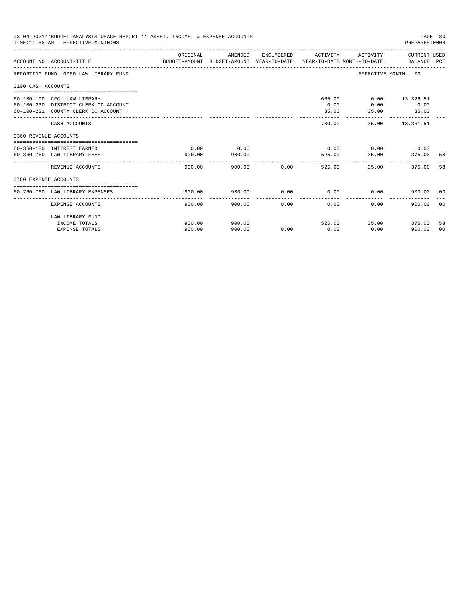|                       | 03-04-2021**BUDGET ANALYSIS USAGE REPORT ** ASSET, INCOME, & EXPENSE ACCOUNTS<br>TIME: 11:58 AM - EFFECTIVE MONTH: 03 |                                                                                                  |         |             |                     |                              | PAGE 30<br>PREPARER: 0004 |                |
|-----------------------|-----------------------------------------------------------------------------------------------------------------------|--------------------------------------------------------------------------------------------------|---------|-------------|---------------------|------------------------------|---------------------------|----------------|
|                       | ACCOUNT NO ACCOUNT-TITLE                                                                                              | ORIGINAL<br>BUDGET-AMOUNT BUDGET-AMOUNT YEAR-TO-DATE  YEAR-TO-DATE MONTH-TO-DATE     BALANCE PCT | AMENDED |             | ENCUMBERED ACTIVITY |                              | ACTIVITY CURRENT USED     |                |
|                       | REPORTING FUND: 0060 LAW LIBRARY FUND                                                                                 |                                                                                                  |         |             |                     | EFFECTIVE MONTH - 03         |                           |                |
| 0100 CASH ACCOUNTS    |                                                                                                                       |                                                                                                  |         |             |                     |                              |                           |                |
|                       |                                                                                                                       |                                                                                                  |         |             |                     |                              |                           |                |
|                       | 60-100-100 CFC: LAW LIBRARY<br>60-100-230 DISTRICT CLERK CC ACCOUNT                                                   |                                                                                                  |         |             | 665.00<br>0.00      |                              | $0.00$ 13,326.51<br>0.00  |                |
|                       | 60-100-231 COUNTY CLERK CC ACCOUNT                                                                                    |                                                                                                  |         |             | 35.00               | 0.00<br>35.00                | 35.00                     |                |
|                       |                                                                                                                       |                                                                                                  |         |             | ---------           | ------------- -------------- |                           |                |
|                       | CASH ACCOUNTS                                                                                                         |                                                                                                  |         |             | 700.00              |                              | 35.00 13.361.51           |                |
| 0360 REVENUE ACCOUNTS |                                                                                                                       |                                                                                                  |         |             |                     |                              |                           |                |
|                       | 60-360-180 INTEREST EARNED                                                                                            | 0.00                                                                                             | 0.00    |             |                     | $0.00$ $0.00$ $0.00$ $0.00$  |                           |                |
|                       | 60-360-760 LAW LIBRARY FEES                                                                                           | 900.00                                                                                           | 900.00  |             |                     | 525.00 35.00                 | 375.00                    | - 58           |
|                       |                                                                                                                       |                                                                                                  |         |             | -------------       |                              |                           |                |
|                       | REVENUE ACCOUNTS                                                                                                      | 900.00                                                                                           |         | 900.00 0.00 | 525.00              | 35.00                        | 375.00                    | 58             |
| 0760 EXPENSE ACCOUNTS |                                                                                                                       |                                                                                                  |         |             |                     |                              |                           |                |
|                       |                                                                                                                       |                                                                                                  |         |             |                     |                              |                           |                |
|                       | 60-760-760 LAW LIBRARY EXPENSES                                                                                       | 900.00                                                                                           | 900.00  | 0.00        | 0.00                | 0.00                         | 900.00 00                 |                |
|                       | EXPENSE ACCOUNTS                                                                                                      | 900.00                                                                                           | 900.00  | 0.00        | 0.00                | 0.00                         | 900.00                    | 00             |
|                       | LAW LIBRARY FUND                                                                                                      |                                                                                                  |         |             |                     |                              |                           |                |
|                       | INCOME TOTALS                                                                                                         | 900.00                                                                                           | 900.00  |             | 525.00              | 35.00                        | 375.00                    | 58             |
|                       | <b>EXPENSE TOTALS</b>                                                                                                 | 900.00                                                                                           | 900.00  | 0.00        | 0.00                | 0.00                         | 900.00                    | 0 <sup>0</sup> |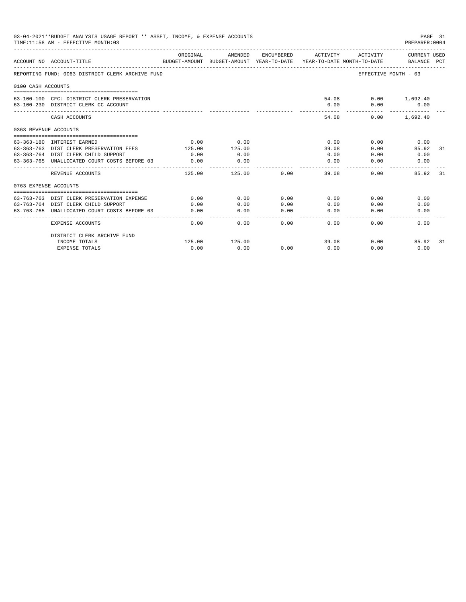| 03-04-2021**BUDGET ANALYSIS USAGE REPORT ** ASSET, INCOME, & EXPENSE ACCOUNTS<br>PAGE 31<br>TIME: 11:58 AM - EFFECTIVE MONTH: 03<br>PREPARER: 0004 |                                                                                     |              |                                                                                |                                                                                                                                                                                                                                                                                                                                                                                              |                                                                                                                                                                                                                                                                                                                                                                                                       |                             |                             |
|----------------------------------------------------------------------------------------------------------------------------------------------------|-------------------------------------------------------------------------------------|--------------|--------------------------------------------------------------------------------|----------------------------------------------------------------------------------------------------------------------------------------------------------------------------------------------------------------------------------------------------------------------------------------------------------------------------------------------------------------------------------------------|-------------------------------------------------------------------------------------------------------------------------------------------------------------------------------------------------------------------------------------------------------------------------------------------------------------------------------------------------------------------------------------------------------|-----------------------------|-----------------------------|
|                                                                                                                                                    | ACCOUNT NO ACCOUNT-TITLE                                                            | ORIGINAL     | AMENDED<br>BUDGET-AMOUNT BUDGET-AMOUNT YEAR-TO-DATE YEAR-TO-DATE MONTH-TO-DATE | ENCUMBERED                                                                                                                                                                                                                                                                                                                                                                                   | ACTIVITY                                                                                                                                                                                                                                                                                                                                                                                              | ACTIVITY                    | CURRENT USED<br>BALANCE PCT |
|                                                                                                                                                    | REPORTING FUND: 0063 DISTRICT CLERK ARCHIVE FUND                                    |              |                                                                                |                                                                                                                                                                                                                                                                                                                                                                                              |                                                                                                                                                                                                                                                                                                                                                                                                       |                             | EFFECTIVE MONTH - 03        |
| 0100 CASH ACCOUNTS                                                                                                                                 |                                                                                     |              |                                                                                |                                                                                                                                                                                                                                                                                                                                                                                              |                                                                                                                                                                                                                                                                                                                                                                                                       |                             |                             |
|                                                                                                                                                    | 63-100-100 CFC: DISTRICT CLERK PRESERVATION<br>63-100-230 DISTRICT CLERK CC ACCOUNT |              |                                                                                |                                                                                                                                                                                                                                                                                                                                                                                              | 0.00                                                                                                                                                                                                                                                                                                                                                                                                  | 54.08 0.00 1,692.40<br>0.00 | 0.00                        |
|                                                                                                                                                    | CASH ACCOUNTS                                                                       |              |                                                                                |                                                                                                                                                                                                                                                                                                                                                                                              | 54.08                                                                                                                                                                                                                                                                                                                                                                                                 |                             | $0.00$ 1.692.40             |
| 0363 REVENUE ACCOUNTS                                                                                                                              |                                                                                     |              |                                                                                |                                                                                                                                                                                                                                                                                                                                                                                              |                                                                                                                                                                                                                                                                                                                                                                                                       |                             |                             |
|                                                                                                                                                    |                                                                                     | 0.00         | 0.00                                                                           |                                                                                                                                                                                                                                                                                                                                                                                              | 0.00                                                                                                                                                                                                                                                                                                                                                                                                  | 0.00                        |                             |
|                                                                                                                                                    | 63-363-180 INTEREST EARNED<br>63-363-763 DIST CLERK PRESERVATION FEES               | 125.00       | 125.00                                                                         |                                                                                                                                                                                                                                                                                                                                                                                              | 39.08                                                                                                                                                                                                                                                                                                                                                                                                 | 0.00                        | 0.00<br>85.92<br>31         |
|                                                                                                                                                    | 63-363-764 DIST CLERK CHILD SUPPORT                                                 | 0.00         | 0.00                                                                           |                                                                                                                                                                                                                                                                                                                                                                                              | 0.00                                                                                                                                                                                                                                                                                                                                                                                                  | 0.00                        | 0.00                        |
|                                                                                                                                                    | 63-363-765 UNALLOCATED COURT COSTS BEFORE 03                                        | 0.00         | 0.00                                                                           |                                                                                                                                                                                                                                                                                                                                                                                              | 0.00                                                                                                                                                                                                                                                                                                                                                                                                  | 0.00                        | 0.00                        |
|                                                                                                                                                    | REVENUE ACCOUNTS                                                                    | 125.00       | ----------<br>125.00                                                           | 0.00                                                                                                                                                                                                                                                                                                                                                                                         | $\frac{1}{2} \frac{1}{2} \frac{1}{2} \frac{1}{2} \frac{1}{2} \frac{1}{2} \frac{1}{2} \frac{1}{2} \frac{1}{2} \frac{1}{2} \frac{1}{2} \frac{1}{2} \frac{1}{2} \frac{1}{2} \frac{1}{2} \frac{1}{2} \frac{1}{2} \frac{1}{2} \frac{1}{2} \frac{1}{2} \frac{1}{2} \frac{1}{2} \frac{1}{2} \frac{1}{2} \frac{1}{2} \frac{1}{2} \frac{1}{2} \frac{1}{2} \frac{1}{2} \frac{1}{2} \frac{1}{2} \frac{$<br>39.08 | 0.00                        | 85.92<br>31                 |
| 0763 EXPENSE ACCOUNTS                                                                                                                              |                                                                                     |              |                                                                                |                                                                                                                                                                                                                                                                                                                                                                                              |                                                                                                                                                                                                                                                                                                                                                                                                       |                             |                             |
|                                                                                                                                                    |                                                                                     |              |                                                                                |                                                                                                                                                                                                                                                                                                                                                                                              |                                                                                                                                                                                                                                                                                                                                                                                                       |                             |                             |
|                                                                                                                                                    | 63-763-763 DIST CLERK PRESERVATION EXPENSE<br>63-763-764 DIST CLERK CHILD SUPPORT   | 0.00<br>0.00 | 0.00<br>0.00                                                                   | 0.00<br>0.00                                                                                                                                                                                                                                                                                                                                                                                 | 0.00<br>0.00                                                                                                                                                                                                                                                                                                                                                                                          | 0.00<br>0.00                | 0.00<br>0.00                |
|                                                                                                                                                    | 63-763-765 UNALLOCATED COURT COSTS BEFORE 03                                        | 0.00         | 0.00                                                                           | 0.00                                                                                                                                                                                                                                                                                                                                                                                         | 0.00                                                                                                                                                                                                                                                                                                                                                                                                  | 0.00                        | 0.00                        |
|                                                                                                                                                    |                                                                                     | -----------  | ----------                                                                     | $\frac{1}{2} \frac{1}{2} \frac{1}{2} \frac{1}{2} \frac{1}{2} \frac{1}{2} \frac{1}{2} \frac{1}{2} \frac{1}{2} \frac{1}{2} \frac{1}{2} \frac{1}{2} \frac{1}{2} \frac{1}{2} \frac{1}{2} \frac{1}{2} \frac{1}{2} \frac{1}{2} \frac{1}{2} \frac{1}{2} \frac{1}{2} \frac{1}{2} \frac{1}{2} \frac{1}{2} \frac{1}{2} \frac{1}{2} \frac{1}{2} \frac{1}{2} \frac{1}{2} \frac{1}{2} \frac{1}{2} \frac{$ | -------                                                                                                                                                                                                                                                                                                                                                                                               |                             |                             |
|                                                                                                                                                    | <b>EXPENSE ACCOUNTS</b>                                                             | 0.00         | 0.00                                                                           | 0.00                                                                                                                                                                                                                                                                                                                                                                                         | 0.00                                                                                                                                                                                                                                                                                                                                                                                                  | 0.00                        | 0.00                        |
|                                                                                                                                                    | DISTRICT CLERK ARCHIVE FUND                                                         |              |                                                                                |                                                                                                                                                                                                                                                                                                                                                                                              |                                                                                                                                                                                                                                                                                                                                                                                                       |                             |                             |
|                                                                                                                                                    | INCOME TOTALS                                                                       | 125.00       | 125.00                                                                         |                                                                                                                                                                                                                                                                                                                                                                                              | 39.08                                                                                                                                                                                                                                                                                                                                                                                                 | 0.00                        | 85.92<br>31                 |
|                                                                                                                                                    | <b>EXPENSE TOTALS</b>                                                               | 0.00         | 0.00                                                                           | 0.00                                                                                                                                                                                                                                                                                                                                                                                         | 0.00                                                                                                                                                                                                                                                                                                                                                                                                  | 0.00                        | 0.00                        |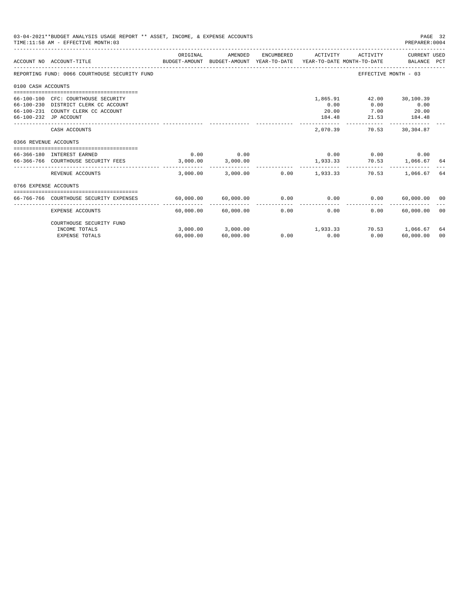|                       | 03-04-2021**BUDGET ANALYSIS USAGE REPORT ** ASSET, INCOME, & EXPENSE ACCOUNTS<br>TIME: 11:58 AM - EFFECTIVE MONTH: 03                      |                  |                     |            |                                                    |                                | PREPARER: 0004                       | PAGE 32        |
|-----------------------|--------------------------------------------------------------------------------------------------------------------------------------------|------------------|---------------------|------------|----------------------------------------------------|--------------------------------|--------------------------------------|----------------|
|                       | BUDGET-AMOUNT BUDGET-AMOUNT YEAR-TO-DATE YEAR-TO-DATE MONTH-TO-DATE<br>ACCOUNT NO ACCOUNT-TITUE                                            | ORIGINAL         | AMENDED             | ENCUMBERED | --------------------------------------<br>ACTIVITY | ACTIVITY                       | CURRENT USED<br>BALANCE PCT          |                |
|                       | REPORTING FUND: 0066 COURTHOUSE SECURITY FUND                                                                                              |                  |                     |            |                                                    |                                | EFFECTIVE MONTH - 03                 |                |
| 0100 CASH ACCOUNTS    |                                                                                                                                            |                  |                     |            |                                                    |                                |                                      |                |
|                       | 66-100-100 CFC: COURTHOUSE SECURITY<br>66-100-230 DISTRICT CLERK CC ACCOUNT<br>66-100-231 COUNTY CLERK CC ACCOUNT<br>66-100-232 JP ACCOUNT |                  |                     |            | 1,865.91<br>0.00<br>20.00<br>184.48                | 42.00<br>0.00<br>7.00<br>21.53 | 30,100.39<br>0.00<br>20.00<br>184.48 |                |
|                       | CASH ACCOUNTS                                                                                                                              |                  |                     |            | 2,070.39                                           | -------------<br>70.53         | 30,304.87                            |                |
| 0366 REVENUE ACCOUNTS |                                                                                                                                            |                  |                     |            |                                                    |                                |                                      |                |
|                       | 66-366-180 INTEREST EARNED<br>66-366-766 COURTHOUSE SECURITY FEES                                                                          | 0.00<br>3,000.00 | 0.00<br>3,000.00    |            | 0.00                                               | $0.00$ 0.00                    | 1,933.33 70.53 1,066.67 64           |                |
|                       | REVENUE ACCOUNTS                                                                                                                           | 3,000.00         | 3,000.00            |            | $0.00$ 1,933.33                                    | 70.53                          | 1,066.67                             | 64             |
| 0766 EXPENSE ACCOUNTS |                                                                                                                                            |                  |                     |            |                                                    |                                |                                      |                |
|                       | 66-766-766 COURTHOUSE SECURITY EXPENSES                                                                                                    |                  | 60,000.00 60,000.00 | 0.00       | 0.00                                               | 0.00                           | 60,000.00 00                         |                |
|                       | <b>EXPENSE ACCOUNTS</b>                                                                                                                    | 60,000.00        | 60,000.00           | 0.00       | ------------<br>0.00                               | 0.00                           | -------------<br>60,000.00           | - 00           |
|                       | COURTHOUSE SECURITY FUND<br>INCOME TOTALS                                                                                                  |                  | 3,000.00 3,000.00   |            | 1,933.33                                           |                                | 70.53 1,066.67                       | 64             |
|                       | <b>EXPENSE TOTALS</b>                                                                                                                      | 60,000.00        | 60,000.00           | 0.00       | 0.00                                               | 0.00                           | 60,000.00                            | 0 <sup>0</sup> |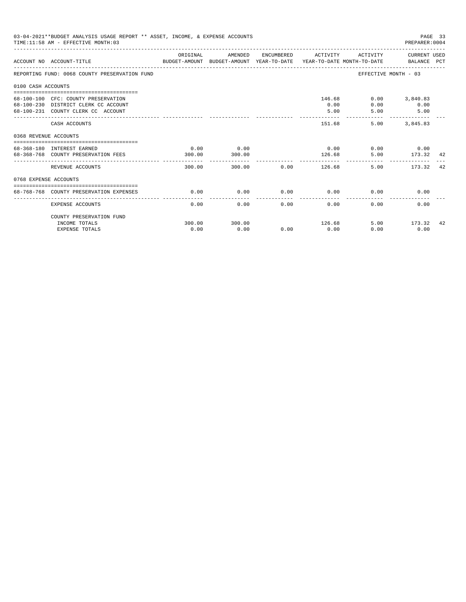|                       | 03-04-2021**BUDGET ANALYSIS USAGE REPORT ** ASSET, INCOME, & EXPENSE ACCOUNTS<br>TIME: 11:58 AM - EFFECTIVE MONTH: 03 |                |                |      |                                      |                             | PAGE 33<br>PREPARER: 0004                        |    |
|-----------------------|-----------------------------------------------------------------------------------------------------------------------|----------------|----------------|------|--------------------------------------|-----------------------------|--------------------------------------------------|----|
|                       | BUDGET-AMOUNT BUDGET-AMOUNT YEAR-TO-DATE  YEAR-TO-DATE MONTH-TO-DATE     BALANCE PCT<br>ACCOUNT NO ACCOUNT-TITLE      | ORIGINAL       | AMENDED        |      | ENCUMBERED ACTIVITY                  |                             | ACTIVITY CURRENT USED                            |    |
|                       | REPORTING FUND: 0068 COUNTY PRESERVATION FUND                                                                         |                |                |      |                                      | EFFECTIVE MONTH - 03        |                                                  |    |
| 0100 CASH ACCOUNTS    |                                                                                                                       |                |                |      |                                      |                             |                                                  |    |
|                       | 68-100-100 CFC: COUNTY PRESERVATION<br>68-100-230 DISTRICT CLERK CC ACCOUNT<br>68-100-231 COUNTY CLERK CC ACCOUNT     |                |                |      | 0.00<br>5.00                         | 146.68<br>0.00<br>5.00      | $0.00$ 3,840.83<br>0.00<br>5.00<br>------------- |    |
|                       | CASH ACCOUNTS                                                                                                         |                |                |      | 151.68                               | 5.00                        | 3,845.83                                         |    |
| 0368 REVENUE ACCOUNTS |                                                                                                                       |                |                |      |                                      |                             |                                                  |    |
|                       | 68-368-180 INTEREST EARNED<br>68-368-768 COUNTY PRESERVATION FEES                                                     | 0.00<br>300.00 | 0.00<br>300.00 |      | 126.68                               | $0.00$ $0.00$ $0.00$ $0.00$ | 5.00 173.32 42                                   |    |
|                       | REVENUE ACCOUNTS                                                                                                      | 300.00         |                |      | --------------<br>300.00 0.00 126.68 | 5.00                        | 173.32                                           | 42 |
| 0768 EXPENSE ACCOUNTS |                                                                                                                       |                |                |      |                                      |                             |                                                  |    |
|                       | 68-768-768 COUNTY PRESERVATION EXPENSES                                                                               | 0.00           | 0.00           |      | $0.00$ 0.00                          |                             | 0.00<br>0.00                                     |    |
|                       | <b>EXPENSE ACCOUNTS</b>                                                                                               | 0.00           | 0.00           | 0.00 | 0.00                                 | 0.00                        | 0.00                                             |    |
|                       | COUNTY PRESERVATION FUND                                                                                              |                |                |      |                                      |                             |                                                  |    |
|                       | INCOME TOTALS                                                                                                         | 300.00         | 300.00         |      | 126.68                               |                             | 5.00 173.32                                      | 42 |
|                       | <b>EXPENSE TOTALS</b>                                                                                                 | 0.00           | 0.00           | 0.00 | 0.00                                 | 0.00                        | 0.00                                             |    |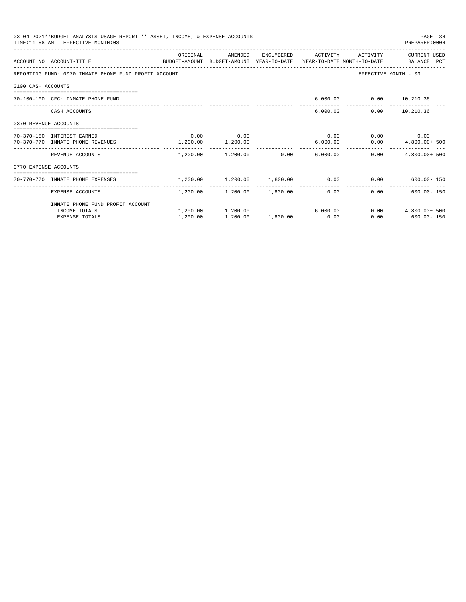| 03-04-2021**BUDGET ANALYSIS USAGE REPORT ** ASSET, INCOME, & EXPENSE ACCOUNTS<br>PAGE 34<br>TIME: 11:58 AM - EFFECTIVE MONTH: 03<br>PREPARER: 0004<br>ORIGINAL<br>ENCUMBERED ACTIVITY<br>ACTIVITY<br>CURRENT USED<br>AMENDED<br>ACCOUNT NO ACCOUNT-TITLE COMPUTE BUDGET-AMOUNT BUDGET-AMOUNT YEAR-TO-DATE YEAR-TO-DATE MONTH-TO-DATE BALANCE PCT<br>REPORTING FUND: 0070 INMATE PHONE FUND PROFIT ACCOUNT<br>EFFECTIVE MONTH - 03<br>0100 CASH ACCOUNTS<br>6,000.00   0.00   10,210.36<br>70-100-100 CFC: INMATE PHONE FUND<br>6,000.00<br>$0.00$ 10,210.36<br>CASH ACCOUNTS<br>0370 REVENUE ACCOUNTS<br>$0.00$ 0.00<br>$0.00$ $0.00$ $0.00$ $0.00$<br>70-370-180 INTEREST EARNED<br>$1,200.00$ $1,200.00$<br>$0.00$ 4,800.00+ 500<br>6,000.00<br>70-370-770 INMATE PHONE REVENUES<br>$1,200.00$ $1,200.00$ 0.00 6,000.00<br>0.00<br>$4.800.00+500$<br>REVENUE ACCOUNTS<br>0770 EXPENSE ACCOUNTS<br>-----------------------------------<br>$1,200.00$ $1,200.00$ $1,800.00$ $0.00$ $0.00$ $600.00$ $150$<br>70-770-770 INMATE PHONE EXPENSES<br>---------<br>$1,200.00$ $1,200.00$ $1,800.00$ 0.00<br>$600.00 - 150$<br>0.00<br>EXPENSE ACCOUNTS |          |                                  |          |      |                       |
|--------------------------------------------------------------------------------------------------------------------------------------------------------------------------------------------------------------------------------------------------------------------------------------------------------------------------------------------------------------------------------------------------------------------------------------------------------------------------------------------------------------------------------------------------------------------------------------------------------------------------------------------------------------------------------------------------------------------------------------------------------------------------------------------------------------------------------------------------------------------------------------------------------------------------------------------------------------------------------------------------------------------------------------------------------------------------------------------------------------------------------------------------|----------|----------------------------------|----------|------|-----------------------|
|                                                                                                                                                                                                                                                                                                                                                                                                                                                                                                                                                                                                                                                                                                                                                                                                                                                                                                                                                                                                                                                                                                                                                  |          |                                  |          |      |                       |
|                                                                                                                                                                                                                                                                                                                                                                                                                                                                                                                                                                                                                                                                                                                                                                                                                                                                                                                                                                                                                                                                                                                                                  |          |                                  |          |      |                       |
|                                                                                                                                                                                                                                                                                                                                                                                                                                                                                                                                                                                                                                                                                                                                                                                                                                                                                                                                                                                                                                                                                                                                                  |          |                                  |          |      |                       |
|                                                                                                                                                                                                                                                                                                                                                                                                                                                                                                                                                                                                                                                                                                                                                                                                                                                                                                                                                                                                                                                                                                                                                  |          |                                  |          |      |                       |
|                                                                                                                                                                                                                                                                                                                                                                                                                                                                                                                                                                                                                                                                                                                                                                                                                                                                                                                                                                                                                                                                                                                                                  |          |                                  |          |      |                       |
|                                                                                                                                                                                                                                                                                                                                                                                                                                                                                                                                                                                                                                                                                                                                                                                                                                                                                                                                                                                                                                                                                                                                                  |          |                                  |          |      |                       |
|                                                                                                                                                                                                                                                                                                                                                                                                                                                                                                                                                                                                                                                                                                                                                                                                                                                                                                                                                                                                                                                                                                                                                  |          |                                  |          |      |                       |
|                                                                                                                                                                                                                                                                                                                                                                                                                                                                                                                                                                                                                                                                                                                                                                                                                                                                                                                                                                                                                                                                                                                                                  |          |                                  |          |      |                       |
|                                                                                                                                                                                                                                                                                                                                                                                                                                                                                                                                                                                                                                                                                                                                                                                                                                                                                                                                                                                                                                                                                                                                                  |          |                                  |          |      |                       |
|                                                                                                                                                                                                                                                                                                                                                                                                                                                                                                                                                                                                                                                                                                                                                                                                                                                                                                                                                                                                                                                                                                                                                  |          |                                  |          |      |                       |
|                                                                                                                                                                                                                                                                                                                                                                                                                                                                                                                                                                                                                                                                                                                                                                                                                                                                                                                                                                                                                                                                                                                                                  |          |                                  |          |      |                       |
|                                                                                                                                                                                                                                                                                                                                                                                                                                                                                                                                                                                                                                                                                                                                                                                                                                                                                                                                                                                                                                                                                                                                                  |          |                                  |          |      |                       |
| INMATE PHONE FUND PROFIT ACCOUNT                                                                                                                                                                                                                                                                                                                                                                                                                                                                                                                                                                                                                                                                                                                                                                                                                                                                                                                                                                                                                                                                                                                 |          |                                  |          |      |                       |
| INCOME TOTALS                                                                                                                                                                                                                                                                                                                                                                                                                                                                                                                                                                                                                                                                                                                                                                                                                                                                                                                                                                                                                                                                                                                                    |          | $1,200.00$ $1,200.00$ $6,000.00$ |          |      | $0.00$ $4.800.00+500$ |
| <b>EXPENSE TOTALS</b>                                                                                                                                                                                                                                                                                                                                                                                                                                                                                                                                                                                                                                                                                                                                                                                                                                                                                                                                                                                                                                                                                                                            | 1,200.00 | 1,200.00                         | 1,800.00 | 0.00 | $0.00$ 600.00 - 150   |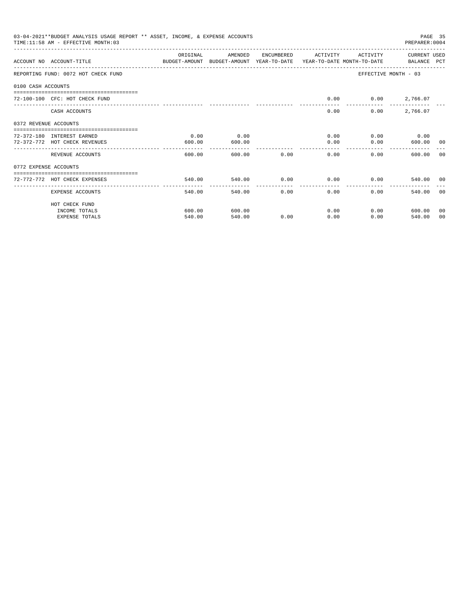|                       | 03-04-2021**BUDGET ANALYSIS USAGE REPORT ** ASSET, INCOME, & EXPENSE ACCOUNTS<br>TIME: 11:58 AM - EFFECTIVE MONTH: 03 |               |         |              |                |                      | PAGE 35<br>PREPARER: 0004 |       |
|-----------------------|-----------------------------------------------------------------------------------------------------------------------|---------------|---------|--------------|----------------|----------------------|---------------------------|-------|
|                       |                                                                                                                       | ORIGINAL      | AMENDED | ENCUMBERED   | ACTIVITY       | ACTIVITY             | CURRENT USED              |       |
|                       | ACCOUNT NO ACCOUNT-TITLE<br>BUDGET-AMOUNT BUDGET-AMOUNT YEAR-TO-DATE YEAR-TO-DATE MONTH-TO-DATE BALANCE PCT           |               |         |              |                |                      |                           |       |
|                       | REPORTING FUND: 0072 HOT CHECK FUND                                                                                   |               |         |              |                | EFFECTIVE MONTH - 03 |                           |       |
| 0100 CASH ACCOUNTS    |                                                                                                                       |               |         |              |                |                      |                           |       |
|                       | 72-100-100 CFC: HOT CHECK FUND                                                                                        |               |         |              | 0.00           | $0.00$ 2,766.07      |                           |       |
|                       | CASH ACCOUNTS                                                                                                         |               |         |              | 0.00           | 0.00                 | 2,766.07                  |       |
| 0372 REVENUE ACCOUNTS |                                                                                                                       |               |         |              |                |                      |                           |       |
|                       | 72-372-180 INTEREST EARNED                                                                                            | 0.00          | 0.00    |              | 0.00           |                      | $0.00$ 0.00               |       |
|                       | 72-372-772 HOT CHECK REVENUES                                                                                         | 600.00        | 600.00  |              | 0.00           | 0.00                 | 600.00 00                 |       |
|                       | REVENUE ACCOUNTS                                                                                                      | 600.00        |         | 600.00 0.00  | 0.00           | 0.00                 | 600.00                    | - 0.0 |
| 0772 EXPENSE ACCOUNTS |                                                                                                                       |               |         |              |                |                      |                           |       |
|                       | =================================<br>72-772-772 HOT CHECK EXPENSES                                                    | 540.00        | 540.00  |              | $0.00$ 0.00    | 0.00                 | 540.00 00                 |       |
|                       |                                                                                                                       | ------------- | .       | ------------ | -------------- |                      |                           |       |
|                       | EXPENSE ACCOUNTS                                                                                                      | 540.00        | 540.00  |              | 0.00<br>0.00   | 0.00                 | 540.00                    | - 0.0 |
|                       | HOT CHECK FUND                                                                                                        |               |         |              |                |                      |                           |       |
|                       | INCOME TOTALS                                                                                                         | 600.00        | 600.00  |              | 0.00           | 0.00                 | 600.00                    | 00    |
|                       | <b>EXPENSE TOTALS</b>                                                                                                 | 540.00        | 540.00  | 0.00         | 0.00           | 0.00                 | 540.00                    | 00    |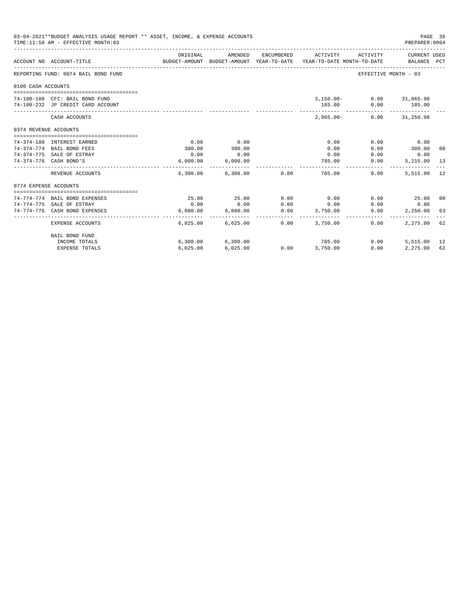|                                                                                                                            | 03-04-2021**BUDGET ANALYSIS USAGE REPORT ** ASSET, INCOME, & EXPENSE ACCOUNTS<br>TIME: 11:58 AM - EFFECTIVE MONTH: 03 |                       |                              |      |                                                                                            |                          | PAGE 36<br>PREPARER: 0004   |    |
|----------------------------------------------------------------------------------------------------------------------------|-----------------------------------------------------------------------------------------------------------------------|-----------------------|------------------------------|------|--------------------------------------------------------------------------------------------|--------------------------|-----------------------------|----|
|                                                                                                                            |                                                                                                                       | ORIGINAL              | AMENDED                      |      | ENCUMBERED ACTIVITY<br>BUDGET-AMOUNT BUDGET-AMOUNT YEAR-TO-DATE YEAR-TO-DATE MONTH-TO-DATE | ACTIVITY                 | CURRENT USED<br>BALANCE PCT |    |
|                                                                                                                            | REPORTING FUND: 0074 BAIL BOND FUND                                                                                   |                       |                              |      |                                                                                            | EFFECTIVE MONTH - 03     |                             |    |
|                                                                                                                            |                                                                                                                       |                       |                              |      |                                                                                            |                          |                             |    |
|                                                                                                                            |                                                                                                                       |                       |                              |      |                                                                                            |                          |                             |    |
|                                                                                                                            | 74-100-100 CFC: BAIL BOND FUND                                                                                        |                       |                              |      |                                                                                            | 3,150.00- 0.00 31,065.98 |                             |    |
|                                                                                                                            | 74-100-232 JP CREDIT CARD ACCOUNT                                                                                     |                       |                              |      | 185.00                                                                                     |                          | $0.00$ 185.00               |    |
|                                                                                                                            | CASH ACCOUNTS                                                                                                         |                       |                              |      | $2.965.00 -$                                                                               |                          | $0.00$ $31,250.98$          |    |
|                                                                                                                            |                                                                                                                       |                       |                              |      |                                                                                            |                          |                             |    |
|                                                                                                                            |                                                                                                                       |                       |                              |      |                                                                                            |                          |                             |    |
|                                                                                                                            | 74-374-180 INTEREST EARNED                                                                                            | 0.00                  | 0.00                         |      | 0.00                                                                                       | 0.00                     | 0.00                        |    |
|                                                                                                                            | 74-374-774 BAIL BOND FEES                                                                                             | 300.00                | 300.00                       |      | 0.00                                                                                       | 0.00                     | 300.00 00                   |    |
| ACCOUNT NO ACCOUNT-TITLE<br>0100 CASH ACCOUNTS<br>0374 REVENUE ACCOUNTS<br>74-374-776 CASH BOND'S<br>0774 EXPENSE ACCOUNTS | 74-374-775 SALE OF ESTRAY                                                                                             | 0.00                  | 0.00                         |      | 0.00                                                                                       | 0.00                     | 0.00                        |    |
|                                                                                                                            |                                                                                                                       | 6,000.00              | 6,000.00                     |      | 785.00                                                                                     | 0.00                     | 5,215.00 13                 |    |
|                                                                                                                            | REVENUE ACCOUNTS                                                                                                      |                       | $6,300.00$ $6,300.00$ $0.00$ |      | 785.00                                                                                     | $0.00 -$                 | 5,515.00                    | 12 |
|                                                                                                                            |                                                                                                                       |                       |                              |      |                                                                                            |                          |                             |    |
|                                                                                                                            | --------------------------------                                                                                      |                       |                              |      |                                                                                            |                          |                             |    |
|                                                                                                                            | 74-774-774 BAIL BOND EXPENSES                                                                                         | 25.00                 | 25.00                        | 0.00 | 0.00                                                                                       | 0.00                     | 25.00 00                    |    |
|                                                                                                                            | 74-774-775 SALE OF ESTRAY                                                                                             | 0.00                  | 0.00                         | 0.00 | 0.00                                                                                       | 0.00                     | 0.00                        |    |
|                                                                                                                            | 74-774-776 CASH BOND EXPENSES                                                                                         | 6.000.00<br>--------- | 6.000.00<br>-------------    | 0.00 | 3,750.00<br>_______________________                                                        | 0.00                     | 2,250.00 63                 |    |
|                                                                                                                            | EXPENSE ACCOUNTS                                                                                                      |                       | 6,025.00 6,025.00            | 0.00 | 3,750.00                                                                                   | 0.00                     | 2,275.00 62                 |    |
|                                                                                                                            | BAIL BOND FUND                                                                                                        |                       |                              |      |                                                                                            |                          |                             |    |
|                                                                                                                            | INCOME TOTALS                                                                                                         |                       | 6,300.00 6,300.00            |      | 785.00                                                                                     | 0.00                     | 5,515.00 12                 |    |
|                                                                                                                            | <b>EXPENSE TOTALS</b>                                                                                                 | 6,025.00              | 6,025.00                     |      | $0.00$ $3,750.00$                                                                          | 0.00                     | 2,275.00 62                 |    |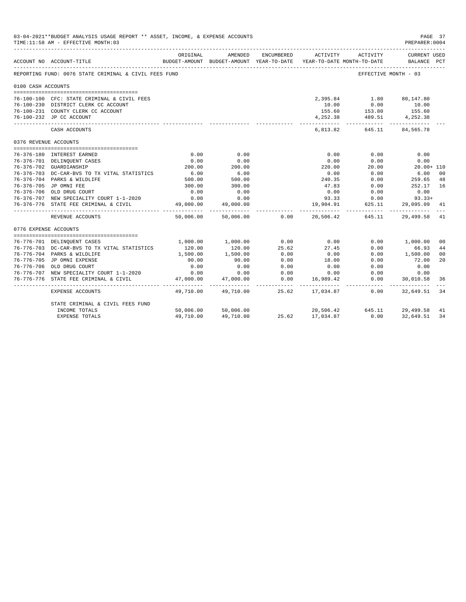|                       | 03-04-2021**BUDGET ANALYSIS USAGE REPORT ** ASSET, INCOME, & EXPENSE ACCOUNTS<br>TIME: 11:58 AM - EFFECTIVE MONTH: 03 |                         |                                                     |                        |                |                                        | PAGE 37<br>PREPARER: 0004   |                      |
|-----------------------|-----------------------------------------------------------------------------------------------------------------------|-------------------------|-----------------------------------------------------|------------------------|----------------|----------------------------------------|-----------------------------|----------------------|
|                       | ACCOUNT NO ACCOUNT-TITLE                                                                                              | ORIGINAL                | AMENDED<br>BUDGET-AMOUNT BUDGET-AMOUNT YEAR-TO-DATE | ENCUMBERED             | ACTIVITY       | ACTIVITY<br>YEAR-TO-DATE MONTH-TO-DATE | CURRENT USED<br>BALANCE PCT |                      |
|                       | REPORTING FUND: 0076 STATE CRIMINAL & CIVIL FEES FUND                                                                 |                         |                                                     |                        |                | EFFECTIVE MONTH - 03                   |                             |                      |
| 0100 CASH ACCOUNTS    |                                                                                                                       |                         |                                                     |                        |                |                                        |                             |                      |
|                       | 76-100-100 CFC: STATE CRIMINAL & CIVIL FEES                                                                           |                         |                                                     |                        |                | 2,395.84 1.80 80,147.80                |                             |                      |
|                       | 76-100-230 DISTRICT CLERK CC ACCOUNT                                                                                  |                         |                                                     |                        | 10.00          | 0.00                                   | 10.00                       |                      |
|                       | 76-100-231 COUNTY CLERK CC ACCOUNT                                                                                    |                         |                                                     |                        | 155.60         |                                        |                             |                      |
|                       | 76-100-232 JP CC ACCOUNT                                                                                              |                         |                                                     |                        | 4,252.38       | 153.80 155.60<br>489.51 4,252.38       |                             |                      |
|                       | CASH ACCOUNTS                                                                                                         |                         |                                                     |                        | 6,813.82       | 645.11                                 | 84,565.78                   |                      |
| 0376 REVENUE ACCOUNTS |                                                                                                                       |                         |                                                     |                        |                |                                        |                             |                      |
|                       |                                                                                                                       | 0.00                    |                                                     |                        |                |                                        | 0.00                        |                      |
|                       | 76-376-180 INTEREST EARNED                                                                                            |                         | 0.00                                                |                        | 0.00           | 0.00                                   |                             |                      |
|                       | 76-376-701 DELINQUENT CASES<br>76-376-702 GUARDIANSHIP                                                                | 0.00<br>200.00          | 0.00<br>200.00                                      |                        | 0.00<br>220.00 | 0.00<br>20.00                          | 0.00<br>$20.00 + 110$       |                      |
|                       | 76-376-703 DC-CAR-BVS TO TX VITAL STATISTICS                                                                          |                         | $500$<br>500<br>500                                 |                        | 0.00           | 0.00                                   | 6.00                        | 0 <sup>0</sup>       |
|                       | 76-376-704 PARKS & WILDLIFE                                                                                           | $6.00$<br>500.00        |                                                     |                        | 240.35         | 0.00                                   | 259.65                      | 48                   |
|                       | 76-376-705 JP OMNI FEE                                                                                                | 300.00                  | 300.00                                              |                        | 47.83          | 0.00                                   | 252.17                      | 16                   |
|                       | 76-376-706 OLD DRUG COURT                                                                                             | 0.00                    | 0.00                                                |                        | 0.00           | 0.00                                   | 0.00                        |                      |
|                       | 76-376-707 NEW SPECIALITY COURT 1-1-2020                                                                              | 0.00                    | 0.00                                                |                        |                | 93.33 0.00                             | $93.33+$                    |                      |
|                       | 76-376-776 STATE FEE CRIMINAL & CIVIL                                                                                 | 49.000.00               | 49,000.00                                           |                        | 19,904.91      | 625.11                                 | 29,095.09                   | 41                   |
|                       | REVENUE ACCOUNTS                                                                                                      | 50,006.00               |                                                     | 50.006.00 0.00         |                | 20.506.42 645.11                       | 29,499.58                   | 41                   |
| 0776 EXPENSE ACCOUNTS |                                                                                                                       |                         |                                                     |                        |                |                                        |                             |                      |
|                       |                                                                                                                       |                         |                                                     |                        |                |                                        |                             |                      |
|                       | 76-776-701 DELINQUENT CASES                                                                                           |                         | 1,000.00 1,000.00                                   | 0.00                   | 0.00           |                                        | 0.00 1,000.00               | 00                   |
|                       | 76-776-703 DC-CAR-BVS TO TX VITAL STATISTICS                                                                          | 120.00                  | 120.00                                              | 25.62                  | 27.45          | 0.00                                   | 66.93                       | 44                   |
|                       | 76-776-704 PARKS & WILDLIFE<br>76-776-705 JP OMNI EXPENSE                                                             | 1,500.00<br>90.00       | 1,500.00<br>90.00                                   | 0.00<br>0.00           | 0.00           | 0.00                                   | 1,500.00                    | 0 <sup>0</sup><br>20 |
|                       | 76-776-706 OLD DRUG COURT                                                                                             | 0.00                    |                                                     | 0.00                   | 18.00          | 0.00<br>0.00                           | 72.00<br>0.00               |                      |
|                       | 76-776-707 NEW SPECIALITY COURT 1-1-2020                                                                              | 0.00                    | 0.00<br>0.00                                        | 0.00                   | 0.00<br>0.00   | 0.00                                   | 0.00                        |                      |
|                       | 76-776-776 STATE FEE CRIMINAL & CIVIL                                                                                 | 47,000.00               | 47,000.00                                           | 0.00                   | 16,989.42      | 0.00                                   | 30,010.58                   | 36                   |
|                       | EXPENSE ACCOUNTS                                                                                                      | __________<br>49,710.00 | ------------<br>49,710.00                           | ----------- -<br>25.62 | .<br>17,034.87 | ------------<br>0.00                   | .<br>32,649.51              | 34                   |
|                       | STATE CRIMINAL & CIVIL FEES FUND                                                                                      |                         |                                                     |                        |                |                                        |                             |                      |
|                       | INCOME TOTALS                                                                                                         |                         | 50,006.00 50,006.00                                 |                        |                | 20,506.42 645.11 29,499.58             |                             | 41                   |
|                       | <b>EXPENSE TOTALS</b>                                                                                                 | 49,710.00               | 49,710.00                                           |                        |                | 25.62 17.034.87 0.00                   | 32,649.51                   | 34                   |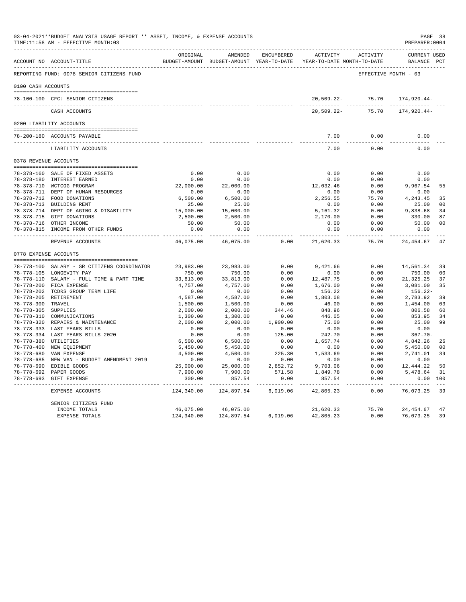|                     | 03-04-2021**BUDGET ANALYSIS USAGE REPORT ** ASSET, INCOME, & EXPENSE ACCOUNTS<br>TIME: 11:58 AM - EFFECTIVE MONTH: 03 |                    |                                                                                |                     |                     |                     | PREPARER: 0004                     | PAGE 38        |
|---------------------|-----------------------------------------------------------------------------------------------------------------------|--------------------|--------------------------------------------------------------------------------|---------------------|---------------------|---------------------|------------------------------------|----------------|
|                     | ACCOUNT NO ACCOUNT-TITLE                                                                                              | ORIGINAL           | AMENDED<br>BUDGET-AMOUNT BUDGET-AMOUNT YEAR-TO-DATE YEAR-TO-DATE MONTH-TO-DATE | ENCUMBERED          |                     | ACTIVITY ACTIVITY   | <b>CURRENT USED</b><br>BALANCE PCT |                |
|                     | REPORTING FUND: 0078 SENIOR CITIZENS FUND                                                                             |                    |                                                                                |                     |                     |                     | EFFECTIVE MONTH - 03               |                |
| 0100 CASH ACCOUNTS  |                                                                                                                       |                    |                                                                                |                     |                     |                     |                                    |                |
|                     | 78-100-100 CFC: SENIOR CITIZENS                                                                                       |                    |                                                                                |                     |                     | 20,509.22- 75.70    | 174,920.44-                        |                |
|                     | CASH ACCOUNTS                                                                                                         |                    |                                                                                |                     | $20.509.22 -$       | 75.70               | $174.920.44-$                      |                |
|                     | 0200 LIABILITY ACCOUNTS                                                                                               |                    |                                                                                |                     |                     |                     |                                    |                |
|                     | --------------------------------------                                                                                |                    |                                                                                |                     |                     |                     |                                    |                |
|                     | 78-200-180 ACCOUNTS PAYABLE                                                                                           |                    |                                                                                |                     | 7.00<br>----------  | 0.00<br>----------- | 0.00<br>----------                 |                |
|                     | LIABILITY ACCOUNTS                                                                                                    |                    |                                                                                |                     | 7.00                | 0.00                | 0.00                               |                |
|                     | 0378 REVENUE ACCOUNTS                                                                                                 |                    |                                                                                |                     |                     |                     |                                    |                |
|                     | 78-378-160 SALE OF FIXED ASSETS                                                                                       | 0.00               | 0.00                                                                           |                     | 0.00                | 0.00                | 0.00                               |                |
|                     | 78-378-180 INTEREST EARNED                                                                                            | 0.00               | 0.00                                                                           |                     | 0.00                | 0.00                | 0.00                               |                |
|                     | 78-378-710 WCTCOG PROGRAM                                                                                             | 22,000.00          | 22,000.00                                                                      |                     | 12,032.46           | 0.00                | 9,967.54                           | 55             |
|                     | 78-378-711 DEPT OF HUMAN RESOURCES                                                                                    | 0.00               | 0.00                                                                           |                     | 0.00                | 0.00                | 0.00                               |                |
|                     | 78-378-712 FOOD DONATIONS                                                                                             | 6,500.00           | 6,500.00                                                                       |                     | 2,256.55            | 75.70               | 4,243.45                           | 35             |
|                     | 78-378-713 BUILDING RENT                                                                                              | 25.00              | 25.00                                                                          |                     | 0.00                | 0.00                | 25.00                              | 0 <sup>0</sup> |
|                     | 78-378-714 DEPT OF AGING & DISABILITY                                                                                 | 15,000.00          | 15,000.00                                                                      |                     | 5,161.32            | 0.00                | 9,838.68                           | 34             |
|                     | 78-378-715 GIFT DONATIONS                                                                                             | 2,500.00           | 2,500.00                                                                       |                     | 2,170.00            | 0.00                | 330.00                             | 87             |
|                     | 78-378-716 OTHER INCOME                                                                                               | 50.00              | 50.00                                                                          |                     | 0.00                | 0.00                | 50.00                              | 0 <sup>0</sup> |
|                     | 78-378-815 INCOME FROM OTHER FUNDS                                                                                    | 0.00<br>.          | 0.00<br>----------                                                             |                     | 0.00<br>----------- | 0.00<br>$- - - - -$ | 0.00<br>-----------                |                |
|                     | REVENUE ACCOUNTS                                                                                                      | 46,075.00          | 46,075.00                                                                      | 0.00                | 21,620.33           | 75.70               | 24,454.67                          | 47             |
|                     | 0778 EXPENSE ACCOUNTS                                                                                                 |                    |                                                                                |                     |                     |                     |                                    |                |
|                     | 78-778-100 SALARY - SR CITIZENS COORDINATOR                                                                           | 23,983.00          | 23,983.00                                                                      | 0.00                | 9,421.66            | 0.00                | 14,561.34                          | 39             |
|                     | 78-778-105 LONGEVITY PAY                                                                                              | 750.00             | 750.00                                                                         | 0.00                | 0.00                | 0.00                | 750.00                             | 0 <sub>0</sub> |
|                     | 78-778-110 SALARY - FULL TIME & PART TIME                                                                             | 33,813.00          | 33,813.00                                                                      | 0.00                | 12,487.75           | 0.00                | 21,325.25                          | 37             |
|                     | 78-778-200 FICA EXPENSE                                                                                               | 4,757.00           | 4,757.00                                                                       | 0.00                | 1,676.00            | 0.00                | 3,081.00                           | 35             |
|                     | 78-778-202 TCDRS GROUP TERM LIFE                                                                                      | 0.00               | 0.00                                                                           | 0.00                | 156.22              | 0.00                | 156.22-                            |                |
|                     | 78-778-205 RETIREMENT                                                                                                 | 4,587.00           | 4,587.00                                                                       | 0.00                | 1,803.08            | 0.00                | 2,783.92                           | 39             |
| 78-778-300 TRAVEL   |                                                                                                                       | 1,500.00           | 1,500.00                                                                       | 0.00                | 46.00               | 0.00                | 1,454.00                           | 03             |
| 78-778-305 SUPPLIES |                                                                                                                       | 2,000.00           | 2,000.00                                                                       | 344.46              | 848.96              | 0.00                | 806.58                             | 60             |
|                     | 78-778-310 COMMUNICATIONS                                                                                             | 1,300.00           | 1,300.00                                                                       | 0.00                | 446.05              | 0.00                | 853.95                             | 34             |
|                     | 78-778-320 REPAIRS & MAINTENANCE                                                                                      | 2,000.00           | 2,000.00                                                                       | 1,900.00            | 75.00               | 0.00                | 25.00                              | 99             |
|                     | 78-778-333 LAST YEARS BILLS                                                                                           | 0.00               | 0.00                                                                           | 0.00                | 0.00                | 0.00                | 0.00                               |                |
|                     | 78-778-334 LAST YEARS BILLS 2020                                                                                      | 0.00               | 0.00                                                                           | 125.00              | 242.70              | 0.00                | $367.70 -$                         |                |
|                     | 78-778-380 UTILITIES                                                                                                  | 6,500.00           | 6,500.00                                                                       | 0.00                | 1,657.74            | 0.00                | 4,842.26                           | 26             |
|                     | 78-778-400 NEW EQUIPMENT                                                                                              | 5,450.00           | 5,450.00                                                                       | 0.00                | 0.00                | 0.00                | 5,450.00                           | 0 <sup>0</sup> |
|                     | 78-778-680 VAN EXPENSE                                                                                                | 4,500.00           | 4,500.00                                                                       | 225.30              | 1,533.69            | 0.00                | 2,741.01                           | 39             |
|                     | 78-778-685 NEW VAN - BUDGET AMENDMENT 2019                                                                            | 0.00               | 0.00                                                                           | 0.00                | 0.00                | 0.00                | 0.00                               |                |
|                     | 78-778-690 EDIBLE GOODS                                                                                               | 25,000.00          | 25,000.00                                                                      | 2,852.72            | 9,703.06            | 0.00<br>0.00        | 12,444.22                          | 50             |
|                     | 78-778-692 PAPER GOODS<br>78-778-693 GIFT EXPENSE                                                                     | 7,900.00<br>300.00 | 7,900.00<br>857.54                                                             | 571.58<br>0.00      | 1,849.78<br>857.54  | 0.00                | 5,478.64<br>0.00 100               | 31             |
|                     |                                                                                                                       | -----------        | ------------                                                                   | . _ _ _ _ _ _ _ _ _ | -----------         | ------              | ----------                         |                |
|                     | EXPENSE ACCOUNTS                                                                                                      | 124,340.00         | 124,897.54                                                                     | 6,019.06            | 42,805.23           | 0.00                | 76,073.25                          | 39             |
|                     | SENIOR CITIZENS FUND                                                                                                  |                    |                                                                                |                     |                     |                     |                                    |                |
|                     | INCOME TOTALS                                                                                                         | 46,075.00          | 46,075.00                                                                      |                     | 21,620.33           | 75.70               | 24, 454.67                         | 47             |
|                     | EXPENSE TOTALS                                                                                                        | 124,340.00         | 124,897.54                                                                     | 6,019.06            | 42,805.23           | 0.00                | 76,073.25                          | 39             |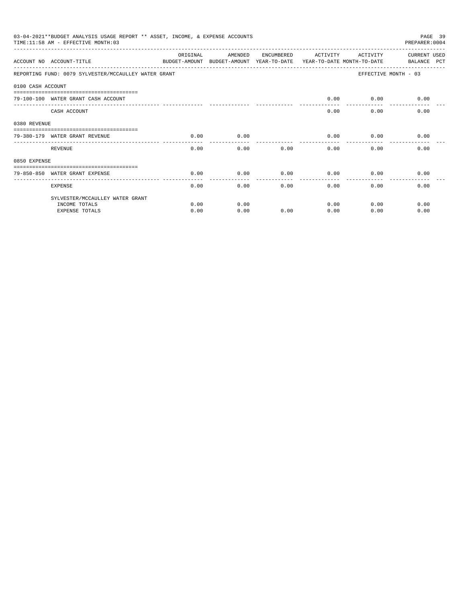|                   | 03-04-2021**BUDGET ANALYSIS USAGE REPORT ** ASSET, INCOME, & EXPENSE ACCOUNTS<br>PAGE 39<br>TIME: 11:58 AM - EFFECTIVE MONTH: 03<br>PREPARER: 0004<br>ORIGINAL<br>AMENDED<br>ENCUMBERED<br>ACTIVITY<br>ACTIVITY<br><b>CURRENT USED</b> |      |                                                                     |      |      |      |                      |  |  |
|-------------------|----------------------------------------------------------------------------------------------------------------------------------------------------------------------------------------------------------------------------------------|------|---------------------------------------------------------------------|------|------|------|----------------------|--|--|
|                   | ACCOUNT NO ACCOUNT-TITLE                                                                                                                                                                                                               |      | BUDGET-AMOUNT BUDGET-AMOUNT YEAR-TO-DATE YEAR-TO-DATE MONTH-TO-DATE |      |      |      | BALANCE PCT          |  |  |
|                   | REPORTING FUND: 0079 SYLVESTER/MCCAULLEY WATER GRANT                                                                                                                                                                                   |      |                                                                     |      |      |      | EFFECTIVE MONTH - 03 |  |  |
| 0100 CASH ACCOUNT |                                                                                                                                                                                                                                        |      |                                                                     |      |      |      |                      |  |  |
|                   | 79-100-100 WATER GRANT CASH ACCOUNT                                                                                                                                                                                                    |      |                                                                     |      | 0.00 | 0.00 | 0.00                 |  |  |
|                   | CASH ACCOUNT                                                                                                                                                                                                                           |      |                                                                     |      | 0.00 | 0.00 | 0.00                 |  |  |
| 0380 REVENUE      |                                                                                                                                                                                                                                        |      |                                                                     |      |      |      |                      |  |  |
|                   | 79-380-179 WATER GRANT REVENUE                                                                                                                                                                                                         | 0.00 | 0.00                                                                |      | 0.00 | 0.00 | 0.00                 |  |  |
|                   | REVENUE                                                                                                                                                                                                                                | 0.00 | 0.00                                                                | 0.00 | 0.00 | 0.00 | 0.00                 |  |  |
| 0850 EXPENSE      |                                                                                                                                                                                                                                        |      |                                                                     |      |      |      |                      |  |  |
|                   | 79-850-850 WATER GRANT EXPENSE                                                                                                                                                                                                         | 0.00 | 0.00                                                                | 0.00 | 0.00 | 0.00 | 0.00                 |  |  |
|                   | <b>EXPENSE</b>                                                                                                                                                                                                                         | 0.00 | 0.00                                                                | 0.00 | 0.00 | 0.00 | 0.00                 |  |  |
|                   | SYLVESTER/MCCAULLEY WATER GRANT                                                                                                                                                                                                        |      |                                                                     |      |      |      |                      |  |  |
|                   | INCOME TOTALS                                                                                                                                                                                                                          | 0.00 | 0.00                                                                |      | 0.00 | 0.00 | 0.00                 |  |  |
|                   | <b>EXPENSE TOTALS</b>                                                                                                                                                                                                                  | 0.00 | 0.00                                                                | 0.00 | 0.00 | 0.00 | 0.00                 |  |  |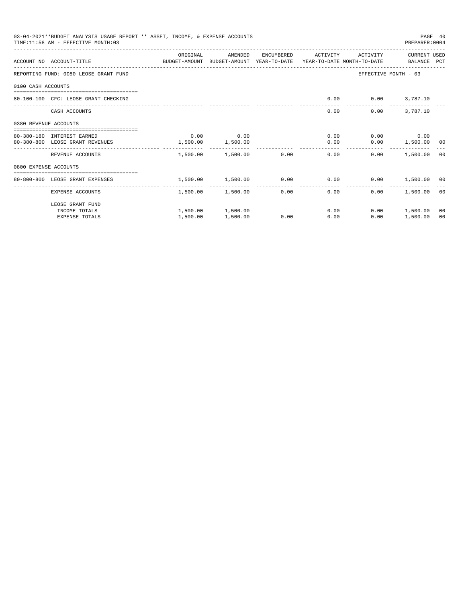|                       | 03-04-2021**BUDGET ANALYSIS USAGE REPORT ** ASSET, INCOME, & EXPENSE ACCOUNTS<br>TIME: 11:58 AM - EFFECTIVE MONTH: 03 |          |                        |            |                                                             |                      | PREPARER: 0004     | PAGE 40 |
|-----------------------|-----------------------------------------------------------------------------------------------------------------------|----------|------------------------|------------|-------------------------------------------------------------|----------------------|--------------------|---------|
|                       |                                                                                                                       | ORIGINAL | AMENDED                | ENCUMBERED | ACTIVITY                                                    | ACTIVITY             | CURRENT USED       |         |
|                       | ACCOUNT NO ACCOUNT-TITLE COMPUTE BUDGET-AMOUNT BUDGET-AMOUNT YEAR-TO-DATE YEAR-TO-DATE MONTH-TO-DATE BALANCE PCT      |          |                        |            |                                                             |                      |                    |         |
|                       | REPORTING FUND: 0080 LEOSE GRANT FUND                                                                                 |          |                        |            |                                                             | EFFECTIVE MONTH - 03 |                    |         |
| 0100 CASH ACCOUNTS    |                                                                                                                       |          |                        |            |                                                             |                      |                    |         |
|                       | 80-100-100 CFC: LEOSE GRANT CHECKING                                                                                  |          |                        |            | 0.00                                                        | $0.00$ 3,787.10      |                    |         |
|                       | CASH ACCOUNTS                                                                                                         |          |                        |            | 0.00                                                        | 0.00                 | 3,787.10           |         |
| 0380 REVENUE ACCOUNTS |                                                                                                                       |          |                        |            |                                                             |                      |                    |         |
|                       | 80-380-180 INTEREST EARNED                                                                                            | 0.00     | 0.00                   |            | 0.00                                                        |                      | $0.00$ 0.00        |         |
|                       | 80-380-800 LEOSE GRANT REVENUES                                                                                       | 1,500.00 | 1,500.00               |            | 0.00                                                        |                      | $0.00$ 1,500.00 00 |         |
|                       | REVENUE ACCOUNTS                                                                                                      |          | 1,500.00 1,500.00 0.00 |            | 0.00                                                        | 0.00                 | 1,500.00 00        |         |
| 0800 EXPENSE ACCOUNTS |                                                                                                                       |          |                        |            |                                                             |                      |                    |         |
|                       | ----------------------------------<br>80-800-800 LEOSE GRANT EXPENSES                                                 |          |                        |            | $1,500.00$ $1,500.00$ $0.00$ $0.00$ $0.00$ $1,500.00$ $0.0$ |                      |                    |         |
|                       |                                                                                                                       | -------- | ------------           |            | -------------                                               |                      |                    |         |
|                       | EXPENSE ACCOUNTS                                                                                                      |          | 1,500.00 1,500.00      |            | 0.00<br>0.00                                                | 0.00                 | 1,500.00 00        |         |
|                       | LEOSE GRANT FUND                                                                                                      |          |                        |            |                                                             |                      |                    |         |
|                       | INCOME TOTALS                                                                                                         |          | 1,500.00 1,500.00      |            | 0.00                                                        |                      | $0.00$ 1,500.00    | 00      |
|                       | <b>EXPENSE TOTALS</b>                                                                                                 | 1,500.00 | 1,500.00               | 0.00       | 0.00                                                        | 0.00                 | 1,500.00           | 00      |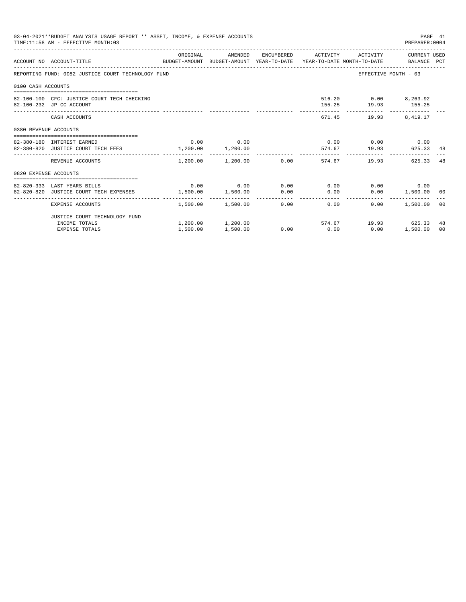|                       | 03-04-2021**BUDGET ANALYSIS USAGE REPORT ** ASSET, INCOME, & EXPENSE ACCOUNTS<br>TIME: 11:58 AM - EFFECTIVE MONTH: 03  |                       |                                           |      |      |                                                           | PAGE 41<br>PREPARER: 0004 |    |
|-----------------------|------------------------------------------------------------------------------------------------------------------------|-----------------------|-------------------------------------------|------|------|-----------------------------------------------------------|---------------------------|----|
|                       | ACCOUNT NO ACCOUNT-TITLE COMMONICATION BUDGET-AMOUNT BUDGET-AMOUNT YEAR-TO-DATE YEAR-TO-DATE MONTH-TO-DATE BALANCE PCT |                       |                                           |      |      | ORIGINAL MENDED ENCUMBERED ACTIVITY ACTIVITY CURRENT USED |                           |    |
|                       | REPORTING FUND: 0082 JUSTICE COURT TECHNOLOGY FUND                                                                     |                       |                                           |      |      |                                                           | EFFECTIVE MONTH - 03      |    |
| 0100 CASH ACCOUNTS    |                                                                                                                        |                       |                                           |      |      |                                                           |                           |    |
|                       | 82-100-100 CFC: JUSTICE COURT TECH CHECKING<br>82-100-232 JP CC ACCOUNT                                                |                       |                                           |      |      | 516.20 0.00 8,263.92<br>155.25 19.93 155.25               |                           |    |
|                       | CASH ACCOUNTS                                                                                                          |                       |                                           |      |      | 671.45 19.93 8.419.17                                     |                           |    |
| 0380 REVENUE ACCOUNTS |                                                                                                                        |                       |                                           |      |      |                                                           |                           |    |
|                       | 82-380-180 INTEREST EARNED                                                                                             |                       | $0.00$ 0.00                               |      |      | $0.00$ $0.00$ $0.00$ $0.00$                               |                           |    |
|                       | 82-380-820 JUSTICE COURT TECH FEES                                                                                     | $1,200.00$ $1,200.00$ |                                           |      |      | 574.67 19.93                                              | 625.33 48                 |    |
|                       | REVENUE ACCOUNTS                                                                                                       |                       | $1,200.00$ $1,200.00$ $0.00$ $574.67$     |      |      | 19.93                                                     | 625.33                    | 48 |
| 0820 EXPENSE ACCOUNTS |                                                                                                                        |                       |                                           |      |      |                                                           |                           |    |
|                       |                                                                                                                        |                       |                                           |      |      |                                                           |                           |    |
|                       | 82-820-333 LAST YEARS BILLS                                                                                            |                       | $0.00$ $0.00$ $0.00$ $0.00$ $0.00$ $0.00$ |      |      |                                                           | $0.00$ 0.00               |    |
|                       | 82-820-820 JUSTICE COURT TECH EXPENSES                                                                                 | 1,500.00 1,500.00     |                                           | 0.00 | 0.00 |                                                           | $0.00$ 1,500.00 00        |    |
|                       | EXPENSE ACCOUNTS                                                                                                       |                       | $1.500.00$ $1.500.00$ $0.00$ $0.00$       |      |      | 0.00                                                      | 1,500.00 00               |    |
|                       | JUSTICE COURT TECHNOLOGY FUND                                                                                          |                       |                                           |      |      |                                                           |                           |    |
|                       | INCOME TOTALS                                                                                                          |                       |                                           |      |      | $1,200.00$ $1,200.00$ $574.67$ $19.93$ $625.33$           |                           | 48 |
|                       | <b>EXPENSE TOTALS</b>                                                                                                  | 1,500.00              | 1,500.00                                  |      |      | $0.00$ $0.00$ $0.00$ $0.00$                               | 1,500.00                  | 00 |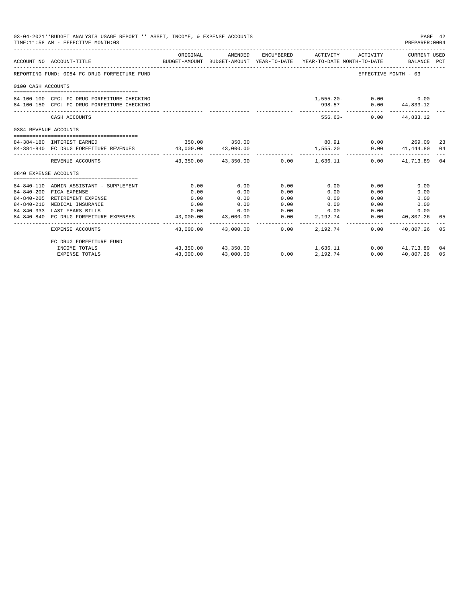| 03-04-2021**BUDGET ANALYSIS USAGE REPORT ** ASSET, INCOME, & EXPENSE ACCOUNTS<br>PAGE 42<br>TIME: 11:58 AM - EFFECTIVE MONTH: 03<br>PREPARER:0004<br>ORIGINAL AMENDED ENCUMBERED ACTIVITY ACTIVITY CURRENT USED<br>BUDGET-AMOUNT BUDGET-AMOUNT YEAR-TO-DATE YEAR-TO-DATE MONTH-TO-DATE BALANCE PCT<br>ACCOUNT NO ACCOUNT-TITLE<br>REPORTING FUND: 0084 FC DRUG FORFEITURE FUND<br>EFFECTIVE MONTH - 03<br>0100 CASH ACCOUNTS<br>$1,555.20 - 0.00$ 0.00<br>84-100-100 CFC: FC DRUG FORFEITURE CHECKING<br>84-100-150 CFC: FC DRUG FORFEITURE CHECKING<br>998.57 0.00 44,833.12<br>556.63- 0.00 44.833.12<br>CASH ACCOUNTS<br>0384 REVENUE ACCOUNTS<br>$80.91$ 0.00 269.09<br>350.00 350.00<br>84-384-180 INTEREST EARNED<br>-23<br>$0.00$ $41,444.80$ 04<br>84-384-840 FC DRUG FORFEITURE REVENUES 43,000.00 43,000.00<br>1,555.20<br>$43.350.00$ $43.350.00$ $0.00$ $1.636.11$<br>$0.00$ $41.713.89$ 04<br>REVENUE ACCOUNTS<br>0840 EXPENSE ACCOUNTS<br>0.00<br>0.00<br>0.00<br>0.00<br>0.00<br>0.00<br>84-840-110 ADMIN ASSISTANT - SUPPLEMENT |                                        |               |                          |      |                          |                       |                                 |     |
|-------------------------------------------------------------------------------------------------------------------------------------------------------------------------------------------------------------------------------------------------------------------------------------------------------------------------------------------------------------------------------------------------------------------------------------------------------------------------------------------------------------------------------------------------------------------------------------------------------------------------------------------------------------------------------------------------------------------------------------------------------------------------------------------------------------------------------------------------------------------------------------------------------------------------------------------------------------------------------------------------------------------------------------------------|----------------------------------------|---------------|--------------------------|------|--------------------------|-----------------------|---------------------------------|-----|
|                                                                                                                                                                                                                                                                                                                                                                                                                                                                                                                                                                                                                                                                                                                                                                                                                                                                                                                                                                                                                                                 |                                        |               |                          |      |                          |                       |                                 |     |
|                                                                                                                                                                                                                                                                                                                                                                                                                                                                                                                                                                                                                                                                                                                                                                                                                                                                                                                                                                                                                                                 |                                        |               |                          |      |                          |                       |                                 |     |
|                                                                                                                                                                                                                                                                                                                                                                                                                                                                                                                                                                                                                                                                                                                                                                                                                                                                                                                                                                                                                                                 |                                        |               |                          |      |                          |                       |                                 |     |
|                                                                                                                                                                                                                                                                                                                                                                                                                                                                                                                                                                                                                                                                                                                                                                                                                                                                                                                                                                                                                                                 |                                        |               |                          |      |                          |                       |                                 |     |
|                                                                                                                                                                                                                                                                                                                                                                                                                                                                                                                                                                                                                                                                                                                                                                                                                                                                                                                                                                                                                                                 |                                        |               |                          |      |                          |                       |                                 |     |
|                                                                                                                                                                                                                                                                                                                                                                                                                                                                                                                                                                                                                                                                                                                                                                                                                                                                                                                                                                                                                                                 |                                        |               |                          |      |                          |                       |                                 |     |
|                                                                                                                                                                                                                                                                                                                                                                                                                                                                                                                                                                                                                                                                                                                                                                                                                                                                                                                                                                                                                                                 |                                        |               |                          |      |                          |                       |                                 |     |
|                                                                                                                                                                                                                                                                                                                                                                                                                                                                                                                                                                                                                                                                                                                                                                                                                                                                                                                                                                                                                                                 |                                        |               |                          |      |                          |                       |                                 |     |
|                                                                                                                                                                                                                                                                                                                                                                                                                                                                                                                                                                                                                                                                                                                                                                                                                                                                                                                                                                                                                                                 |                                        |               |                          |      |                          |                       |                                 |     |
|                                                                                                                                                                                                                                                                                                                                                                                                                                                                                                                                                                                                                                                                                                                                                                                                                                                                                                                                                                                                                                                 |                                        |               |                          |      |                          |                       |                                 |     |
|                                                                                                                                                                                                                                                                                                                                                                                                                                                                                                                                                                                                                                                                                                                                                                                                                                                                                                                                                                                                                                                 |                                        |               |                          |      |                          |                       |                                 |     |
|                                                                                                                                                                                                                                                                                                                                                                                                                                                                                                                                                                                                                                                                                                                                                                                                                                                                                                                                                                                                                                                 |                                        |               |                          |      |                          |                       |                                 |     |
|                                                                                                                                                                                                                                                                                                                                                                                                                                                                                                                                                                                                                                                                                                                                                                                                                                                                                                                                                                                                                                                 |                                        |               |                          |      |                          |                       |                                 |     |
|                                                                                                                                                                                                                                                                                                                                                                                                                                                                                                                                                                                                                                                                                                                                                                                                                                                                                                                                                                                                                                                 |                                        |               |                          |      |                          |                       |                                 |     |
|                                                                                                                                                                                                                                                                                                                                                                                                                                                                                                                                                                                                                                                                                                                                                                                                                                                                                                                                                                                                                                                 |                                        |               |                          |      |                          |                       |                                 |     |
|                                                                                                                                                                                                                                                                                                                                                                                                                                                                                                                                                                                                                                                                                                                                                                                                                                                                                                                                                                                                                                                 | 84-840-200 FICA EXPENSE                | 0.00          | 0.00                     | 0.00 | 0.00                     | 0.00                  | 0.00                            |     |
|                                                                                                                                                                                                                                                                                                                                                                                                                                                                                                                                                                                                                                                                                                                                                                                                                                                                                                                                                                                                                                                 | 84-840-205 RETIREMENT EXPENSE          | 0.00          | 0.00                     | 0.00 | 0.00                     | 0.00                  | 0.00                            |     |
| $84 - 840 - 210$                                                                                                                                                                                                                                                                                                                                                                                                                                                                                                                                                                                                                                                                                                                                                                                                                                                                                                                                                                                                                                | MEDICAL INSURANCE                      | 0.00          | 0.00                     | 0.00 | 0.00                     |                       | 0.00<br>0.00                    |     |
|                                                                                                                                                                                                                                                                                                                                                                                                                                                                                                                                                                                                                                                                                                                                                                                                                                                                                                                                                                                                                                                 | 84-840-333 LAST YEARS BILLS            |               | $0.00$ 0.00              |      | $0.00$ 0.00              |                       | 0.00<br>0.00                    |     |
|                                                                                                                                                                                                                                                                                                                                                                                                                                                                                                                                                                                                                                                                                                                                                                                                                                                                                                                                                                                                                                                 | 84-840-840 FC DRUG FORFEITURE EXPENSES | ----------- - | 43,000.00 43,000.00      | 0.00 | 2,192.74<br>------------ | ------------ <b>.</b> | 0.00 40,807.26<br>------------- | 05  |
|                                                                                                                                                                                                                                                                                                                                                                                                                                                                                                                                                                                                                                                                                                                                                                                                                                                                                                                                                                                                                                                 | EXPENSE ACCOUNTS                       |               | 43.000.00 43.000.00 0.00 |      | 2,192,74                 | 0.00                  | 40.807.26                       | 0.5 |
|                                                                                                                                                                                                                                                                                                                                                                                                                                                                                                                                                                                                                                                                                                                                                                                                                                                                                                                                                                                                                                                 | FC DRUG FORFEITURE FUND                |               |                          |      |                          |                       |                                 |     |
|                                                                                                                                                                                                                                                                                                                                                                                                                                                                                                                                                                                                                                                                                                                                                                                                                                                                                                                                                                                                                                                 | INCOME TOTALS                          |               | 43,350.00 43,350.00      | 0.00 | 1,636.11                 |                       | $0.00$ $41,713.89$ 04           |     |
|                                                                                                                                                                                                                                                                                                                                                                                                                                                                                                                                                                                                                                                                                                                                                                                                                                                                                                                                                                                                                                                 | <b>EXPENSE TOTALS</b>                  | 43,000.00     | 43,000.00                | 0.00 | 2,192.74                 | 0.00                  | 40,807.26                       | 05  |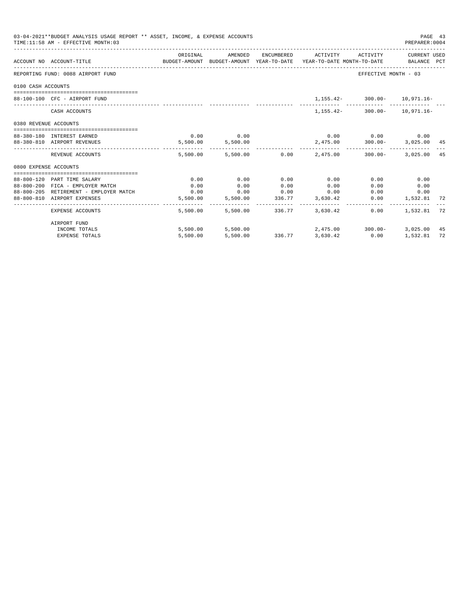|                       | 03-04-2021**BUDGET ANALYSIS USAGE REPORT ** ASSET, INCOME, & EXPENSE ACCOUNTS<br>TIME: 11:58 AM - EFFECTIVE MONTH: 03 |                                                                                             |                   |                 |                                                   |                                      | PAGE 43<br>PREPARER: 0004  |    |
|-----------------------|-----------------------------------------------------------------------------------------------------------------------|---------------------------------------------------------------------------------------------|-------------------|-----------------|---------------------------------------------------|--------------------------------------|----------------------------|----|
|                       | ACCOUNT NO ACCOUNT-TITLE                                                                                              | ORIGINAL<br>BUDGET-AMOUNT BUDGET-AMOUNT YEAR-TO-DATE YEAR-TO-DATE MONTH-TO-DATE BALANCE PCT | AMENDED           |                 | ENCUMBERED ACTIVITY ACTIVITY CURRENT USED         |                                      |                            |    |
|                       | REPORTING FUND: 0088 AIRPORT FUND                                                                                     |                                                                                             |                   |                 |                                                   | EFFECTIVE MONTH - 03                 |                            |    |
| 0100 CASH ACCOUNTS    |                                                                                                                       |                                                                                             |                   |                 |                                                   |                                      |                            |    |
|                       | 88-100-100 CFC - AIRPORT FUND                                                                                         |                                                                                             |                   |                 |                                                   | $1,155.42 - 300.00 - 10,971.16 -$    |                            |    |
|                       | CASH ACCOUNTS                                                                                                         |                                                                                             |                   |                 |                                                   | 1, 155. 42 - 300. 00 - 10, 971. 16 - |                            |    |
| 0380 REVENUE ACCOUNTS |                                                                                                                       |                                                                                             |                   |                 |                                                   |                                      |                            |    |
|                       | 88-380-180 INTEREST EARNED                                                                                            |                                                                                             | $0.00$ 0.00       |                 |                                                   | $0.00$ $0.00$ $0.00$ $0.00$          |                            |    |
|                       | 88-380-810 AIRPORT REVENUES                                                                                           |                                                                                             | 5,500.00 5,500.00 |                 | $2,475.00$ $300.00 - 3,025.00$ $45$               |                                      |                            |    |
|                       | REVENUE ACCOUNTS                                                                                                      |                                                                                             |                   |                 | $5.500.00$ $5.500.00$ $0.00$ $2.475.00$ $300.00-$ |                                      | 3,025,00 45                |    |
| 0800 EXPENSE ACCOUNTS |                                                                                                                       |                                                                                             |                   |                 |                                                   |                                      |                            |    |
|                       |                                                                                                                       |                                                                                             |                   |                 |                                                   |                                      |                            |    |
|                       | 88-800-120 PART TIME SALARY                                                                                           | 0.00                                                                                        | 0.00              | 0.00            | 0.00                                              | 0.00                                 | 0.00                       |    |
|                       | 88-800-200 FICA - EMPLOYER MATCH<br>88-800-205 RETIREMENT - EMPLOYER MATCH                                            | 0.00<br>0.00                                                                                | 0.00              | 0.00            | 0.00<br>$0.00$ $0.00$ $0.00$ $0.00$               | 0.00<br>0.00                         | 0.00                       |    |
|                       | 88-800-810 AIRPORT EXPENSES                                                                                           | 5,500.00                                                                                    |                   |                 | 5,500.00 336.77 3,630.42                          |                                      | 0.00<br>$0.00$ 1,532.81 72 |    |
|                       |                                                                                                                       |                                                                                             |                   |                 |                                                   |                                      |                            |    |
|                       | EXPENSE ACCOUNTS                                                                                                      | 5,500.00                                                                                    |                   | 5,500.00 336.77 | 3,630.42                                          | 0.00                                 | 1,532.81 72                |    |
|                       | AIRPORT FUND                                                                                                          |                                                                                             |                   |                 |                                                   |                                      |                            |    |
|                       | INCOME TOTALS                                                                                                         |                                                                                             | 5,500.00 5,500.00 |                 |                                                   | 2,475.00 300.00-                     | 3,025.00 45                |    |
|                       | <b>EXPENSE TOTALS</b>                                                                                                 | 5,500.00                                                                                    |                   |                 | 5,500.00 336.77 3,630.42                          | 0.00                                 | 1,532.81                   | 72 |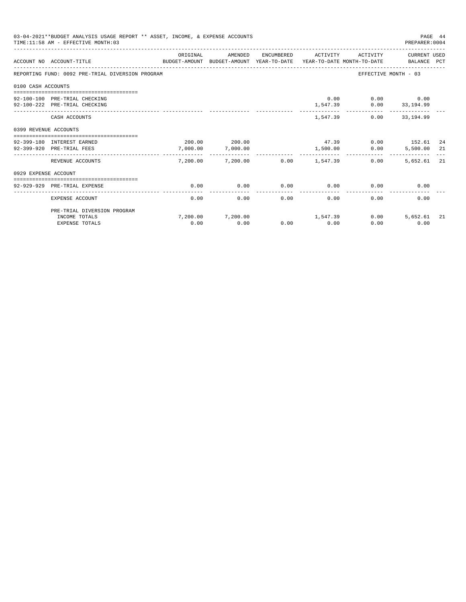| 03-04-2021**BUDGET ANALYSIS USAGE REPORT ** ASSET, INCOME, & EXPENSE ACCOUNTS<br>PAGE 44<br>TIME: 11:58 AM - EFFECTIVE MONTH: 03<br>PREPARER: 0004 |                                                                                                                  |                      |                           |            |                 |          |                                                   |     |  |  |
|----------------------------------------------------------------------------------------------------------------------------------------------------|------------------------------------------------------------------------------------------------------------------|----------------------|---------------------------|------------|-----------------|----------|---------------------------------------------------|-----|--|--|
|                                                                                                                                                    | ACCOUNT NO ACCOUNT-TITLE CONTROL SUDGET-AMOUNT BUDGET-AMOUNT YEAR-TO-DATE YEAR-TO-DATE MONTH-TO-DATE BALANCE PCT | ORIGINAL             | AMENDED                   | ENCUMBERED | ACTIVITY        | ACTIVITY | CURRENT USED                                      |     |  |  |
|                                                                                                                                                    | REPORTING FUND: 0092 PRE-TRIAL DIVERSION PROGRAM                                                                 |                      |                           |            |                 |          | EFFECTIVE MONTH - 03                              |     |  |  |
| 0100 CASH ACCOUNTS                                                                                                                                 |                                                                                                                  |                      |                           |            |                 |          |                                                   |     |  |  |
|                                                                                                                                                    |                                                                                                                  |                      |                           |            |                 |          |                                                   |     |  |  |
|                                                                                                                                                    | 92-100-100 PRE-TRIAL CHECKING<br>92-100-222 PRE-TRIAL CHECKING                                                   |                      |                           |            |                 |          | $0.00$ $0.00$ $0.00$<br>$1,547.39$ 0.00 33,194.99 |     |  |  |
|                                                                                                                                                    |                                                                                                                  |                      |                           |            |                 |          | ________________________________                  |     |  |  |
|                                                                                                                                                    | CASH ACCOUNTS                                                                                                    |                      |                           |            |                 | 1,547.39 | $0.00$ 33.194.99                                  |     |  |  |
| 0399 REVENUE ACCOUNTS                                                                                                                              |                                                                                                                  |                      |                           |            |                 |          |                                                   |     |  |  |
|                                                                                                                                                    |                                                                                                                  |                      |                           |            |                 |          |                                                   |     |  |  |
|                                                                                                                                                    | 92-399-180 INTEREST EARNED                                                                                       |                      | 200.00 200.00             |            | 47.39           |          | $0.00$ 152.61 24                                  |     |  |  |
|                                                                                                                                                    | 92-399-920 PRE-TRIAL FEES                                                                                        | 7.000.00<br>-------- | 7,000.00<br>_____________ |            | 1,500.00        | 0.00     | 5,500.00 21                                       |     |  |  |
|                                                                                                                                                    | REVENUE ACCOUNTS                                                                                                 |                      | 7,200.00 7,200.00         |            | $0.00$ 1,547.39 | 0.00     | 5,652.61 21                                       |     |  |  |
| 0929 EXPENSE ACCOUNT                                                                                                                               |                                                                                                                  |                      |                           |            |                 |          |                                                   |     |  |  |
|                                                                                                                                                    |                                                                                                                  |                      |                           |            |                 |          |                                                   |     |  |  |
|                                                                                                                                                    | 92-929-929 PRE-TRIAL EXPENSE                                                                                     | 0.00                 | 0.00                      | 0.00       | 0.00            | 0.00     | 0.00                                              |     |  |  |
|                                                                                                                                                    | EXPENSE ACCOUNT                                                                                                  | 0.00                 | 0.00                      | 0.00       | 0.00            | 0.00     | 0.00                                              |     |  |  |
|                                                                                                                                                    | PRE-TRIAL DIVERSION PROGRAM                                                                                      |                      |                           |            |                 |          |                                                   |     |  |  |
|                                                                                                                                                    | INCOME TOTALS                                                                                                    |                      | 7,200.00 7,200.00         |            | 1,547.39        |          | 0.00<br>5,652.61                                  | -21 |  |  |
|                                                                                                                                                    | <b>EXPENSE TOTALS</b>                                                                                            | 0.00                 | 0.00                      | 0.00       | 0.00            | 0.00     | 0.00                                              |     |  |  |